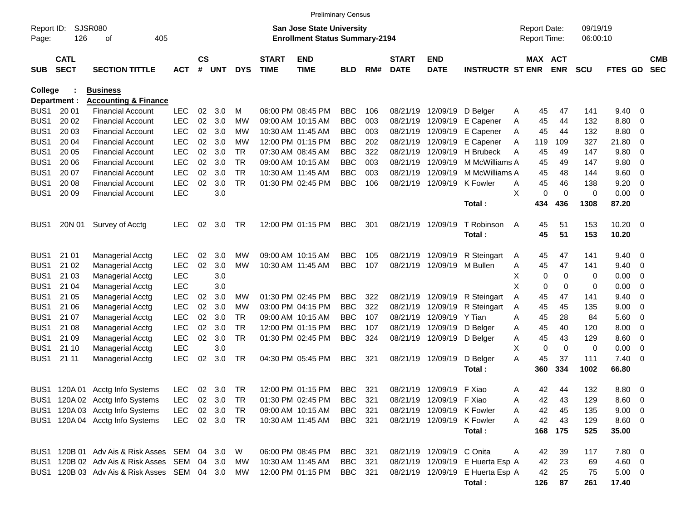|                     |                            |                                                                    |                    |                    |                  |            |                             | <b>Preliminary Census</b>                                                 |            |            |                             |                                                        |                                  |        |                                     |             |                      |                               |                         |                          |
|---------------------|----------------------------|--------------------------------------------------------------------|--------------------|--------------------|------------------|------------|-----------------------------|---------------------------------------------------------------------------|------------|------------|-----------------------------|--------------------------------------------------------|----------------------------------|--------|-------------------------------------|-------------|----------------------|-------------------------------|-------------------------|--------------------------|
| Report ID:<br>Page: | 126                        | <b>SJSR080</b><br>405<br>οf                                        |                    |                    |                  |            |                             | <b>San Jose State University</b><br><b>Enrollment Status Summary-2194</b> |            |            |                             |                                                        |                                  |        | <b>Report Date:</b><br>Report Time: |             | 09/19/19<br>06:00:10 |                               |                         |                          |
| <b>SUB</b>          | <b>CATL</b><br><b>SECT</b> | <b>SECTION TITTLE</b>                                              | <b>ACT</b>         | $\mathsf{cs}$<br># | <b>UNT</b>       | <b>DYS</b> | <b>START</b><br><b>TIME</b> | <b>END</b><br><b>TIME</b>                                                 | <b>BLD</b> | RM#        | <b>START</b><br><b>DATE</b> | <b>END</b><br><b>DATE</b>                              | <b>INSTRUCTR ST ENR</b>          |        | MAX ACT                             | <b>ENR</b>  | <b>SCU</b>           | FTES GD                       |                         | <b>CMB</b><br><b>SEC</b> |
| <b>College</b>      |                            | <b>Business</b>                                                    |                    |                    |                  |            |                             |                                                                           |            |            |                             |                                                        |                                  |        |                                     |             |                      |                               |                         |                          |
|                     | Department :               | <b>Accounting &amp; Finance</b>                                    |                    |                    |                  |            |                             |                                                                           |            |            |                             |                                                        |                                  |        |                                     |             |                      |                               |                         |                          |
| BUS <sub>1</sub>    | 20 01                      | <b>Financial Account</b>                                           | <b>LEC</b>         | 02                 | 3.0              | M          |                             | 06:00 PM 08:45 PM                                                         | <b>BBC</b> | 106        | 08/21/19                    | 12/09/19                                               | D Belaer                         | A      | 45                                  | 47          | 141                  | 9.40                          | 0                       |                          |
| BUS <sub>1</sub>    | 20 02                      | <b>Financial Account</b>                                           | <b>LEC</b>         | 02                 | 3.0              | <b>MW</b>  | 09:00 AM 10:15 AM           |                                                                           | <b>BBC</b> | 003        | 08/21/19                    | 12/09/19                                               | E Capener                        | Α      | 45                                  | 44          | 132                  | 8.80                          | 0                       |                          |
| BUS <sub>1</sub>    | 20 03                      | <b>Financial Account</b>                                           | <b>LEC</b>         | 02                 | 3.0              | МW         |                             | 10:30 AM 11:45 AM                                                         | <b>BBC</b> | 003        | 08/21/19                    | 12/09/19                                               | E Capener                        | Α      | 45                                  | 44          | 132                  | 8.80                          | 0                       |                          |
| BUS <sub>1</sub>    | 20 04                      | <b>Financial Account</b>                                           | <b>LEC</b>         | 02                 | 3.0              | МW         |                             | 12:00 PM 01:15 PM                                                         | <b>BBC</b> | 202        | 08/21/19                    | 12/09/19                                               | E Capener                        | Α      | 119                                 | 109         | 327                  | 21.80                         | 0                       |                          |
| BUS <sub>1</sub>    | 20 05                      | <b>Financial Account</b>                                           | <b>LEC</b>         | 02                 | 3.0              | TR         | 07:30 AM 08:45 AM           |                                                                           | <b>BBC</b> | 322        | 08/21/19                    | 12/09/19                                               | H Brubeck                        | A      | 45                                  | 49          | 147                  | 9.80                          | 0                       |                          |
| BUS <sub>1</sub>    | 20 06                      | <b>Financial Account</b>                                           | <b>LEC</b>         | 02                 | 3.0              | <b>TR</b>  | 09:00 AM 10:15 AM           |                                                                           | <b>BBC</b> | 003        | 08/21/19                    | 12/09/19                                               | M McWilliams A                   |        | 45                                  | 49          | 147                  | 9.80                          | 0                       |                          |
| BUS <sub>1</sub>    | 20 07                      | <b>Financial Account</b>                                           | <b>LEC</b>         | 02                 | 3.0              | <b>TR</b>  | 10:30 AM 11:45 AM           |                                                                           | <b>BBC</b> | 003        | 08/21/19                    | 12/09/19                                               | M McWilliams A                   |        | 45                                  | 48          | 144                  | 9.60                          | 0                       |                          |
| BUS <sub>1</sub>    | 20 08                      | <b>Financial Account</b>                                           | <b>LEC</b>         | 02                 | 3.0              | <b>TR</b>  |                             | 01:30 PM 02:45 PM                                                         | <b>BBC</b> | 106        | 08/21/19                    | 12/09/19                                               | K Fowler                         | A      | 45                                  | 46          | 138                  | 9.20                          | 0                       |                          |
| BUS <sub>1</sub>    | 20 09                      | <b>Financial Account</b>                                           | <b>LEC</b>         |                    | 3.0              |            |                             |                                                                           |            |            |                             |                                                        |                                  | X      | 0                                   | $\mathbf 0$ | 0                    | 0.00                          | - 0                     |                          |
|                     |                            |                                                                    |                    |                    |                  |            |                             |                                                                           |            |            |                             |                                                        | Total:                           |        | 434                                 | 436         | 1308                 | 87.20                         |                         |                          |
| BUS <sub>1</sub>    | 20N 01                     | Survey of Acctg                                                    | <b>LEC</b>         | 02                 | 3.0              | TR         |                             | 12:00 PM 01:15 PM                                                         | <b>BBC</b> | 301        | 08/21/19                    | 12/09/19                                               | T Robinson<br>Total:             | A      | 45<br>45                            | 51<br>51    | 153<br>153           | 10.20<br>10.20                | - 0                     |                          |
| BUS <sub>1</sub>    | 21 01                      | <b>Managerial Acctg</b>                                            | <b>LEC</b>         | 02                 | 3.0              | МW         | 09:00 AM 10:15 AM           |                                                                           | <b>BBC</b> | 105        | 08/21/19                    | 12/09/19                                               | R Steingart                      | Α      | 45                                  | 47          | 141                  | 9.40                          | - 0                     |                          |
| BUS <sub>1</sub>    | 21 02                      | Managerial Acctg                                                   | <b>LEC</b>         | 02                 | 3.0              | <b>MW</b>  | 10:30 AM 11:45 AM           |                                                                           | <b>BBC</b> | 107        | 08/21/19                    | 12/09/19                                               | M Bullen                         | Α      | 45                                  | 47          | 141                  | 9.40                          | 0                       |                          |
| BUS <sub>1</sub>    | 21 03                      | <b>Managerial Acctg</b>                                            | <b>LEC</b>         |                    | 3.0              |            |                             |                                                                           |            |            |                             |                                                        |                                  | х      | 0                                   | $\mathbf 0$ | 0                    | 0.00                          | 0                       |                          |
| BUS <sub>1</sub>    | 21 04                      | <b>Managerial Acctg</b>                                            | <b>LEC</b>         |                    | 3.0              |            |                             |                                                                           |            |            |                             |                                                        |                                  | X      | 0                                   | 0           | 0                    | 0.00                          | 0                       |                          |
| BUS <sub>1</sub>    | 21 05                      | <b>Managerial Acctg</b>                                            | <b>LEC</b>         | 02                 | 3.0              | МW         |                             | 01:30 PM 02:45 PM                                                         | <b>BBC</b> | 322        | 08/21/19                    | 12/09/19                                               | R Steingart                      | Α      | 45                                  | 47          | 141                  | 9.40                          | 0                       |                          |
| BUS <sub>1</sub>    | 21 06                      | <b>Managerial Acctg</b>                                            | <b>LEC</b>         | 02                 | 3.0              | МW         |                             | 03:00 PM 04:15 PM                                                         | <b>BBC</b> | 322        | 08/21/19                    | 12/09/19                                               | R Steingart                      | Α      | 45                                  | 45          | 135                  | 9.00                          | 0                       |                          |
| BUS <sub>1</sub>    | 21 07                      | <b>Managerial Acctg</b>                                            | <b>LEC</b>         | 02                 | 3.0              | TR         | 09:00 AM 10:15 AM           |                                                                           | <b>BBC</b> | 107        | 08/21/19                    | 12/09/19                                               | Y Tian                           | A      | 45                                  | 28          | 84                   | 5.60                          | 0                       |                          |
| BUS <sub>1</sub>    | 21 08                      | <b>Managerial Acctg</b>                                            | <b>LEC</b>         | 02                 | 3.0              | <b>TR</b>  |                             | 12:00 PM 01:15 PM                                                         | <b>BBC</b> | 107        | 08/21/19                    | 12/09/19                                               | D Belger                         | Α      | 45                                  | 40          | 120                  | 8.00                          | 0                       |                          |
| BUS <sub>1</sub>    | 21 09                      | <b>Managerial Acctg</b>                                            | <b>LEC</b>         | 02                 | 3.0              | <b>TR</b>  |                             | 01:30 PM 02:45 PM                                                         | <b>BBC</b> | 324        | 08/21/19                    | 12/09/19 D Belger                                      |                                  | Α      | 45                                  | 43          | 129                  | 8.60                          | 0                       |                          |
| BUS <sub>1</sub>    | 21 10                      | <b>Managerial Acctg</b>                                            | <b>LEC</b>         |                    | 3.0              |            |                             |                                                                           |            |            |                             |                                                        |                                  | X      | 0                                   | $\mathbf 0$ | 0                    | 0.00                          | 0                       |                          |
| BUS <sub>1</sub>    | 21 11                      | <b>Managerial Acctg</b>                                            | <b>LEC</b>         | 02                 | 3.0              | TR         |                             | 04:30 PM 05:45 PM                                                         | <b>BBC</b> | 321        | 08/21/19                    | 12/09/19                                               | D Belger                         | A      | 45                                  | 37          | 111                  | 7.40                          | 0                       |                          |
|                     |                            |                                                                    |                    |                    |                  |            |                             |                                                                           |            |            |                             |                                                        | Total:                           |        | 360                                 | 334         | 1002                 | 66.80                         |                         |                          |
|                     |                            |                                                                    |                    |                    |                  | TR         |                             |                                                                           | <b>BBC</b> |            |                             | 08/21/19 12/09/19 F Xiao                               |                                  |        | 42                                  | 44          | 132                  | 8.80                          |                         |                          |
|                     | BUS1 120A01                | Acctg Info Systems                                                 | LEC                | 02                 | 3.0              |            |                             | 12:00 PM 01:15 PM                                                         |            | 321        |                             |                                                        |                                  | Α      |                                     |             |                      |                               | $\overline{\mathbf{0}}$ |                          |
|                     |                            | BUS1 120A 02 Acctg Info Systems<br>BUS1 120A 03 Acctg Info Systems | <b>LEC</b><br>LEC. |                    | 02 3.0<br>02 3.0 | TR<br>TR   |                             | 01:30 PM 02:45 PM<br>09:00 AM 10:15 AM                                    | BBC<br>BBC | 321<br>321 |                             | 08/21/19 12/09/19 F Xiao<br>08/21/19 12/09/19 K Fowler |                                  | A      | 42<br>42                            | 43<br>45    | 129<br>135           | $8.60 \quad 0$<br>$9.00 \t 0$ |                         |                          |
|                     |                            | BUS1 120A 04 Acctg Info Systems                                    | <b>LEC</b>         |                    | 02 3.0 TR        |            |                             | 10:30 AM 11:45 AM                                                         | BBC 321    |            |                             | 08/21/19 12/09/19 K Fowler                             |                                  | Α<br>A | 42                                  | 43          | 129                  | 8.60 0                        |                         |                          |
|                     |                            |                                                                    |                    |                    |                  |            |                             |                                                                           |            |            |                             |                                                        | Total:                           |        | 168                                 | 175         | 525                  | 35.00                         |                         |                          |
|                     |                            |                                                                    |                    |                    |                  |            |                             |                                                                           |            |            |                             |                                                        |                                  |        |                                     |             |                      |                               |                         |                          |
|                     |                            | BUS1 120B 01 Adv Ais & Risk Asses SEM 04 3.0                       |                    |                    |                  | W          |                             | 06:00 PM 08:45 PM                                                         | BBC 321    |            |                             | 08/21/19 12/09/19 C Onita                              |                                  | Α      | 42                                  | 39          | 117                  | 7.80 0                        |                         |                          |
|                     |                            | BUS1 120B 02 Adv Ais & Risk Asses                                  | SEM 04 3.0         |                    |                  | MW         | 10:30 AM 11:45 AM           |                                                                           | BBC 321    |            |                             |                                                        | 08/21/19 12/09/19 E Huerta Esp A |        | 42                                  | 23          | 69                   | $4.60$ 0                      |                         |                          |
|                     |                            | BUS1 120B 03 Adv Ais & Risk Asses SEM 04 3.0                       |                    |                    |                  | МW         |                             | 12:00 PM 01:15 PM                                                         | BBC 321    |            |                             |                                                        | 08/21/19 12/09/19 E Huerta Esp A |        | 42                                  | 25          | 75                   | $5.00 \t 0$                   |                         |                          |
|                     |                            |                                                                    |                    |                    |                  |            |                             |                                                                           |            |            |                             |                                                        | Total:                           |        | 126                                 | 87          | 261                  | 17.40                         |                         |                          |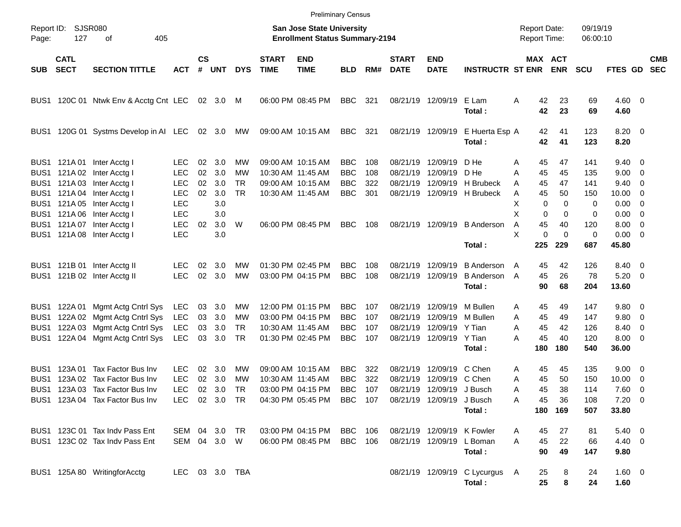|                                                          |                                        |                                                                                     |                                           |                    |                   |                       |                             | <b>Preliminary Census</b>                                          |                                        |                   |                                  |                                                                    |                                                  |                                            |                           |                          |                                            |                          |                          |
|----------------------------------------------------------|----------------------------------------|-------------------------------------------------------------------------------------|-------------------------------------------|--------------------|-------------------|-----------------------|-----------------------------|--------------------------------------------------------------------|----------------------------------------|-------------------|----------------------------------|--------------------------------------------------------------------|--------------------------------------------------|--------------------------------------------|---------------------------|--------------------------|--------------------------------------------|--------------------------|--------------------------|
| Page:                                                    | Report ID: SJSR080<br>127<br>405<br>оf |                                                                                     |                                           |                    |                   |                       |                             | San Jose State University<br><b>Enrollment Status Summary-2194</b> |                                        |                   |                                  |                                                                    |                                                  | <b>Report Date:</b><br><b>Report Time:</b> |                           | 09/19/19<br>06:00:10     |                                            |                          |                          |
| SUB                                                      | <b>CATL</b><br><b>SECT</b>             | <b>SECTION TITTLE</b>                                                               | <b>ACT</b>                                | $\mathsf{cs}$<br># | UNT               | <b>DYS</b>            | <b>START</b><br><b>TIME</b> | <b>END</b><br><b>TIME</b>                                          | <b>BLD</b>                             | RM#               | <b>START</b><br><b>DATE</b>      | <b>END</b><br><b>DATE</b>                                          | <b>INSTRUCTR ST ENR</b>                          |                                            | MAX ACT<br><b>ENR</b>     | <b>SCU</b>               | <b>FTES GD</b>                             |                          | <b>CMB</b><br><b>SEC</b> |
|                                                          |                                        | BUS1 120C 01 Ntwk Env & Acctg Cnt LEC 02 3.0 M                                      |                                           |                    |                   |                       |                             | 06:00 PM 08:45 PM                                                  | <b>BBC</b>                             | 321               |                                  | 08/21/19 12/09/19                                                  | E Lam<br>Total:                                  | Α<br>42<br>42                              | 23<br>23                  | 69<br>69                 | $4.60$ 0<br>4.60                           |                          |                          |
| BUS1                                                     |                                        | 120G 01 Systms Develop in AI LEC                                                    |                                           |                    | 02 3.0            | MW                    |                             | 09:00 AM 10:15 AM                                                  | BBC                                    | 321               | 08/21/19 12/09/19                |                                                                    | E Huerta Esp A<br>Total:                         | 42<br>42                                   | 41<br>41                  | 123<br>123               | $8.20 \ 0$<br>8.20                         |                          |                          |
| BUS <sub>1</sub><br>BUS <sub>1</sub>                     | BUS1 121A01                            | Inter Acctg I<br>121A 02 Inter Acctg I<br>121A 03 Inter Acctg I                     | LEC.<br><b>LEC</b><br><b>LEC</b>          | 02<br>02<br>02     | 3.0<br>3.0<br>3.0 | МW<br>МW<br><b>TR</b> |                             | 09:00 AM 10:15 AM<br>10:30 AM 11:45 AM<br>09:00 AM 10:15 AM        | <b>BBC</b><br><b>BBC</b><br><b>BBC</b> | 108<br>108<br>322 | 08/21/19<br>08/21/19<br>08/21/19 | 12/09/19<br>12/09/19<br>12/09/19                                   | D He<br>D He<br>H Brubeck                        | 45<br>A<br>45<br>A<br>45<br>A              | 47<br>45<br>47            | 141<br>135<br>141        | $9.40 \quad 0$<br>$9.00 \t 0$<br>9.40      | $\overline{\phantom{0}}$ |                          |
| BUS <sub>1</sub><br>BUS <sub>1</sub><br>BUS <sub>1</sub> | 121A 05                                | 121A 04 Inter Acctg I<br>Inter Acctg I<br>121A 06 Inter Acctg I                     | <b>LEC</b><br><b>LEC</b><br><b>LEC</b>    | 02                 | 3.0<br>3.0<br>3.0 | <b>TR</b>             |                             | 10:30 AM 11:45 AM                                                  | <b>BBC</b>                             | 301               |                                  |                                                                    | 08/21/19 12/09/19 H Brubeck                      | 45<br>A<br>X<br>$\mathbf 0$<br>X<br>0      | 50<br>0<br>0              | 150<br>0<br>0            | $10.00 \t 0$<br>$0.00 \t 0$<br>$0.00 \t 0$ |                          |                          |
| BUS <sub>1</sub><br>BUS1                                 |                                        | 121A 07 Inter Acctg I<br>121A 08 Inter Acctg I                                      | <b>LEC</b><br><b>LEC</b>                  | 02                 | 3.0<br>3.0        | W                     |                             | 06:00 PM 08:45 PM                                                  | <b>BBC</b>                             | 108               |                                  | 08/21/19 12/09/19                                                  | <b>B</b> Anderson<br>Total:                      | 45<br>A<br>$\mathbf 0$<br>X<br>225         | 40<br>$\Omega$<br>229     | 120<br>0<br>687          | $8.00 \t 0$<br>$0.00 \t 0$<br>45.80        |                          |                          |
|                                                          |                                        | BUS1 121B 01 Inter Acctg II<br>BUS1 121B 02 Inter Acctg II                          | LEC.<br><b>LEC</b>                        | 02<br>02           | 3.0<br>3.0        | MW<br>MW              |                             | 01:30 PM 02:45 PM<br>03:00 PM 04:15 PM                             | <b>BBC</b><br><b>BBC</b>               | 108<br>108        | 08/21/19<br>08/21/19 12/09/19    | 12/09/19                                                           | <b>B</b> Anderson<br><b>B</b> Anderson<br>Total: | 45<br>A<br>45<br>A<br>90                   | 42<br>26<br>68            | 126<br>78<br>204         | 8.40 0<br>$5.20 \ 0$<br>13.60              |                          |                          |
| BUS1<br>BUS <sub>1</sub><br>BUS1                         | 122A 01<br>122A 03                     | Mgmt Actg Cntrl Sys<br>122A 02 Mgmt Actg Cntrl Sys<br>Mgmt Actg Cntrl Sys           | LEC<br>LEC<br>LEC                         | 03<br>03<br>03     | 3.0<br>3.0<br>3.0 | MW<br>MW<br><b>TR</b> |                             | 12:00 PM 01:15 PM<br>03:00 PM 04:15 PM<br>10:30 AM 11:45 AM        | <b>BBC</b><br><b>BBC</b><br><b>BBC</b> | 107<br>107<br>107 | 08/21/19<br>08/21/19<br>08/21/19 | 12/09/19<br>12/09/19<br>12/09/19                                   | M Bullen<br>M Bullen<br>Y Tian                   | 45<br>Α<br>Α<br>45<br>45<br>Α              | 49<br>49<br>42            | 147<br>147<br>126        | 9.80 0<br>9.80 0<br>8.40 0                 |                          |                          |
| BUS1<br>BUS1                                             | 123A 01                                | 122A 04 Mgmt Actg Cntrl Sys<br>Tax Factor Bus Inv                                   | LEC<br>LEC.                               | 03<br>02           | 3.0<br>3.0        | TR<br>MW              |                             | 01:30 PM 02:45 PM<br>09:00 AM 10:15 AM                             | <b>BBC</b><br><b>BBC</b>               | 107<br>322        | 08/21/19                         | 08/21/19 12/09/19<br>12/09/19                                      | Y Tian<br>Total:<br>C Chen                       | 45<br>А<br>180<br>45                       | 40<br>180<br>45           | 120<br>540<br>135        | $8.00 \t 0$<br>36.00<br>$9.00 \t 0$        |                          |                          |
| BUS1<br>BUS1                                             | 123A 02                                | Tax Factor Bus Inv<br>123A 03 Tax Factor Bus Inv<br>BUS1 123A 04 Tax Factor Bus Inv | <b>LEC</b><br><b>LEC</b><br>LEC 02 3.0 TR | 02<br>02           | 3.0<br>3.0        | МW<br>TR              | 10:30 AM 11:45 AM           | 03:00 PM 04:15 PM<br>04:30 PM 05:45 PM BBC 107                     | <b>BBC</b><br><b>BBC</b>               | 322<br>107        | 08/21/19                         | 12/09/19<br>08/21/19 12/09/19 J Busch<br>08/21/19 12/09/19 J Busch | C Chen<br>Total:                                 | A<br>45<br>Α<br>45<br>Α<br>Α<br>45         | 50<br>38<br>36<br>180 169 | 150<br>114<br>108<br>507 | 10.00<br>7.60 0<br>$7.20 \ 0$<br>33.80     | $\overline{\phantom{0}}$ |                          |
|                                                          |                                        | BUS1 123C 01 Tax Indv Pass Ent<br>BUS1 123C 02 Tax Indv Pass Ent                    | SEM 04 3.0 TR<br>SEM 04 3.0 W             |                    |                   |                       |                             | 03:00 PM 04:15 PM<br>06:00 PM 08:45 PM                             | BBC 106<br><b>BBC</b> 106              |                   |                                  | 08/21/19 12/09/19 K Fowler<br>08/21/19 12/09/19                    | L Boman<br>Total:                                | 45<br>A<br>45<br>A<br>90                   | 27<br>22<br>49            | 81<br>66<br>147          | $5.40\ 0$<br>4.40 0<br>9.80                |                          |                          |
|                                                          |                                        | BUS1 125A 80 WritingforAcctg                                                        | LEC 03 3.0 TBA                            |                    |                   |                       |                             |                                                                    |                                        |                   |                                  |                                                                    | 08/21/19 12/09/19 C Lycurgus A<br>Total:         | 25<br>25                                   | 8<br>8                    | 24<br>24                 | $1.60 \t 0$<br>1.60                        |                          |                          |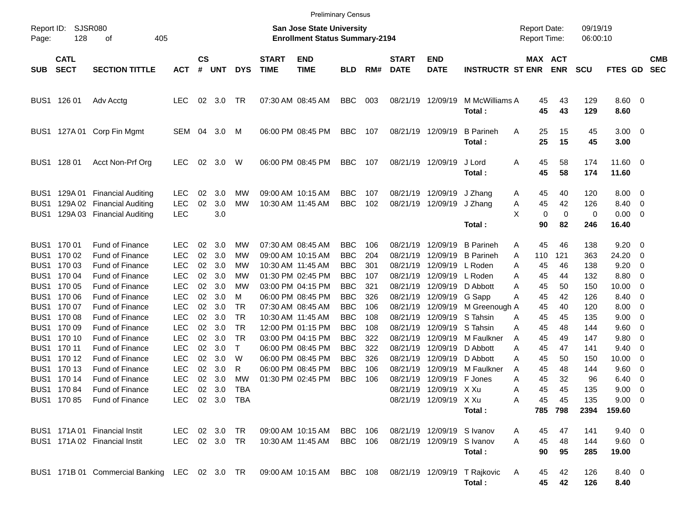|                                                                                                  |                                                                                                                                                                       |                                                                                                                                                                                                                                                                                                                                 |                                                                                                                                                                                                                           |                                                                                        |                                                                                                       |                                                                                                                                   |                                                                           |                                                                                                                                                                                                                                                                                                    | <b>Preliminary Census</b>                                                                                                                                                                        |                                                                                                |                                                                                                                                                                                  |                                                                                                                                                                                                                 |                                                                                                                                                                                                    |                                                                                                                                                                          |                                                                                                          |                                                                                                                     |                                                                                                                                                  |                                                                                                     |                          |
|--------------------------------------------------------------------------------------------------|-----------------------------------------------------------------------------------------------------------------------------------------------------------------------|---------------------------------------------------------------------------------------------------------------------------------------------------------------------------------------------------------------------------------------------------------------------------------------------------------------------------------|---------------------------------------------------------------------------------------------------------------------------------------------------------------------------------------------------------------------------|----------------------------------------------------------------------------------------|-------------------------------------------------------------------------------------------------------|-----------------------------------------------------------------------------------------------------------------------------------|---------------------------------------------------------------------------|----------------------------------------------------------------------------------------------------------------------------------------------------------------------------------------------------------------------------------------------------------------------------------------------------|--------------------------------------------------------------------------------------------------------------------------------------------------------------------------------------------------|------------------------------------------------------------------------------------------------|----------------------------------------------------------------------------------------------------------------------------------------------------------------------------------|-----------------------------------------------------------------------------------------------------------------------------------------------------------------------------------------------------------------|----------------------------------------------------------------------------------------------------------------------------------------------------------------------------------------------------|--------------------------------------------------------------------------------------------------------------------------------------------------------------------------|----------------------------------------------------------------------------------------------------------|---------------------------------------------------------------------------------------------------------------------|--------------------------------------------------------------------------------------------------------------------------------------------------|-----------------------------------------------------------------------------------------------------|--------------------------|
| Report ID:<br>Page:                                                                              | <b>SJSR080</b><br>128                                                                                                                                                 |                                                                                                                                                                                                                                                                                                                                 |                                                                                                                                                                                                                           |                                                                                        |                                                                                                       |                                                                                                                                   | <b>San Jose State University</b><br><b>Enrollment Status Summary-2194</b> |                                                                                                                                                                                                                                                                                                    |                                                                                                                                                                                                  |                                                                                                |                                                                                                                                                                                  |                                                                                                                                                                                                                 | <b>Report Date:</b><br>Report Time:                                                                                                                                                                |                                                                                                                                                                          | 09/19/19<br>06:00:10                                                                                     |                                                                                                                     |                                                                                                                                                  |                                                                                                     |                          |
| <b>SUB</b>                                                                                       | <b>CATL</b><br><b>SECT</b>                                                                                                                                            | <b>SECTION TITTLE</b>                                                                                                                                                                                                                                                                                                           | <b>ACT</b>                                                                                                                                                                                                                | $\mathsf{cs}$<br>#                                                                     | <b>UNT</b>                                                                                            | <b>DYS</b>                                                                                                                        | <b>START</b><br><b>TIME</b>                                               | <b>END</b><br><b>TIME</b>                                                                                                                                                                                                                                                                          | <b>BLD</b>                                                                                                                                                                                       | RM#                                                                                            | <b>START</b><br><b>DATE</b>                                                                                                                                                      | <b>END</b><br><b>DATE</b>                                                                                                                                                                                       | <b>INSTRUCTR ST ENR</b>                                                                                                                                                                            |                                                                                                                                                                          | MAX ACT<br><b>ENR</b>                                                                                    | <b>SCU</b>                                                                                                          | <b>FTES GD</b>                                                                                                                                   |                                                                                                     | <b>CMB</b><br><b>SEC</b> |
|                                                                                                  | BUS1 126 01                                                                                                                                                           | Adv Acctg                                                                                                                                                                                                                                                                                                                       | <b>LEC</b>                                                                                                                                                                                                                | 02                                                                                     | 3.0                                                                                                   | TR                                                                                                                                |                                                                           | 07:30 AM 08:45 AM                                                                                                                                                                                                                                                                                  | <b>BBC</b>                                                                                                                                                                                       | 003                                                                                            | 08/21/19 12/09/19                                                                                                                                                                |                                                                                                                                                                                                                 | M McWilliams A<br>Total:                                                                                                                                                                           | 45<br>45                                                                                                                                                                 | 43<br>43                                                                                                 | 129<br>129                                                                                                          | $8.60$ 0<br>8.60                                                                                                                                 |                                                                                                     |                          |
| BUS1                                                                                             |                                                                                                                                                                       | 127A 01 Corp Fin Mgmt                                                                                                                                                                                                                                                                                                           | SEM 04                                                                                                                                                                                                                    |                                                                                        | 3.0                                                                                                   | М                                                                                                                                 |                                                                           | 06:00 PM 08:45 PM                                                                                                                                                                                                                                                                                  | <b>BBC</b>                                                                                                                                                                                       | 107                                                                                            | 08/21/19 12/09/19                                                                                                                                                                |                                                                                                                                                                                                                 | <b>B</b> Parineh<br>Total:                                                                                                                                                                         | Α<br>25<br>25                                                                                                                                                            | 15<br>15                                                                                                 | 45<br>45                                                                                                            | $3.00 \ 0$<br>3.00                                                                                                                               |                                                                                                     |                          |
|                                                                                                  | BUS1 128 01                                                                                                                                                           | Acct Non-Prf Org                                                                                                                                                                                                                                                                                                                | <b>LEC</b>                                                                                                                                                                                                                | 02                                                                                     | 3.0                                                                                                   | W                                                                                                                                 |                                                                           | 06:00 PM 08:45 PM                                                                                                                                                                                                                                                                                  | <b>BBC</b>                                                                                                                                                                                       | 107                                                                                            | 08/21/19 12/09/19                                                                                                                                                                |                                                                                                                                                                                                                 | J Lord<br>Total:                                                                                                                                                                                   | 45<br>Α<br>45                                                                                                                                                            | 58<br>58                                                                                                 | 174<br>174                                                                                                          | 11.60 0<br>11.60                                                                                                                                 |                                                                                                     |                          |
| BUS1<br>BUS <sub>1</sub><br>BUS1                                                                 | 129A 01                                                                                                                                                               | <b>Financial Auditing</b><br>129A 02 Financial Auditing<br>129A 03 Financial Auditing                                                                                                                                                                                                                                           | <b>LEC</b><br><b>LEC</b><br><b>LEC</b>                                                                                                                                                                                    | 02<br>02                                                                               | 3.0<br>3.0<br>3.0                                                                                     | МW<br>МW                                                                                                                          |                                                                           | 09:00 AM 10:15 AM<br>10:30 AM 11:45 AM                                                                                                                                                                                                                                                             | <b>BBC</b><br><b>BBC</b>                                                                                                                                                                         | 107<br>102                                                                                     | 08/21/19<br>08/21/19                                                                                                                                                             | 12/09/19<br>12/09/19                                                                                                                                                                                            | J Zhang<br>J Zhang<br>Total:                                                                                                                                                                       | 45<br>A<br>45<br>Α<br>X<br>90                                                                                                                                            | 40<br>42<br>0<br>$\mathbf 0$<br>82                                                                       | 120<br>126<br>0<br>246                                                                                              | 8.00<br>8.40<br>0.00<br>16.40                                                                                                                    | $\overline{\phantom{0}}$<br>$\overline{\mathbf{0}}$<br>$\overline{\mathbf{0}}$                      |                          |
| BUS <sub>1</sub><br>BUS1<br>BUS1<br>BUS1<br>BUS1<br>BUS1<br>BUS1<br>BUS1<br>BUS1<br>BUS1<br>BUS1 | BUS1 170 01<br>170 02<br>170 03<br>170 04<br>170 05<br>170 06<br>170 07<br>170 08<br>170 09<br>BUS1 170 10<br>BUS1 170 11<br>170 12<br>170 13<br>170 14<br>BUS1 17084 | <b>Fund of Finance</b><br>Fund of Finance<br>Fund of Finance<br>Fund of Finance<br>Fund of Finance<br>Fund of Finance<br>Fund of Finance<br>Fund of Finance<br>Fund of Finance<br>Fund of Finance<br>Fund of Finance<br>Fund of Finance<br>Fund of Finance<br>Fund of Finance<br>Fund of Finance<br>BUS1 170 85 Fund of Finance | <b>LEC</b><br><b>LEC</b><br><b>LEC</b><br><b>LEC</b><br><b>LEC</b><br><b>LEC</b><br><b>LEC</b><br><b>LEC</b><br><b>LEC</b><br><b>LEC</b><br><b>LEC</b><br><b>LEC</b><br><b>LEC</b><br>LEC<br><b>LEC</b><br>LEC 02 3.0 TBA | 02<br>02<br>02<br>02<br>02<br>02<br>02<br>02<br>02<br>02<br>02<br>02<br>02<br>02<br>02 | 3.0<br>3.0<br>3.0<br>3.0<br>3.0<br>3.0<br>3.0<br>3.0<br>3.0<br>3.0<br>3.0<br>3.0<br>3.0<br>3.0<br>3.0 | МW<br>МW<br>МW<br>МW<br>МW<br>м<br><b>TR</b><br><b>TR</b><br><b>TR</b><br><b>TR</b><br>$\mathsf{T}$<br>W<br>R<br>MW<br><b>TBA</b> |                                                                           | 07:30 AM 08:45 AM<br>09:00 AM 10:15 AM<br>10:30 AM 11:45 AM<br>01:30 PM 02:45 PM<br>03:00 PM 04:15 PM<br>06:00 PM 08:45 PM<br>07:30 AM 08:45 AM<br>10:30 AM 11:45 AM<br>12:00 PM 01:15 PM<br>03:00 PM 04:15 PM<br>06:00 PM 08:45 PM<br>06:00 PM 08:45 PM<br>06:00 PM 08:45 PM<br>01:30 PM 02:45 PM | <b>BBC</b><br><b>BBC</b><br><b>BBC</b><br><b>BBC</b><br><b>BBC</b><br><b>BBC</b><br><b>BBC</b><br><b>BBC</b><br><b>BBC</b><br><b>BBC</b><br><b>BBC</b><br><b>BBC</b><br><b>BBC</b><br><b>BBC</b> | 106<br>204<br>301<br>107<br>321<br>326<br>106<br>108<br>108<br>322<br>322<br>326<br>106<br>106 | 08/21/19<br>08/21/19<br>08/21/19<br>08/21/19<br>08/21/19<br>08/21/19<br>08/21/19<br>08/21/19<br>08/21/19<br>08/21/19<br>08/21/19<br>08/21/19<br>08/21/19<br>08/21/19<br>08/21/19 | 12/09/19<br>12/09/19<br>12/09/19<br>12/09/19<br>12/09/19<br>12/09/19<br>12/09/19<br>12/09/19<br>12/09/19<br>12/09/19<br>12/09/19<br>12/09/19<br>12/09/19<br>12/09/19<br>12/09/19 X Xu<br>08/21/19 12/09/19 X Xu | <b>B</b> Parineh<br><b>B</b> Parineh<br>L Roden<br>L Roden<br>D Abbott<br>G Sapp<br>M Greenough A<br>S Tahsin<br>S Tahsin<br>M Faulkner<br>D Abbott<br>D Abbott<br>M Faulkner<br>F Jones<br>Total: | 45<br>A<br>110<br>A<br>45<br>Α<br>45<br>Α<br>45<br>Α<br>45<br>Α<br>45<br>45<br>Α<br>45<br>Α<br>45<br>A<br>45<br>Α<br>45<br>Α<br>45<br>A<br>Α<br>45<br>45<br>Α<br>Α<br>45 | 46<br>121<br>46<br>44<br>50<br>42<br>40<br>45<br>48<br>49<br>47<br>50<br>48<br>32<br>45<br>45<br>785 798 | 138<br>363<br>138<br>132<br>150<br>126<br>120<br>135<br>144<br>147<br>141<br>150<br>144<br>96<br>135<br>135<br>2394 | 9.20<br>24.20<br>9.20<br>8.80<br>10.00<br>8.40<br>8.00<br>9.00<br>9.60<br>9.80<br>9.40<br>10.00<br>9.60<br>6.40<br>9.00<br>$9.00 \t 0$<br>159.60 | - 0<br>- 0<br>0<br>0<br>0<br>0<br>0<br>0<br>0<br>0<br>0<br>0<br>0<br>$\overline{\mathbf{0}}$<br>- 0 |                          |
|                                                                                                  |                                                                                                                                                                       | BUS1 171A 01 Financial Instit<br>BUS1 171A 02 Financial Instit                                                                                                                                                                                                                                                                  | LEC 02 3.0 TR<br>LEC 02 3.0 TR                                                                                                                                                                                            |                                                                                        |                                                                                                       |                                                                                                                                   |                                                                           | 09:00 AM 10:15 AM<br>10:30 AM 11:45 AM                                                                                                                                                                                                                                                             | <b>BBC</b> 106<br><b>BBC</b> 106                                                                                                                                                                 |                                                                                                |                                                                                                                                                                                  | 08/21/19 12/09/19 S Ivanov<br>08/21/19 12/09/19 S Ivanov                                                                                                                                                        | Total:                                                                                                                                                                                             | 45<br>A<br>45<br>A<br>90                                                                                                                                                 | 47<br>48<br>95                                                                                           | 141<br>144<br>285                                                                                                   | $9.40 \quad 0$<br>9.60 0<br>19.00                                                                                                                |                                                                                                     |                          |
|                                                                                                  |                                                                                                                                                                       | BUS1 171B 01 Commercial Banking LEC 02 3.0 TR 09:00 AM 10:15 AM BBC 108 08/21/19 12/09/19 T Rajkovic                                                                                                                                                                                                                            |                                                                                                                                                                                                                           |                                                                                        |                                                                                                       |                                                                                                                                   |                                                                           |                                                                                                                                                                                                                                                                                                    |                                                                                                                                                                                                  |                                                                                                |                                                                                                                                                                                  |                                                                                                                                                                                                                 | Total:                                                                                                                                                                                             | A<br>45                                                                                                                                                                  | 42<br>45<br>42                                                                                           | 126<br>126                                                                                                          | 8.40 0<br>8.40                                                                                                                                   |                                                                                                     |                          |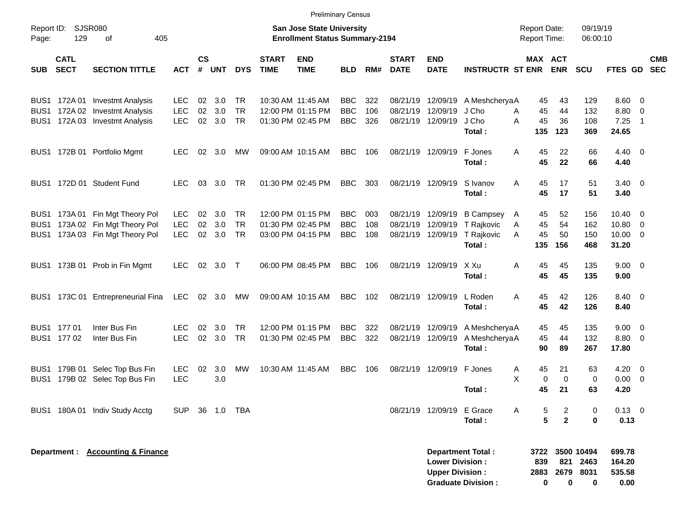|                     |                            |                                                                                                       |                                        |                |                   |                                     |                             |                                                                           | <b>Preliminary Census</b>              |                   |                             |                                                             |                                                        |                                            |                       |                                        |                                                  |                          |            |
|---------------------|----------------------------|-------------------------------------------------------------------------------------------------------|----------------------------------------|----------------|-------------------|-------------------------------------|-----------------------------|---------------------------------------------------------------------------|----------------------------------------|-------------------|-----------------------------|-------------------------------------------------------------|--------------------------------------------------------|--------------------------------------------|-----------------------|----------------------------------------|--------------------------------------------------|--------------------------|------------|
| Report ID:<br>Page: | 129                        | SJSR080<br>405<br>οf                                                                                  |                                        |                |                   |                                     |                             | <b>San Jose State University</b><br><b>Enrollment Status Summary-2194</b> |                                        |                   |                             |                                                             |                                                        | <b>Report Date:</b><br><b>Report Time:</b> |                       | 09/19/19<br>06:00:10                   |                                                  |                          |            |
| <b>SUB</b>          | <b>CATL</b><br><b>SECT</b> | <b>SECTION TITTLE</b>                                                                                 | <b>ACT</b>                             | $\mathsf{cs}$  | # UNT             | <b>DYS</b>                          | <b>START</b><br><b>TIME</b> | <b>END</b><br><b>TIME</b>                                                 | <b>BLD</b>                             | RM#               | <b>START</b><br><b>DATE</b> | <b>END</b><br><b>DATE</b>                                   | <b>INSTRUCTR ST ENR</b>                                | MAX ACT                                    | <b>ENR</b>            | <b>SCU</b>                             | FTES GD SEC                                      |                          | <b>CMB</b> |
|                     |                            | BUS1 172A 01 Investmt Analysis<br>BUS1 172A 02 Investmt Analysis<br>BUS1 172A 03 Investmt Analysis    | <b>LEC</b><br><b>LEC</b><br>LEC        | 02<br>02<br>02 | 3.0<br>3.0<br>3.0 | <b>TR</b><br><b>TR</b><br><b>TR</b> |                             | 10:30 AM 11:45 AM<br>12:00 PM 01:15 PM<br>01:30 PM 02:45 PM               | <b>BBC</b><br><b>BBC</b><br><b>BBC</b> | 322<br>106<br>326 |                             | 08/21/19 12/09/19<br>08/21/19 12/09/19<br>08/21/19 12/09/19 | A MeshcheryaA<br>J Cho<br>J Cho<br>Total:              | 45<br>45<br>A<br>45<br>A<br>135            | 43<br>44<br>36<br>123 | 129<br>132<br>108<br>369               | $8.60 \quad 0$<br>8.80 0<br>7.25<br>24.65        | $\overline{\phantom{1}}$ |            |
|                     |                            | BUS1 172B 01 Portfolio Mgmt                                                                           | <b>LEC</b>                             | 02             | 3.0               | MW                                  |                             | 09:00 AM 10:15 AM                                                         | <b>BBC</b>                             | 106               |                             | 08/21/19 12/09/19                                           | F Jones<br>Total:                                      | 45<br>A<br>45                              | 22<br>22              | 66<br>66                               | $4.40 \quad 0$<br>4.40                           |                          |            |
|                     |                            | BUS1 172D 01 Student Fund                                                                             | <b>LEC</b>                             | 03             | 3.0               | <b>TR</b>                           |                             | 01:30 PM 02:45 PM                                                         | <b>BBC</b>                             | 303               |                             | 08/21/19 12/09/19                                           | S Ivanov<br>Total:                                     | A<br>45<br>45                              | 17<br>17              | 51<br>51                               | $3.40 \ 0$<br>3.40                               |                          |            |
|                     |                            | BUS1 173A 01 Fin Mgt Theory Pol<br>BUS1 173A 02 Fin Mgt Theory Pol<br>BUS1 173A 03 Fin Mgt Theory Pol | <b>LEC</b><br><b>LEC</b><br><b>LEC</b> | 02<br>02<br>02 | 3.0<br>3.0<br>3.0 | <b>TR</b><br><b>TR</b><br><b>TR</b> |                             | 12:00 PM 01:15 PM<br>01:30 PM 02:45 PM<br>03:00 PM 04:15 PM               | <b>BBC</b><br><b>BBC</b><br><b>BBC</b> | 003<br>108<br>108 |                             | 08/21/19 12/09/19<br>08/21/19 12/09/19<br>08/21/19 12/09/19 | <b>B Campsey</b><br>T Rajkovic<br>T Rajkovic<br>Total: | 45<br>A<br>45<br>A<br>45<br>A<br>135       | 52<br>54<br>50<br>156 | 156<br>162<br>150<br>468               | $10.40 \t 0$<br>10.80 0<br>$10.00 \t 0$<br>31.20 |                          |            |
|                     |                            | BUS1 173B 01 Prob in Fin Mgmt                                                                         | LEC.                                   | 02             | $3.0$ T           |                                     |                             | 06:00 PM 08:45 PM                                                         | <b>BBC</b>                             | 106               |                             | 08/21/19 12/09/19                                           | X Xu<br>Total:                                         | A<br>45<br>45                              | 45<br>45              | 135<br>135                             | $9.00 \t 0$<br>9.00                              |                          |            |
|                     |                            | BUS1 173C 01 Entrepreneurial Fina                                                                     | LEC                                    |                | 02 3.0            | MW                                  |                             | 09:00 AM 10:15 AM                                                         | <b>BBC</b>                             | 102               |                             | 08/21/19 12/09/19                                           | L Roden<br>Total:                                      | 45<br>A<br>45                              | 42<br>42              | 126<br>126                             | 8.40 0<br>8.40                                   |                          |            |
|                     | BUS1 177 01<br>BUS1 177 02 | Inter Bus Fin<br>Inter Bus Fin                                                                        | LEC<br>LEC                             | 02<br>02       | 3.0<br>3.0        | <b>TR</b><br><b>TR</b>              |                             | 12:00 PM 01:15 PM<br>01:30 PM 02:45 PM                                    | <b>BBC</b><br><b>BBC</b>               | 322<br>322        |                             | 08/21/19 12/09/19<br>08/21/19 12/09/19                      | A MeshcheryaA<br>A MeshcheryaA<br>Total:               | 45<br>45<br>90                             | 45<br>44<br>89        | 135<br>132<br>267                      | $9.00 \t 0$<br>8.80 0<br>17.80                   |                          |            |
| BUS1                |                            | BUS1 179B 01 Selec Top Bus Fin<br>179B 02 Selec Top Bus Fin                                           | <b>LEC</b><br>LEC                      | 02             | 3.0<br>3.0        | MW                                  |                             | 10:30 AM 11:45 AM                                                         | <b>BBC</b>                             | 106               |                             | 08/21/19 12/09/19 F Jones                                   | Total:                                                 | 45<br>A<br>Χ<br>0<br>45                    | 21<br>$\Omega$<br>21  | 63<br>$\mathbf 0$<br>63                | $4.20 \ 0$<br>$0.00 \t 0$<br>4.20                |                          |            |
|                     |                            | BUS1 180A 01 Indiv Study Acctg                                                                        | SUP.                                   |                | 36 1.0            | TBA                                 |                             |                                                                           |                                        |                   |                             | 08/21/19 12/09/19 E Grace                                   | Total:                                                 | 5<br>Α<br>5                                | 2<br>$\overline{2}$   | 0<br>0                                 | $0.13 \ 0$<br>0.13                               |                          |            |
|                     |                            | Department : Accounting & Finance                                                                     |                                        |                |                   |                                     |                             |                                                                           |                                        |                   |                             | <b>Lower Division:</b><br><b>Upper Division:</b>            | <b>Department Total:</b><br><b>Graduate Division:</b>  | 3722<br>839<br>2883<br>0                   | 821<br>2679<br>0      | 3500 10494<br>2463<br>8031<br>$\bf{0}$ | 699.78<br>164.20<br>535.58<br>0.00               |                          |            |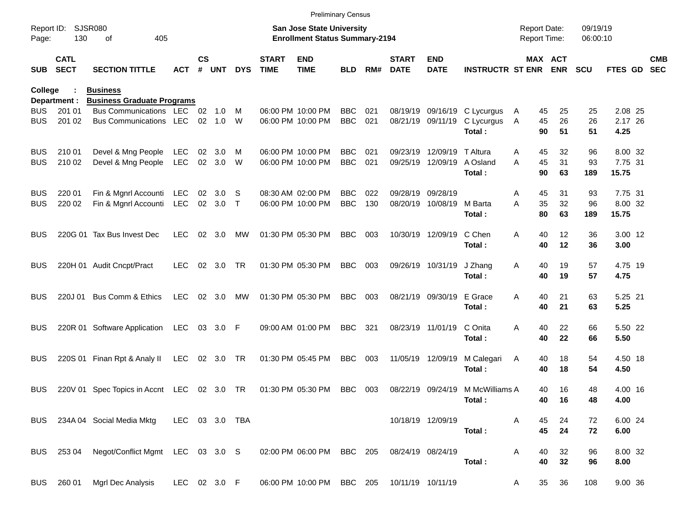|            |                            |                                              |              |                    |                |            |                             | <b>Preliminary Census</b>                                                 |                          |     |                             |                           |                                  |                                     |          |                      |                 |                          |
|------------|----------------------------|----------------------------------------------|--------------|--------------------|----------------|------------|-----------------------------|---------------------------------------------------------------------------|--------------------------|-----|-----------------------------|---------------------------|----------------------------------|-------------------------------------|----------|----------------------|-----------------|--------------------------|
| Page:      | Report ID: SJSR080<br>130  | 405<br>οf                                    |              |                    |                |            |                             | <b>San Jose State University</b><br><b>Enrollment Status Summary-2194</b> |                          |     |                             |                           |                                  | <b>Report Date:</b><br>Report Time: |          | 09/19/19<br>06:00:10 |                 |                          |
| <b>SUB</b> | <b>CATL</b><br><b>SECT</b> | <b>SECTION TITTLE</b>                        | <b>ACT</b>   | $\mathsf{cs}$<br># | <b>UNT</b>     | <b>DYS</b> | <b>START</b><br><b>TIME</b> | <b>END</b><br><b>TIME</b>                                                 | <b>BLD</b>               | RM# | <b>START</b><br><b>DATE</b> | <b>END</b><br><b>DATE</b> | <b>INSTRUCTR ST ENR ENR</b>      |                                     | MAX ACT  | <b>SCU</b>           | FTES GD         | <b>CMB</b><br><b>SEC</b> |
| College    |                            | <b>Business</b>                              |              |                    |                |            |                             |                                                                           |                          |     |                             |                           |                                  |                                     |          |                      |                 |                          |
|            | Department :               | <b>Business Graduate Programs</b>            |              |                    |                |            |                             |                                                                           |                          |     |                             |                           |                                  |                                     |          |                      |                 |                          |
| <b>BUS</b> | 201 01                     | Bus Communications LEC 02 1.0                |              |                    | $02 \quad 1.0$ | M<br>W     |                             | 06:00 PM 10:00 PM<br>06:00 PM 10:00 PM                                    | <b>BBC</b><br><b>BBC</b> | 021 |                             |                           | 08/19/19 09/16/19 C Lycurgus     | 45<br>A                             | 25       | 25<br>26             | 2.08 25         |                          |
| <b>BUS</b> | 201 02                     | Bus Communications LEC                       |              |                    |                |            |                             |                                                                           |                          | 021 |                             | 08/21/19 09/11/19         | C Lycurgus<br>Total:             | 45<br>A<br>90                       | 26<br>51 | 51                   | 2.17 26<br>4.25 |                          |
| <b>BUS</b> | 210 01                     | Devel & Mng People                           | LEC          | 02                 | 3.0            | M          |                             | 06:00 PM 10:00 PM                                                         | <b>BBC</b>               | 021 |                             | 09/23/19 12/09/19         | T Altura                         | 45<br>A                             | 32       | 96                   | 8.00 32         |                          |
| <b>BUS</b> | 210 02                     | Devel & Mng People                           | LEC          |                    | 02 3.0         | W          |                             | 06:00 PM 10:00 PM                                                         | <b>BBC</b>               | 021 |                             | 09/25/19 12/09/19         | A Osland                         | 45<br>A                             | 31       | 93                   | 7.75 31         |                          |
|            |                            |                                              |              |                    |                |            |                             |                                                                           |                          |     |                             |                           | Total:                           | 90                                  | 63       | 189                  | 15.75           |                          |
| <b>BUS</b> | 220 01                     | Fin & Mgnrl Accounti                         | LEC          | 02                 | 3.0            | S          |                             | 08:30 AM 02:00 PM                                                         | <b>BBC</b>               | 022 |                             | 09/28/19 09/28/19         |                                  | 45<br>A                             | 31       | 93                   | 7.75 31         |                          |
| <b>BUS</b> | 220 02                     | Fin & Mgnrl Accounti                         | LEC          |                    | 02 3.0         | $\top$     |                             | 06:00 PM 10:00 PM                                                         | <b>BBC</b>               | 130 |                             | 08/20/19 10/08/19         | M Barta                          | A<br>35                             | 32       | 96                   | 8.00 32         |                          |
|            |                            |                                              |              |                    |                |            |                             |                                                                           |                          |     |                             |                           | Total:                           | 80                                  | 63       | 189                  | 15.75           |                          |
| <b>BUS</b> |                            | 220G 01 Tax Bus Invest Dec                   | <b>LEC</b>   |                    | 02 3.0         | МW         |                             | 01:30 PM 05:30 PM                                                         | <b>BBC</b>               | 003 |                             | 10/30/19 12/09/19         | C Chen                           | A<br>40                             | 12       | 36                   | 3.00 12         |                          |
|            |                            |                                              |              |                    |                |            |                             |                                                                           |                          |     |                             |                           | Total:                           | 40                                  | 12       | 36                   | 3.00            |                          |
| <b>BUS</b> |                            | 220H 01 Audit Cncpt/Pract                    | <b>LEC</b>   |                    | 02 3.0         | <b>TR</b>  |                             | 01:30 PM 05:30 PM                                                         | <b>BBC</b>               | 003 |                             | 09/26/19 10/31/19         | J Zhang                          | Α<br>40                             | 19       | 57                   | 4.75 19         |                          |
|            |                            |                                              |              |                    |                |            |                             |                                                                           |                          |     |                             |                           | Total:                           | 40                                  | 19       | 57                   | 4.75            |                          |
| <b>BUS</b> | 220J 01                    | Bus Comm & Ethics                            | LEC          |                    | 02 3.0         | МW         |                             | 01:30 PM 05:30 PM                                                         | <b>BBC</b>               | 003 |                             | 08/21/19 09/30/19         | E Grace                          | A<br>40                             | 21       | 63                   | 5.25 21         |                          |
|            |                            |                                              |              |                    |                |            |                             |                                                                           |                          |     |                             |                           | Total:                           | 40                                  | 21       | 63                   | 5.25            |                          |
| <b>BUS</b> |                            | 220R 01 Software Application                 | LEC 03 3.0 F |                    |                |            |                             | 09:00 AM 01:00 PM                                                         | <b>BBC</b>               | 321 |                             | 08/23/19 11/01/19         | C Onita                          | A<br>40                             | 22       | 66                   | 5.50 22         |                          |
|            |                            |                                              |              |                    |                |            |                             |                                                                           |                          |     |                             |                           | Total:                           | 40                                  | 22       | 66                   | 5.50            |                          |
| <b>BUS</b> |                            | 220S 01 Finan Rpt & Analy II                 | LEC          |                    | 02 3.0         | TR         |                             | 01:30 PM 05:45 PM                                                         | <b>BBC</b>               | 003 |                             | 11/05/19 12/09/19         | M Calegari                       | A<br>40                             | 18       | 54                   | 4.50 18         |                          |
|            |                            |                                              |              |                    |                |            |                             |                                                                           |                          |     |                             |                           | Total:                           | 40                                  | 18       | 54                   | 4.50            |                          |
| <b>BUS</b> |                            | 220V 01 Spec Topics in Accnt LEC 02 3.0 TR   |              |                    |                |            |                             | 01:30 PM 05:30 PM                                                         | <b>BBC</b>               | 003 |                             |                           | 08/22/19 09/24/19 M McWilliams A | 40                                  | 16       | 48                   | 4.00 16         |                          |
|            |                            |                                              |              |                    |                |            |                             |                                                                           |                          |     |                             |                           | Total:                           |                                     | 40 16    | 48                   | 4.00            |                          |
|            |                            | BUS 234A 04 Social Media Mktg LEC 03 3.0 TBA |              |                    |                |            |                             |                                                                           |                          |     |                             | 10/18/19 12/09/19         |                                  | A<br>45                             | 24       | 72                   | 6.00 24         |                          |
|            |                            |                                              |              |                    |                |            |                             |                                                                           |                          |     |                             |                           | Total:                           | 45                                  | 24       | 72                   | 6.00            |                          |
|            |                            | BUS 253 04 Negot/Conflict Mgmt LEC 03 3.0 S  |              |                    |                |            |                             | 02:00 PM 06:00 PM                                                         | BBC 205                  |     | 08/24/19 08/24/19           |                           |                                  | 40<br>A                             | 32       | 96                   | 8.00 32         |                          |
|            |                            |                                              |              |                    |                |            |                             |                                                                           |                          |     |                             |                           | Total:                           | 40                                  | 32       | 96                   | 8.00            |                          |
|            |                            | BUS 260 01 Mgrl Dec Analysis LEC 02 3.0 F    |              |                    |                |            |                             | 06:00 PM 10:00 PM BBC 205 10/11/19 10/11/19                               |                          |     |                             |                           |                                  | A                                   | 35 36    | 108                  | 9.00 36         |                          |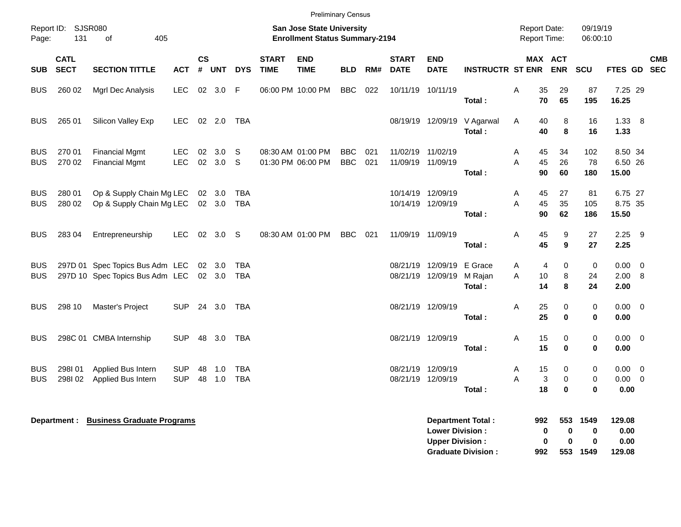|                          |                            |                                                                                  |                          |                             |                  |                   |                                                                    | <b>Preliminary Census</b>              |                          |            |                                        |                                                  |                                            |        |                |                            |                              |                             |                         |            |
|--------------------------|----------------------------|----------------------------------------------------------------------------------|--------------------------|-----------------------------|------------------|-------------------|--------------------------------------------------------------------|----------------------------------------|--------------------------|------------|----------------------------------------|--------------------------------------------------|--------------------------------------------|--------|----------------|----------------------------|------------------------------|-----------------------------|-------------------------|------------|
| Page:                    | Report ID: SJSR080<br>131  | 405<br>of                                                                        |                          |                             |                  |                   | San Jose State University<br><b>Enrollment Status Summary-2194</b> |                                        |                          |            |                                        |                                                  | <b>Report Date:</b><br><b>Report Time:</b> |        |                | 09/19/19<br>06:00:10       |                              |                             |                         |            |
| <b>SUB</b>               | <b>CATL</b><br><b>SECT</b> | <b>SECTION TITTLE</b>                                                            | ACT                      | $\mathsf{cs}$<br>$\pmb{\#}$ | UNT              | <b>DYS</b>        | <b>START</b><br><b>TIME</b>                                        | <b>END</b><br><b>TIME</b>              | <b>BLD</b>               | RM#        | <b>START</b><br><b>DATE</b>            | <b>END</b><br><b>DATE</b>                        | <b>INSTRUCTR ST ENR ENR</b>                |        | MAX ACT        |                            | <b>SCU</b>                   | FTES GD SEC                 |                         | <b>CMB</b> |
| <b>BUS</b>               | 260 02                     | Mgrl Dec Analysis                                                                | LEC.                     | 02                          | 3.0              | -F                |                                                                    | 06:00 PM 10:00 PM                      | <b>BBC</b>               | 022        | 10/11/19 10/11/19                      |                                                  | Total:                                     | A      | 35<br>70       | 29<br>65                   | 87<br>195                    | 7.25 29<br>16.25            |                         |            |
| <b>BUS</b>               | 265 01                     | Silicon Valley Exp                                                               | LEC.                     |                             | 02 2.0           | <b>TBA</b>        |                                                                    |                                        |                          |            |                                        | 08/19/19 12/09/19                                | V Agarwal<br>Total:                        | Α      | 40<br>40       | 8<br>8                     | 16<br>16                     | 1.33 8<br>1.33              |                         |            |
| <b>BUS</b><br><b>BUS</b> | 270 01<br>270 02           | <b>Financial Mgmt</b><br><b>Financial Mgmt</b>                                   | <b>LEC</b><br><b>LEC</b> | 02                          | 3.0<br>02 3.0    | S<br>S            |                                                                    | 08:30 AM 01:00 PM<br>01:30 PM 06:00 PM | <b>BBC</b><br><b>BBC</b> | 021<br>021 | 11/02/19<br>11/09/19 11/09/19          | 11/02/19                                         | Total:                                     | Α<br>A | 45<br>45<br>90 | 34<br>26<br>60             | 102<br>78<br>180             | 8.50 34<br>6.50 26<br>15.00 |                         |            |
| <b>BUS</b><br>BUS        | 280 01<br>280 02           | Op & Supply Chain Mg LEC<br>Op & Supply Chain Mg LEC                             |                          |                             | 02 3.0<br>02 3.0 | <b>TBA</b><br>TBA |                                                                    |                                        |                          |            | 10/14/19 12/09/19                      | 10/14/19 12/09/19                                | Total:                                     | Α<br>A | 45<br>45<br>90 | 27<br>35<br>62             | 81<br>105<br>186             | 6.75 27<br>8.75 35<br>15.50 |                         |            |
| <b>BUS</b>               | 283 04                     | Entrepreneurship                                                                 | LEC.                     |                             | 02 3.0           | S.                |                                                                    | 08:30 AM 01:00 PM                      | <b>BBC</b>               | 021        | 11/09/19 11/09/19                      |                                                  | Total:                                     | Α      | 45<br>45       | 9<br>9                     | 27<br>27                     | $2.25$ 9<br>2.25            |                         |            |
| <b>BUS</b><br><b>BUS</b> |                            | 297D 01 Spec Topics Bus Adm LEC 02 3.0<br>297D 10 Spec Topics Bus Adm LEC 02 3.0 |                          |                             |                  | TBA<br><b>TBA</b> |                                                                    |                                        |                          |            | 08/21/19                               | 12/09/19<br>08/21/19 12/09/19                    | E Grace<br>M Rajan<br>Total:               | Α<br>A | 4<br>10<br>14  | 0<br>8<br>8                | $\mathbf 0$<br>24<br>24      | $0.00 \t 0$<br>2.00<br>2.00 | - 8                     |            |
| <b>BUS</b>               | 298 10                     | Master's Project                                                                 | <b>SUP</b>               |                             | 24 3.0           | TBA               |                                                                    |                                        |                          |            | 08/21/19 12/09/19                      |                                                  | Total:                                     | A      | 25<br>25       | $\mathbf 0$<br>$\mathbf 0$ | 0<br>$\mathbf 0$             | $0.00 \t 0$<br>0.00         |                         |            |
| <b>BUS</b>               |                            | 298C 01 CMBA Internship                                                          | <b>SUP</b>               | 48                          | 3.0              | TBA               |                                                                    |                                        |                          |            | 08/21/19 12/09/19                      |                                                  | Total:                                     | Α      | 15<br>15       | 0<br>$\bf{0}$              | 0<br>$\mathbf 0$             | $0.00 \quad 0$<br>0.00      |                         |            |
| <b>BUS</b><br><b>BUS</b> | 298101<br>298I02           | Applied Bus Intern<br>Applied Bus Intern                                         | <b>SUP</b><br><b>SUP</b> | 48<br>48                    | 1.0<br>1.0       | TBA<br><b>TBA</b> |                                                                    |                                        |                          |            | 08/21/19 12/09/19<br>08/21/19 12/09/19 |                                                  | Total :                                    | Α<br>A | 15<br>3<br>18  | 0<br>$\mathbf 0$<br>0      | 0<br>$\mathbf 0$<br>0        | 0.00<br>$0.00 \t 0$<br>0.00 | $\overline{\mathbf{0}}$ |            |
|                          |                            | Department : Business Graduate Programs                                          |                          |                             |                  |                   |                                                                    |                                        |                          |            |                                        | <b>Lower Division:</b><br><b>Upper Division:</b> | <b>Department Total:</b>                   |        | 992<br>0<br>0  | 553<br>0<br>$\bf{0}$       | 1549<br>$\bf{0}$<br>$\bf{0}$ | 129.08<br>0.00<br>0.00      |                         |            |

**Graduate Division : 992 553 1549 129.08**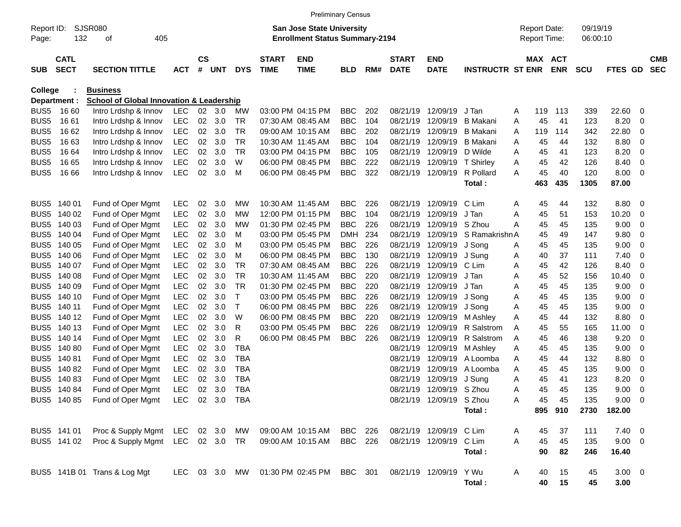|                  |                                           |                                                     |            |                |        |            |                             | <b>Preliminary Census</b>                                                 |            |     |                             |                           |                         |   |                                            |            |                      |                |   |                          |
|------------------|-------------------------------------------|-----------------------------------------------------|------------|----------------|--------|------------|-----------------------------|---------------------------------------------------------------------------|------------|-----|-----------------------------|---------------------------|-------------------------|---|--------------------------------------------|------------|----------------------|----------------|---|--------------------------|
| Page:            | SJSR080<br>Report ID:<br>132<br>405<br>οf |                                                     |            |                |        |            |                             | <b>San Jose State University</b><br><b>Enrollment Status Summary-2194</b> |            |     |                             |                           |                         |   | <b>Report Date:</b><br><b>Report Time:</b> |            | 09/19/19<br>06:00:10 |                |   |                          |
| <b>SUB</b>       | <b>CATL</b><br><b>SECT</b>                | <b>SECTION TITTLE</b>                               | <b>ACT</b> | <b>CS</b><br># | UNT    | <b>DYS</b> | <b>START</b><br><b>TIME</b> | <b>END</b><br><b>TIME</b>                                                 | <b>BLD</b> | RM# | <b>START</b><br><b>DATE</b> | <b>END</b><br><b>DATE</b> | <b>INSTRUCTR ST ENR</b> |   | MAX ACT                                    | <b>ENR</b> | <b>SCU</b>           | <b>FTES GD</b> |   | <b>CMB</b><br><b>SEC</b> |
| College          |                                           | <b>Business</b>                                     |            |                |        |            |                             |                                                                           |            |     |                             |                           |                         |   |                                            |            |                      |                |   |                          |
|                  | Department :                              | <b>School of Global Innovation &amp; Leadership</b> |            |                |        |            |                             |                                                                           |            |     |                             |                           |                         |   |                                            |            |                      |                |   |                          |
| BUS <sub>5</sub> | 16 60                                     | Intro Lrdshp & Innov                                | LEC        | 02             | - 3.0  | MW         |                             | 03:00 PM 04:15 PM                                                         | <b>BBC</b> | 202 | 08/21/19                    | 12/09/19                  | J Tan                   | A | 119                                        | 113        | 339                  | 22.60          | 0 |                          |
| BUS <sub>5</sub> | 16 61                                     | Intro Lrdshp & Innov                                | LEC        |                | 02 3.0 | TR         |                             | 07:30 AM 08:45 AM                                                         | <b>BBC</b> | 104 | 08/21/19                    | 12/09/19                  | <b>B</b> Makani         | Α | 45                                         | 41         | 123                  | 8.20           | 0 |                          |
| BUS <sub>5</sub> | 16 62                                     | Intro Lrdshp & Innov                                | <b>LEC</b> | 02             | 3.0    | TR         |                             | 09:00 AM 10:15 AM                                                         | <b>BBC</b> | 202 | 08/21/19                    | 12/09/19                  | <b>B</b> Makani         | A | 119                                        | 114        | 342                  | 22.80          | 0 |                          |
| BUS <sub>5</sub> | 16 63                                     | Intro Lrdshp & Innov                                | <b>LEC</b> | 02             | 3.0    | TR         |                             | 10:30 AM 11:45 AM                                                         | <b>BBC</b> | 104 | 08/21/19                    | 12/09/19                  | <b>B</b> Makani         | Α | 45                                         | 44         | 132                  | 8.80           | 0 |                          |
| BUS <sub>5</sub> | 16 64                                     | Intro Lrdshp & Innov                                | <b>LEC</b> | $02\,$         | 3.0    | TR         |                             | 03:00 PM 04:15 PM                                                         | <b>BBC</b> | 105 | 08/21/19                    | 12/09/19                  | D Wilde                 | A | 45                                         | 41         | 123                  | 8.20           | 0 |                          |
| BUS <sub>5</sub> | 16 65                                     | Intro Lrdshp & Innov                                | <b>LEC</b> | 02             | 3.0    | W          |                             | 06:00 PM 08:45 PM                                                         | <b>BBC</b> | 222 | 08/21/19                    | 12/09/19                  | T Shirley               | A | 45                                         | 42         | 126                  | 8.40           | 0 |                          |
| BUS <sub>5</sub> | 16 66                                     | Intro Lrdshp & Innov                                | <b>LEC</b> | 02             | 3.0    | м          |                             | 06:00 PM 08:45 PM                                                         | <b>BBC</b> | 322 | 08/21/19                    | 12/09/19                  | R Pollard               | A | 45                                         | 40         | 120                  | 8.00           | 0 |                          |
|                  |                                           |                                                     |            |                |        |            |                             |                                                                           |            |     |                             |                           | Total:                  |   | 463                                        | 435        | 1305                 | 87.00          |   |                          |
| BUS <sub>5</sub> | 140 01                                    | Fund of Oper Mgmt                                   | LEC        | 02             | 3.0    | МW         |                             | 10:30 AM 11:45 AM                                                         | <b>BBC</b> | 226 | 08/21/19                    | 12/09/19                  | C Lim                   | A | 45                                         | 44         | 132                  | 8.80           | 0 |                          |
| BUS <sub>5</sub> | 140 02                                    | Fund of Oper Mgmt                                   | <b>LEC</b> | $02\,$         | 3.0    | MW         |                             | 12:00 PM 01:15 PM                                                         | <b>BBC</b> | 104 | 08/21/19                    | 12/09/19                  | J Tan                   | A | 45                                         | 51         | 153                  | 10.20          | 0 |                          |
| BUS <sub>5</sub> | 140 03                                    | Fund of Oper Mgmt                                   | <b>LEC</b> | 02             | 3.0    | MW         |                             | 01:30 PM 02:45 PM                                                         | <b>BBC</b> | 226 | 08/21/19                    | 12/09/19                  | S Zhou                  | A | 45                                         | 45         | 135                  | 9.00           | 0 |                          |
| BUS <sub>5</sub> | 140 04                                    | Fund of Oper Mgmt                                   | <b>LEC</b> | $02\,$         | 3.0    | м          |                             | 03:00 PM 05:45 PM                                                         | <b>DMH</b> | 234 | 08/21/19                    | 12/09/19                  | S Ramakrishn A          |   | 45                                         | 49         | 147                  | 9.80           | 0 |                          |
| BUS <sub>5</sub> | 140 05                                    | Fund of Oper Mgmt                                   | <b>LEC</b> | $02\,$         | 3.0    | м          |                             | 03:00 PM 05:45 PM                                                         | <b>BBC</b> | 226 | 08/21/19                    | 12/09/19                  | J Song                  | A | 45                                         | 45         | 135                  | 9.00           | 0 |                          |
| BUS <sub>5</sub> | 140 06                                    | Fund of Oper Mgmt                                   | <b>LEC</b> | 02             | 3.0    | м          |                             | 06:00 PM 08:45 PM                                                         | <b>BBC</b> | 130 | 08/21/19                    | 12/09/19                  | J Sung                  | A | 40                                         | 37         | 111                  | 7.40           | 0 |                          |
| BUS <sub>5</sub> | 140 07                                    | Fund of Oper Mgmt                                   | <b>LEC</b> | 02             | 3.0    | TR         |                             | 07:30 AM 08:45 AM                                                         | <b>BBC</b> | 226 | 08/21/19                    | 12/09/19                  | C Lim                   | Α | 45                                         | 42         | 126                  | 8.40           | 0 |                          |
| BUS <sub>5</sub> | 140 08                                    | Fund of Oper Mgmt                                   | <b>LEC</b> | $02\,$         | 3.0    | TR         |                             | 10:30 AM 11:45 AM                                                         | <b>BBC</b> | 220 | 08/21/19                    | 12/09/19                  | J Tan                   | Α | 45                                         | 52         | 156                  | 10.40          | 0 |                          |
| BUS <sub>5</sub> | 140 09                                    | Fund of Oper Mgmt                                   | <b>LEC</b> | 02             | 3.0    | TR         |                             | 01:30 PM 02:45 PM                                                         | <b>BBC</b> | 220 | 08/21/19                    | 12/09/19                  | J Tan                   | A | 45                                         | 45         | 135                  | 9.00           | 0 |                          |
| BUS <sub>5</sub> | 140 10                                    | Fund of Oper Mgmt                                   | <b>LEC</b> | 02             | 3.0    | Т          |                             | 03:00 PM 05:45 PM                                                         | <b>BBC</b> | 226 | 08/21/19                    | 12/09/19                  | J Song                  | Α | 45                                         | 45         | 135                  | 9.00           | 0 |                          |
| BUS <sub>5</sub> | 140 11                                    | Fund of Oper Mgmt                                   | <b>LEC</b> | 02             | 3.0    | Т          |                             | 06:00 PM 08:45 PM                                                         | <b>BBC</b> | 226 | 08/21/19                    | 12/09/19                  | J Song                  | Α | 45                                         | 45         | 135                  | 9.00           | 0 |                          |
| BUS <sub>5</sub> | 140 12                                    | Fund of Oper Mgmt                                   | <b>LEC</b> | 02             | 3.0    | W          |                             | 06:00 PM 08:45 PM                                                         | <b>BBC</b> | 220 | 08/21/19                    | 12/09/19                  | M Ashley                | Α | 45                                         | 44         | 132                  | 8.80           | 0 |                          |
| BUS <sub>5</sub> | 140 13                                    | Fund of Oper Mgmt                                   | <b>LEC</b> | 02             | 3.0    | R          |                             | 03:00 PM 05:45 PM                                                         | <b>BBC</b> | 226 | 08/21/19                    | 12/09/19                  | <b>R</b> Salstrom       | A | 45                                         | 55         | 165                  | 11.00          | 0 |                          |
| BUS <sub>5</sub> | 140 14                                    | Fund of Oper Mgmt                                   | <b>LEC</b> | $02\,$         | 3.0    | R          |                             | 06:00 PM 08:45 PM                                                         | <b>BBC</b> | 226 | 08/21/19                    | 12/09/19                  | R Salstrom              | A | 45                                         | 46         | 138                  | 9.20           | 0 |                          |
| BUS <sub>5</sub> | 140 80                                    | Fund of Oper Mgmt                                   | <b>LEC</b> | 02             | 3.0    | TBA        |                             |                                                                           |            |     | 08/21/19                    | 12/09/19                  | M Ashley                | A | 45                                         | 45         | 135                  | 9.00           | 0 |                          |
| BUS <sub>5</sub> | 140 81                                    | Fund of Oper Mgmt                                   | <b>LEC</b> | $02\,$         | 3.0    | <b>TBA</b> |                             |                                                                           |            |     | 08/21/19                    | 12/09/19                  | A Loomba                | A | 45                                         | 44         | 132                  | 8.80           | 0 |                          |
| BUS <sub>5</sub> | 140 82                                    | Fund of Oper Mgmt                                   | <b>LEC</b> | $02\,$         | 3.0    | TBA        |                             |                                                                           |            |     | 08/21/19                    | 12/09/19                  | A Loomba                | A | 45                                         | 45         | 135                  | 9.00           | 0 |                          |
| BUS <sub>5</sub> | 14083                                     | Fund of Oper Mgmt                                   | <b>LEC</b> | 02             | 3.0    | TBA        |                             |                                                                           |            |     | 08/21/19                    | 12/09/19                  | J Sung                  | Α | 45                                         | 41         | 123                  | 8.20           | 0 |                          |
|                  | BUS5 140 84                               | Fund of Oper Mgmt                                   | <b>LEC</b> | 02             | 3.0    | TBA        |                             |                                                                           |            |     |                             | 08/21/19 12/09/19 S Zhou  |                         | A | 45                                         | 45         | 135                  | 9.00           | 0 |                          |
|                  |                                           | BUS5 140 85 Fund of Oper Mgmt LEC 02 3.0 TBA        |            |                |        |            |                             |                                                                           |            |     |                             | 08/21/19 12/09/19 S Zhou  |                         | Α | 45                                         | 45         | 135                  | $9.00 \t 0$    |   |                          |
|                  |                                           |                                                     |            |                |        |            |                             |                                                                           |            |     |                             |                           | Total:                  |   |                                            | 895 910    | 2730                 | 182.00         |   |                          |
|                  | BUS5 141 01                               | Proc & Supply Mgmt LEC 02 3.0 MW                    |            |                |        |            |                             | 09:00 AM 10:15 AM BBC 226                                                 |            |     |                             | 08/21/19 12/09/19 C Lim   |                         | A | 45                                         | 37         | 111                  | $7.40 \ 0$     |   |                          |
|                  |                                           | BUS5 141 02 Proc & Supply Mgmt LEC 02 3.0 TR        |            |                |        |            |                             | 09:00 AM 10:15 AM                                                         | BBC 226    |     |                             | 08/21/19 12/09/19 C Lim   |                         | A | 45                                         | 45         | 135                  | $9.00 \t 0$    |   |                          |
|                  |                                           |                                                     |            |                |        |            |                             |                                                                           |            |     |                             |                           | Total:                  |   | 90                                         | 82         | 246                  | 16.40          |   |                          |
|                  |                                           | BUS5 141B 01 Trans & Log Mgt                        |            |                |        |            |                             | LEC 03 3.0 MW 01:30 PM 02:45 PM BBC 301 08/21/19 12/09/19                 |            |     |                             |                           | Y Wu                    | A | 40                                         | 15         | 45                   | $3.00 \ 0$     |   |                          |
|                  |                                           |                                                     |            |                |        |            |                             |                                                                           |            |     |                             |                           | Total:                  |   | 40                                         | 15         | 45                   | 3.00           |   |                          |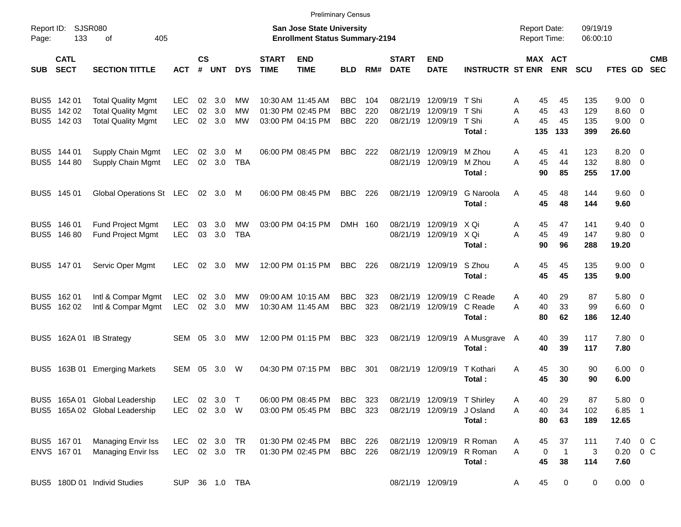|                                           |                                                                                     |                                        |                |                          |                         |                             |                                                                           | <b>Preliminary Census</b>              |                   |                             |                                                       |                                                                  |                                            |                          |                          |                                                       |                          |
|-------------------------------------------|-------------------------------------------------------------------------------------|----------------------------------------|----------------|--------------------------|-------------------------|-----------------------------|---------------------------------------------------------------------------|----------------------------------------|-------------------|-----------------------------|-------------------------------------------------------|------------------------------------------------------------------|--------------------------------------------|--------------------------|--------------------------|-------------------------------------------------------|--------------------------|
| Report ID:<br>Page:                       | SJSR080<br>133<br>405<br>0f                                                         |                                        |                |                          |                         |                             | <b>San Jose State University</b><br><b>Enrollment Status Summary-2194</b> |                                        |                   |                             |                                                       |                                                                  | <b>Report Date:</b><br><b>Report Time:</b> |                          | 09/19/19<br>06:00:10     |                                                       |                          |
| <b>CATL</b><br><b>SECT</b><br><b>SUB</b>  | <b>SECTION TITTLE</b>                                                               | <b>ACT</b>                             | <b>CS</b><br># | UNT                      | <b>DYS</b>              | <b>START</b><br><b>TIME</b> | <b>END</b><br><b>TIME</b>                                                 | <b>BLD</b>                             | RM#               | <b>START</b><br><b>DATE</b> | <b>END</b><br><b>DATE</b>                             | <b>INSTRUCTR ST ENR</b>                                          | MAX ACT                                    | <b>ENR</b>               | <b>SCU</b>               | FTES GD                                               | <b>CMB</b><br><b>SEC</b> |
| BUS5 142 01<br>BUS5 142 02<br>BUS5 142 03 | <b>Total Quality Mgmt</b><br><b>Total Quality Mgmt</b><br><b>Total Quality Mgmt</b> | <b>LEC</b><br><b>LEC</b><br><b>LEC</b> | 02<br>02       | 3.0<br>3.0<br>02 3.0     | МW<br>МW<br>МW          |                             | 10:30 AM 11:45 AM<br>01:30 PM 02:45 PM<br>03:00 PM 04:15 PM               | <b>BBC</b><br><b>BBC</b><br><b>BBC</b> | 104<br>220<br>220 | 08/21/19<br>08/21/19        | 12/09/19<br>12/09/19 T Shi<br>08/21/19 12/09/19 T Shi | T Shi<br>Total:                                                  | 45<br>A<br>45<br>A<br>45<br>A<br>135       | 45<br>43<br>45<br>133    | 135<br>129<br>135<br>399 | $9.00 \t 0$<br>$8.60 \quad 0$<br>$9.00 \t 0$<br>26.60 |                          |
| BUS5 144 01<br>BUS5 144 80                | Supply Chain Mgmt<br>Supply Chain Mgmt                                              | <b>LEC</b><br><b>LEC</b>               | 02             | 3.0<br>02 3.0            | м<br><b>TBA</b>         |                             | 06:00 PM 08:45 PM                                                         | <b>BBC</b>                             | 222               |                             | 08/21/19 12/09/19<br>08/21/19 12/09/19                | M Zhou<br>M Zhou<br>Total:                                       | 45<br>A<br>45<br>A<br>90                   | 41<br>44<br>85           | 123<br>132<br>255        | $8.20 \ 0$<br>8.80 0<br>17.00                         |                          |
| BUS5 145 01                               | Global Operations St LEC                                                            |                                        |                | 02 3.0                   | M                       |                             | 06:00 PM 08:45 PM                                                         | <b>BBC</b>                             | 226               |                             | 08/21/19 12/09/19                                     | G Naroola<br>Total:                                              | 45<br>A<br>45                              | 48<br>48                 | 144<br>144               | $9.60 \quad 0$<br>9.60                                |                          |
| BUS5 146 01<br>BUS5 146 80                | <b>Fund Project Mgmt</b><br>Fund Project Mgmt                                       | <b>LEC</b><br><b>LEC</b>               | 03<br>03       | 3.0<br>3.0               | <b>MW</b><br><b>TBA</b> |                             | 03:00 PM 04:15 PM                                                         | DMH 160                                |                   |                             | 08/21/19 12/09/19<br>08/21/19 12/09/19                | X Qi<br>X Qi<br>Total:                                           | Α<br>45<br>A<br>45<br>90                   | 47<br>49<br>96           | 141<br>147<br>288        | $9.40 \quad 0$<br>9.80 0<br>19.20                     |                          |
| BUS5 147 01                               | Servic Oper Mgmt                                                                    | <b>LEC</b>                             |                | $02 \quad 3.0$           | МW                      |                             | 12:00 PM 01:15 PM                                                         | <b>BBC</b>                             | 226               |                             | 08/21/19 12/09/19                                     | S Zhou<br>Total:                                                 | 45<br>A<br>45                              | 45<br>45                 | 135<br>135               | $9.00 \t 0$<br>9.00                                   |                          |
| BUS5 162 01<br>BUS5 162 02                | Intl & Compar Mgmt<br>Intl & Compar Mgmt                                            | LEC<br>LEC                             |                | $02 \quad 3.0$<br>02 3.0 | MW<br><b>MW</b>         |                             | 09:00 AM 10:15 AM<br>10:30 AM 11:45 AM                                    | <b>BBC</b><br><b>BBC</b>               | 323<br>323        |                             | 08/21/19 12/09/19 C Reade<br>08/21/19 12/09/19        | C Reade<br>Total:                                                | 40<br>A<br>A<br>40<br>80                   | 29<br>33<br>62           | 87<br>99<br>186          | 5.80 0<br>$6.60$ 0<br>12.40                           |                          |
|                                           | BUS5 162A 01 IB Strategy                                                            | SEM                                    | 05             | 3.0                      | МW                      |                             | 12:00 PM 01:15 PM                                                         | <b>BBC</b>                             | 323               |                             | 08/21/19 12/09/19                                     | A Musgrave<br>Total:                                             | 40<br>A<br>40                              | 39<br>39                 | 117<br>117               | 7.80 0<br>7.80                                        |                          |
|                                           | BUS5 163B 01 Emerging Markets                                                       | SEM                                    | 05             | 3.0                      | W                       |                             | 04:30 PM 07:15 PM                                                         | <b>BBC</b>                             | 301               |                             | 08/21/19 12/09/19                                     | T Kothari<br>Total:                                              | A<br>45<br>45                              | 30<br>30                 | 90<br>90                 | $6.00 \quad 0$<br>6.00                                |                          |
|                                           | BUS5 165A 01 Global Leadership<br>BUS5 165A 02 Global Leadership                    | LEC<br>LEC                             |                | 02 3.0<br>02 3.0 W       | $\top$                  |                             | 06:00 PM 08:45 PM<br>03:00 PM 05:45 PM                                    | BBC<br><b>BBC</b>                      | 323<br>323        |                             | 08/21/19 12/09/19 T Shirley<br>08/21/19 12/09/19      | J Osland<br>Total:                                               | 40<br>Α<br>40<br>Α<br>80                   | 29<br>34<br>63           | 87<br>102<br>189         | $5.80\ 0$<br>$6.85$ 1<br>12.65                        |                          |
| BUS5 167 01<br>ENVS 167 01                | Managing Envir Iss<br>Managing Envir Iss                                            | LEC<br>LEC 02 3.0 TR                   |                | 02 3.0 TR                |                         |                             | 01:30 PM 02:45 PM<br>01:30 PM 02:45 PM                                    | BBC 226<br>BBC 226                     |                   |                             |                                                       | 08/21/19 12/09/19 R Roman<br>08/21/19 12/09/19 R Roman<br>Total: | 45<br>A<br>A<br>0<br>45                    | 37<br>$\mathbf{1}$<br>38 | 111<br>3<br>114          | 7.40 0 C<br>$0.20 \t 0 C$<br>7.60                     |                          |
|                                           | BUS5 180D 01 Individ Studies                                                        |                                        |                |                          | SUP 36 1.0 TBA          |                             |                                                                           |                                        |                   |                             | 08/21/19 12/09/19                                     |                                                                  | 45<br>A                                    | 0                        | 0                        | $0.00 \t 0$                                           |                          |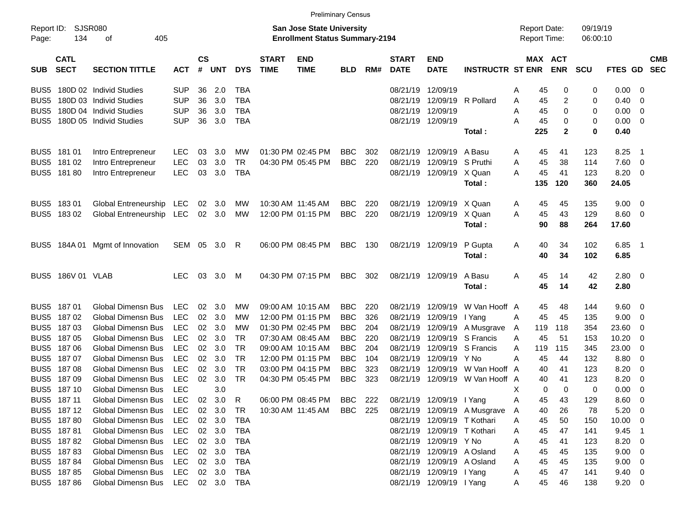|                     |                            |                           |            |                    |            |            |                             |                                                                           | <b>Preliminary Census</b> |     |                             |                             |                              |   |                                     |                       |                      |                |                          |                          |
|---------------------|----------------------------|---------------------------|------------|--------------------|------------|------------|-----------------------------|---------------------------------------------------------------------------|---------------------------|-----|-----------------------------|-----------------------------|------------------------------|---|-------------------------------------|-----------------------|----------------------|----------------|--------------------------|--------------------------|
| Report ID:<br>Page: | SJSR080<br>134             | 405<br>οf                 |            |                    |            |            |                             | <b>San Jose State University</b><br><b>Enrollment Status Summary-2194</b> |                           |     |                             |                             |                              |   | <b>Report Date:</b><br>Report Time: |                       | 09/19/19<br>06:00:10 |                |                          |                          |
| <b>SUB</b>          | <b>CATL</b><br><b>SECT</b> | <b>SECTION TITTLE</b>     | <b>ACT</b> | $\mathsf{cs}$<br># | <b>UNT</b> | <b>DYS</b> | <b>START</b><br><b>TIME</b> | <b>END</b><br><b>TIME</b>                                                 | <b>BLD</b>                | RM# | <b>START</b><br><b>DATE</b> | <b>END</b><br><b>DATE</b>   | <b>INSTRUCTR ST ENR</b>      |   |                                     | MAX ACT<br><b>ENR</b> | <b>SCU</b>           | FTES GD        |                          | <b>CMB</b><br><b>SEC</b> |
| BUS <sub>5</sub>    |                            | 180D 02 Individ Studies   | <b>SUP</b> | 36                 | 2.0        | <b>TBA</b> |                             |                                                                           |                           |     | 08/21/19                    | 12/09/19                    |                              | Α | 45                                  | 0                     | 0                    | 0.00           | - 0                      |                          |
| BUS <sub>5</sub>    |                            | 180D 03 Individ Studies   | <b>SUP</b> | 36                 | 3.0        | <b>TBA</b> |                             |                                                                           |                           |     | 08/21/19                    | 12/09/19                    | R Pollard                    | Α | 45                                  | $\overline{c}$        | 0                    | 0.40           | - 0                      |                          |
| BUS <sub>5</sub>    |                            | 180D 04 Individ Studies   | <b>SUP</b> | 36                 | 3.0        | <b>TBA</b> |                             |                                                                           |                           |     | 08/21/19                    | 12/09/19                    |                              | A | 45                                  | 0                     | 0                    | 0.00           | $\overline{\mathbf{0}}$  |                          |
| BUS <sub>5</sub>    |                            | 180D 05 Individ Studies   | <b>SUP</b> | 36                 | 3.0        | <b>TBA</b> |                             |                                                                           |                           |     |                             | 08/21/19 12/09/19           |                              | Α | 45                                  | 0                     | 0                    | 0.00           | $\overline{\mathbf{0}}$  |                          |
|                     |                            |                           |            |                    |            |            |                             |                                                                           |                           |     |                             |                             | Total:                       |   | 225                                 | $\mathbf{2}$          | 0                    | 0.40           |                          |                          |
| BUS <sub>5</sub>    | 181 01                     | Intro Entrepreneur        | <b>LEC</b> | 03                 | 3.0        | MW         |                             | 01:30 PM 02:45 PM                                                         | <b>BBC</b>                | 302 | 08/21/19                    | 12/09/19                    | A Basu                       | Α | 45                                  | 41                    | 123                  | 8.25           | - 1                      |                          |
| BUS <sub>5</sub>    | 181 02                     | Intro Entrepreneur        | <b>LEC</b> | 03                 | 3.0        | <b>TR</b>  |                             | 04:30 PM 05:45 PM                                                         | <b>BBC</b>                | 220 | 08/21/19                    | 12/09/19                    | S Pruthi                     | Α | 45                                  | 38                    | 114                  | 7.60           | $\overline{\mathbf{0}}$  |                          |
| BUS <sub>5</sub>    | 18180                      | Intro Entrepreneur        | <b>LEC</b> | 03                 | 3.0        | <b>TBA</b> |                             |                                                                           |                           |     |                             | 08/21/19 12/09/19           | X Quan                       | Α | 45                                  | 41                    | 123                  | 8.20           | - 0                      |                          |
|                     |                            |                           |            |                    |            |            |                             |                                                                           |                           |     |                             |                             | Total:                       |   | 135                                 | 120                   | 360                  | 24.05          |                          |                          |
| BUS <sub>5</sub>    | 18301                      | Global Entreneurship      | <b>LEC</b> | 02                 | 3.0        | MW         |                             | 10:30 AM 11:45 AM                                                         | <b>BBC</b>                | 220 | 08/21/19                    | 12/09/19                    | X Quan                       | A | 45                                  | 45                    | 135                  | 9.00           | $\overline{\mathbf{0}}$  |                          |
| BUS <sub>5</sub>    | 18302                      | Global Entreneurship      | LEC        | 02                 | 3.0        | MW         |                             | 12:00 PM 01:15 PM                                                         | <b>BBC</b>                | 220 | 08/21/19                    | 12/09/19                    | X Quan                       | Α | 45                                  | 43                    | 129                  | 8.60           | $\overline{\phantom{0}}$ |                          |
|                     |                            |                           |            |                    |            |            |                             |                                                                           |                           |     |                             |                             | Total:                       |   | 90                                  | 88                    | 264                  | 17.60          |                          |                          |
| BUS5                | 184A 01                    | Mgmt of Innovation        | SEM        | 05                 | 3.0        | R          |                             | 06:00 PM 08:45 PM                                                         | <b>BBC</b>                | 130 |                             | 08/21/19 12/09/19           | P Gupta                      | Α | 40                                  | 34                    | 102                  | 6.85           | $\overline{\phantom{1}}$ |                          |
|                     |                            |                           |            |                    |            |            |                             |                                                                           |                           |     |                             |                             | Total:                       |   | 40                                  | 34                    | 102                  | 6.85           |                          |                          |
| BUS5                | 186V 01 VLAB               |                           | <b>LEC</b> | 03                 | 3.0        | M          |                             | 04:30 PM 07:15 PM                                                         | <b>BBC</b>                | 302 |                             | 08/21/19 12/09/19           | A Basu                       | A | 45                                  | 14                    | 42                   | 2.80 0         |                          |                          |
|                     |                            |                           |            |                    |            |            |                             |                                                                           |                           |     |                             |                             | Total:                       |   | 45                                  | 14                    | 42                   | 2.80           |                          |                          |
| BUS <sub>5</sub>    | 18701                      | <b>Global Dimensn Bus</b> | <b>LEC</b> | 02                 | 3.0        | MW         |                             | 09:00 AM 10:15 AM                                                         | <b>BBC</b>                | 220 | 08/21/19                    | 12/09/19                    | W Van Hooff A                |   | 45                                  | 48                    | 144                  | 9.60           | - 0                      |                          |
| BUS <sub>5</sub>    | 18702                      | <b>Global Dimensn Bus</b> | <b>LEC</b> | 02                 | 3.0        | МW         |                             | 12:00 PM 01:15 PM                                                         | <b>BBC</b>                | 326 | 08/21/19                    | 12/09/19                    | I Yang                       | Α | 45                                  | 45                    | 135                  | 9.00           | - 0                      |                          |
| BUS <sub>5</sub>    | 18703                      | Global Dimensn Bus        | <b>LEC</b> | 02                 | 3.0        | МW         |                             | 01:30 PM 02:45 PM                                                         | <b>BBC</b>                | 204 | 08/21/19                    | 12/09/19                    | A Musgrave                   | A | 119                                 | 118                   | 354                  | 23.60          | - 0                      |                          |
| BUS5                | 18705                      | Global Dimensn Bus        | <b>LEC</b> | 02                 | 3.0        | <b>TR</b>  |                             | 07:30 AM 08:45 AM                                                         | <b>BBC</b>                | 220 | 08/21/19                    | 12/09/19                    | S Francis                    | Α | 45                                  | 51                    | 153                  | 10.20          | - 0                      |                          |
| BUS <sub>5</sub>    | 18706                      | <b>Global Dimensn Bus</b> | <b>LEC</b> | 02                 | 3.0        | <b>TR</b>  |                             | 09:00 AM 10:15 AM                                                         | <b>BBC</b>                | 204 | 08/21/19                    | 12/09/19                    | S Francis                    | Α | 119                                 | 115                   | 345                  | 23.00          | - 0                      |                          |
| BUS <sub>5</sub>    | 18707                      | <b>Global Dimensn Bus</b> | <b>LEC</b> | 02                 | 3.0        | <b>TR</b>  |                             | 12:00 PM 01:15 PM                                                         | <b>BBC</b>                | 104 | 08/21/19                    | 12/09/19                    | Y No                         | Α | 45                                  | 44                    | 132                  | 8.80           | - 0                      |                          |
| BUS <sub>5</sub>    | 18708                      | Global Dimensn Bus        | <b>LEC</b> | 02                 | 3.0        | <b>TR</b>  |                             | 03:00 PM 04:15 PM                                                         | <b>BBC</b>                | 323 | 08/21/19                    | 12/09/19                    | W Van Hooff                  | A | 40                                  | 41                    | 123                  | 8.20           | $\mathbf 0$              |                          |
| BUS <sub>5</sub>    | 18709                      | Global Dimensn Bus        | <b>LEC</b> | 02                 | 3.0        | <b>TR</b>  |                             | 04:30 PM 05:45 PM                                                         | <b>BBC</b>                | 323 | 08/21/19                    | 12/09/19                    | W Van Hooff                  | A | 40                                  | 41                    | 123                  | 8.20           | 0                        |                          |
|                     | BUS5 187 10                | <b>Global Dimensn Bus</b> | <b>LEC</b> |                    | 3.0        |            |                             |                                                                           |                           |     |                             |                             |                              | х | 0                                   | $\Omega$              | 0                    | 0.00           | - 0                      |                          |
|                     | BUS5 187 11                | Global Dimensn Bus        | <b>LEC</b> | 02                 | 3.0        | R          |                             | 06:00 PM 08:45 PM                                                         | BBC                       | 222 |                             | 08/21/19 12/09/19 l Yang    |                              | Α | 45                                  | 43                    | 129                  | $8.60 \quad 0$ |                          |                          |
|                     | BUS5 187 12                | Global Dimensn Bus        | <b>LEC</b> | $02\,$             | 3.0        | TR         |                             | 10:30 AM 11:45 AM                                                         | <b>BBC</b> 225            |     |                             |                             | 08/21/19 12/09/19 A Musgrave | A | 40                                  | 26                    | 78                   | 5.20 0         |                          |                          |
|                     | BUS5 187 80                | Global Dimensn Bus        | LEC        |                    | 02 3.0     | <b>TBA</b> |                             |                                                                           |                           |     |                             | 08/21/19 12/09/19 T Kothari |                              | Α | 45                                  | 50                    | 150                  | $10.00 \t 0$   |                          |                          |
|                     | BUS5 18781                 | Global Dimensn Bus        | LEC        |                    | 02 3.0     | TBA        |                             |                                                                           |                           |     |                             | 08/21/19 12/09/19 T Kothari |                              | Α | 45                                  | 47                    | 141                  | $9.45$ 1       |                          |                          |
|                     | BUS5 18782                 | Global Dimensn Bus        | LEC        |                    | 02 3.0     | <b>TBA</b> |                             |                                                                           |                           |     |                             | 08/21/19 12/09/19 Y No      |                              | Α | 45                                  | 41                    | 123                  | 8.20 0         |                          |                          |
|                     | BUS5 18783                 | Global Dimensn Bus        | LEC        |                    | 02 3.0     | <b>TBA</b> |                             |                                                                           |                           |     |                             | 08/21/19 12/09/19 A Osland  |                              | Α | 45                                  | 45                    | 135                  | $9.00 \t 0$    |                          |                          |
|                     | BUS5 187 84                | Global Dimensn Bus        | LEC        |                    | 02 3.0     | TBA        |                             |                                                                           |                           |     |                             | 08/21/19 12/09/19 A Osland  |                              | Α | 45                                  | 45                    | 135                  | $9.00 \t 0$    |                          |                          |
|                     | BUS5 187 85                | Global Dimensn Bus        | LEC        |                    | 02 3.0     | TBA        |                             |                                                                           |                           |     |                             | 08/21/19 12/09/19 I Yang    |                              | Α | 45                                  | 47                    | 141                  | $9.40 \quad 0$ |                          |                          |
|                     | BUS5 187 86                | Global Dimensn Bus        | LEC        |                    | 02 3.0     | <b>TBA</b> |                             |                                                                           |                           |     |                             | 08/21/19 12/09/19 l Yang    |                              | A | 45                                  | 46                    | 138                  | $9.20 \ 0$     |                          |                          |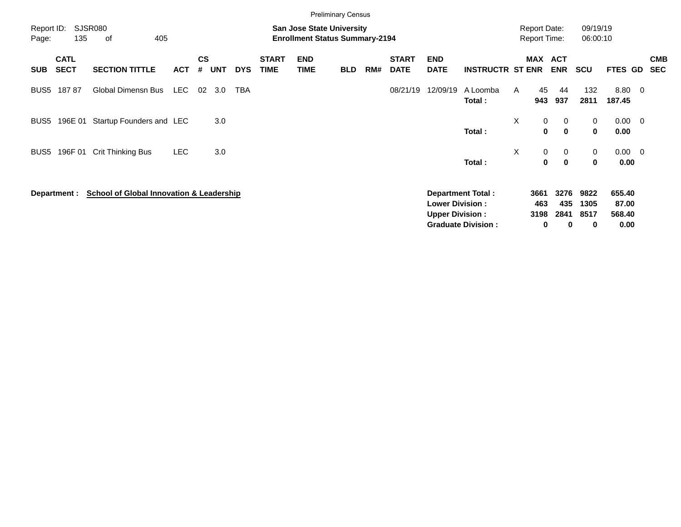|                     |                            |                                                     |            |                    |            |            |                             |                                                                           | <b>Preliminary Census</b> |     |                             |                                                  |                           |   |                                            |                            |                      |                           |                          |
|---------------------|----------------------------|-----------------------------------------------------|------------|--------------------|------------|------------|-----------------------------|---------------------------------------------------------------------------|---------------------------|-----|-----------------------------|--------------------------------------------------|---------------------------|---|--------------------------------------------|----------------------------|----------------------|---------------------------|--------------------------|
| Report ID:<br>Page: | 135                        | <b>SJSR080</b><br>405<br>of                         |            |                    |            |            |                             | <b>San Jose State University</b><br><b>Enrollment Status Summary-2194</b> |                           |     |                             |                                                  |                           |   | <b>Report Date:</b><br><b>Report Time:</b> |                            | 09/19/19<br>06:00:10 |                           |                          |
| <b>SUB</b>          | <b>CATL</b><br><b>SECT</b> | <b>SECTION TITTLE</b>                               | <b>ACT</b> | $\mathsf{cs}$<br># | <b>UNT</b> | <b>DYS</b> | <b>START</b><br><b>TIME</b> | <b>END</b><br><b>TIME</b>                                                 | <b>BLD</b>                | RM# | <b>START</b><br><b>DATE</b> | <b>END</b><br><b>DATE</b>                        | <b>INSTRUCTR ST ENR</b>   |   | MAX ACT                                    | <b>ENR</b>                 | <b>SCU</b>           | <b>FTES GD</b>            | <b>CMB</b><br><b>SEC</b> |
| BUS <sub>5</sub>    | 18787                      | <b>Global Dimensn Bus</b>                           | LEC        | 02                 | 3.0        | <b>TBA</b> |                             |                                                                           |                           |     | 08/21/19                    | 12/09/19                                         | A Loomba<br>Total:        | A | 45<br>943                                  | 44<br>937                  | 132<br>2811          | 8.80 0<br>187.45          |                          |
| BUS5                | 196E 01                    | Startup Founders and LEC                            |            |                    | 3.0        |            |                             |                                                                           |                           |     |                             |                                                  | Total:                    | X | $\mathbf 0$<br>0                           | $\mathbf 0$<br>$\mathbf 0$ | 0<br>0               | $0.00 \t 0$<br>0.00       |                          |
| BUS5                | 196F 01                    | Crit Thinking Bus                                   | <b>LEC</b> |                    | 3.0        |            |                             |                                                                           |                           |     |                             |                                                  | Total:                    | X | 0<br>$\mathbf{0}$                          | 0<br>$\mathbf 0$           | 0<br>0               | $0.00 \quad 0$<br>0.00    |                          |
|                     | Department :               | <b>School of Global Innovation &amp; Leadership</b> |            |                    |            |            |                             |                                                                           |                           |     |                             | <b>Lower Division:</b><br><b>Upper Division:</b> | <b>Department Total:</b>  |   | 3661<br>463<br>3198                        | 3276<br>435<br>2841        | 9822<br>1305<br>8517 | 655.40<br>87.00<br>568.40 |                          |
|                     |                            |                                                     |            |                    |            |            |                             |                                                                           |                           |     |                             |                                                  | <b>Graduate Division:</b> |   | 0                                          | 0                          | 0                    | 0.00                      |                          |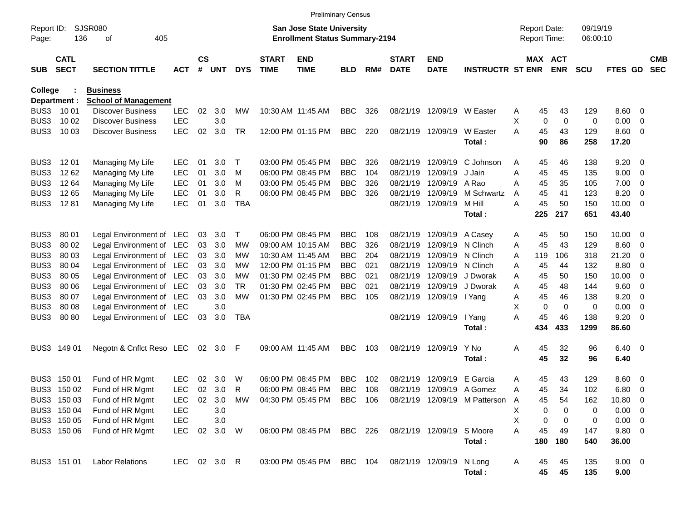|                     |                            |                                                |            |                    |            |            |                             | <b>Preliminary Census</b>                                                 |            |     |                             |                           |                               |                                            |           |                       |                      |                |                          |                          |
|---------------------|----------------------------|------------------------------------------------|------------|--------------------|------------|------------|-----------------------------|---------------------------------------------------------------------------|------------|-----|-----------------------------|---------------------------|-------------------------------|--------------------------------------------|-----------|-----------------------|----------------------|----------------|--------------------------|--------------------------|
| Report ID:<br>Page: | 136                        | <b>SJSR080</b><br>405<br>οf                    |            |                    |            |            |                             | <b>San Jose State University</b><br><b>Enrollment Status Summary-2194</b> |            |     |                             |                           |                               | <b>Report Date:</b><br><b>Report Time:</b> |           |                       | 09/19/19<br>06:00:10 |                |                          |                          |
| <b>SUB</b>          | <b>CATL</b><br><b>SECT</b> | <b>SECTION TITTLE</b>                          | <b>ACT</b> | $\mathsf{cs}$<br># | <b>UNT</b> | <b>DYS</b> | <b>START</b><br><b>TIME</b> | <b>END</b><br><b>TIME</b>                                                 | <b>BLD</b> | RM# | <b>START</b><br><b>DATE</b> | <b>END</b><br><b>DATE</b> | <b>INSTRUCTR ST ENR</b>       |                                            |           | MAX ACT<br><b>ENR</b> | <b>SCU</b>           | FTES GD        |                          | <b>CMB</b><br><b>SEC</b> |
| College             | Department :               | <b>Business</b><br><b>School of Management</b> |            |                    |            |            |                             |                                                                           |            |     |                             |                           |                               |                                            |           |                       |                      |                |                          |                          |
| BUS3                | 10 01                      | <b>Discover Business</b>                       | <b>LEC</b> | 02                 | 3.0        | МW         |                             | 10:30 AM 11:45 AM                                                         | <b>BBC</b> | 326 |                             | 08/21/19 12/09/19         | W Easter                      | A                                          | 45        | 43                    | 129                  | $8.60 \quad 0$ |                          |                          |
| BUS3                | 10 02                      | <b>Discover Business</b>                       | LEC        |                    | 3.0        |            |                             |                                                                           |            |     |                             |                           |                               | X                                          | 0         | 0                     | 0                    | 0.00           | $\overline{0}$           |                          |
| BUS3                | 10 03                      | <b>Discover Business</b>                       | <b>LEC</b> | 02                 | 3.0        | <b>TR</b>  |                             | 12:00 PM 01:15 PM                                                         | <b>BBC</b> | 220 |                             | 08/21/19 12/09/19         | W Easter                      | Α                                          | 45        | 43                    | 129                  | $8.60$ 0       |                          |                          |
|                     |                            |                                                |            |                    |            |            |                             |                                                                           |            |     |                             |                           | Total:                        |                                            | 90        | 86                    | 258                  | 17.20          |                          |                          |
| BUS3                | 12 01                      | Managing My Life                               | <b>LEC</b> | 01                 | 3.0        | $\top$     |                             | 03:00 PM 05:45 PM                                                         | <b>BBC</b> | 326 | 08/21/19                    | 12/09/19                  | C Johnson                     | A                                          | 45        | 46                    | 138                  | 9.20           | - 0                      |                          |
| BUS3                | 12 62                      | Managing My Life                               | <b>LEC</b> | 01                 | 3.0        | M          |                             | 06:00 PM 08:45 PM                                                         | <b>BBC</b> | 104 | 08/21/19                    | 12/09/19                  | J Jain                        | A                                          | 45        | 45                    | 135                  | 9.00           | $\overline{0}$           |                          |
| BUS3                | 12 64                      | Managing My Life                               | <b>LEC</b> | 01                 | 3.0        | M          |                             | 03:00 PM 05:45 PM                                                         | <b>BBC</b> | 326 | 08/21/19                    | 12/09/19                  | A Rao                         | Α                                          | 45        | 35                    | 105                  | 7.00           | $\overline{0}$           |                          |
| BUS3                | 1265                       | Managing My Life                               | <b>LEC</b> | 01                 | 3.0        | R          |                             | 06:00 PM 08:45 PM                                                         | <b>BBC</b> | 326 | 08/21/19                    | 12/09/19                  | M Schwartz                    | A                                          | 45        | 41                    | 123                  | 8.20           | $\overline{0}$           |                          |
| BUS3                | 1281                       | Managing My Life                               | <b>LEC</b> | 01                 | 3.0        | <b>TBA</b> |                             |                                                                           |            |     |                             | 08/21/19 12/09/19         | M Hill                        | A                                          | 45        | 50                    | 150                  | 10.00          | $\overline{0}$           |                          |
|                     |                            |                                                |            |                    |            |            |                             |                                                                           |            |     |                             |                           | Total:                        |                                            | 225       | 217                   | 651                  | 43.40          |                          |                          |
| BUS <sub>3</sub>    | 80 01                      | Legal Environment of LEC                       |            | 03                 | 3.0        | Τ          |                             | 06:00 PM 08:45 PM                                                         | <b>BBC</b> | 108 |                             | 08/21/19 12/09/19         | A Casey                       | A                                          | 45        | 50                    | 150                  | 10.00          | $\overline{\phantom{0}}$ |                          |
| BUS3                | 80 02                      | Legal Environment of LEC                       |            | 03                 | 3.0        | <b>MW</b>  |                             | 09:00 AM 10:15 AM                                                         | <b>BBC</b> | 326 | 08/21/19                    | 12/09/19                  | N Clinch                      | Α                                          | 45        | 43                    | 129                  | 8.60           | - 0                      |                          |
| BUS3                | 80 03                      | Legal Environment of LEC                       |            | 03                 | 3.0        | МW         |                             | 10:30 AM 11:45 AM                                                         | <b>BBC</b> | 204 | 08/21/19                    | 12/09/19                  | N Clinch                      | Α                                          | 119       | 106                   | 318                  | 21.20          | - 0                      |                          |
| BUS3                | 80 04                      | Legal Environment of LEC                       |            | 03                 | 3.0        | <b>MW</b>  |                             | 12:00 PM 01:15 PM                                                         | <b>BBC</b> | 021 | 08/21/19                    | 12/09/19                  | N Clinch                      | Α                                          | 45        | 44                    | 132                  | 8.80           | $\overline{0}$           |                          |
| BUS3                | 80 05                      | Legal Environment of LEC                       |            | 03                 | 3.0        | <b>MW</b>  |                             | 01:30 PM 02:45 PM                                                         | <b>BBC</b> | 021 | 08/21/19                    | 12/09/19                  | J Dworak                      | Α                                          | 45        | 50                    | 150                  | 10.00          | - 0                      |                          |
| BUS3                | 80 06                      | Legal Environment of LEC                       |            | 03                 | 3.0        | <b>TR</b>  |                             | 01:30 PM 02:45 PM                                                         | <b>BBC</b> | 021 | 08/21/19                    | 12/09/19                  | J Dworak                      | Α                                          | 45        | 48                    | 144                  | 9.60           | $\overline{0}$           |                          |
| BUS3                | 80 07                      | Legal Environment of LEC                       |            | 03                 | 3.0        | <b>MW</b>  |                             | 01:30 PM 02:45 PM                                                         | <b>BBC</b> | 105 |                             | 08/21/19 12/09/19         | I Yang                        | Α                                          | 45        | 46                    | 138                  | 9.20           | $\overline{0}$           |                          |
| BUS3                | 80 08                      | Legal Environment of LEC                       |            |                    | 3.0        |            |                             |                                                                           |            |     |                             |                           |                               | X                                          | 0         | $\mathbf 0$           | 0                    | 0.00           | $\overline{0}$           |                          |
| BUS3                | 80 80                      | Legal Environment of LEC                       |            | 03                 | 3.0        | <b>TBA</b> |                             |                                                                           |            |     |                             | 08/21/19 12/09/19         | I Yang<br>Total:              | A                                          | 45<br>434 | 46<br>433             | 138<br>1299          | 9.20<br>86.60  | $\overline{0}$           |                          |
|                     |                            |                                                |            |                    |            |            |                             |                                                                           |            |     |                             |                           |                               |                                            |           |                       |                      |                |                          |                          |
| BUS3                | 149 01                     | Negotn & Cnflct Reso LEC                       |            | 02                 | 3.0        | F          |                             | 09:00 AM 11:45 AM                                                         | <b>BBC</b> | 103 |                             | 08/21/19 12/09/19         | Y No                          | Α                                          | 45        | 32                    | 96                   | $6.40 \quad 0$ |                          |                          |
|                     |                            |                                                |            |                    |            |            |                             |                                                                           |            |     |                             |                           | Total:                        |                                            | 45        | 32                    | 96                   | 6.40           |                          |                          |
| BUS <sub>3</sub>    | 150 01                     | Fund of HR Mgmt                                | <b>LEC</b> | 02                 | 3.0        | W          |                             | 06:00 PM 08:45 PM                                                         | <b>BBC</b> | 102 | 08/21/19                    | 12/09/19                  | E Garcia                      | A                                          | 45        | 43                    | 129                  | 8.60           | $\overline{\phantom{0}}$ |                          |
| BUS3                | 150 02                     | Fund of HR Mgmt                                | <b>LEC</b> | 02                 | 3.0        | R          |                             | 06:00 PM 08:45 PM                                                         | <b>BBC</b> | 108 |                             | 08/21/19 12/09/19         | A Gomez                       | Α                                          | 45        | 34                    | 102                  | 6.80           | - 0                      |                          |
|                     | BUS3 150 03                | Fund of HR Mgmt                                | LEC        | 02                 | 3.0        | МW         |                             | 04:30 PM 05:45 PM                                                         | BBC        | 106 |                             |                           | 08/21/19 12/09/19 M Patterson | A                                          | 45        | 54                    | 162                  | 10.80 0        |                          |                          |
|                     | BUS3 150 04                | Fund of HR Mgmt                                | <b>LEC</b> |                    | 3.0        |            |                             |                                                                           |            |     |                             |                           |                               | х                                          | 0         | 0                     | 0                    | $0.00 \t 0$    |                          |                          |
|                     | BUS3 150 05                | Fund of HR Mgmt                                | <b>LEC</b> |                    | 3.0        |            |                             |                                                                           |            |     |                             |                           |                               | X                                          | 0         | 0                     | 0                    | $0.00 \t 0$    |                          |                          |
|                     | BUS3 150 06                | Fund of HR Mgmt                                | <b>LEC</b> | 02                 | 3.0        | W          |                             | 06:00 PM 08:45 PM                                                         | BBC 226    |     |                             | 08/21/19 12/09/19         | S Moore                       | Α                                          | 45        | 49                    | 147                  | 9.80 0         |                          |                          |
|                     |                            |                                                |            |                    |            |            |                             |                                                                           |            |     |                             |                           | Total:                        |                                            | 180       | 180                   | 540                  | 36.00          |                          |                          |
|                     | BUS3 151 01                | <b>Labor Relations</b>                         | LEC.       |                    | 02 3.0 R   |            |                             | 03:00 PM 05:45 PM                                                         | BBC 104    |     |                             | 08/21/19 12/09/19         | N Long                        | A                                          | 45        | 45                    | 135                  | $9.00 \t 0$    |                          |                          |
|                     |                            |                                                |            |                    |            |            |                             |                                                                           |            |     |                             |                           | Total:                        |                                            | 45        | 45                    | 135                  | 9.00           |                          |                          |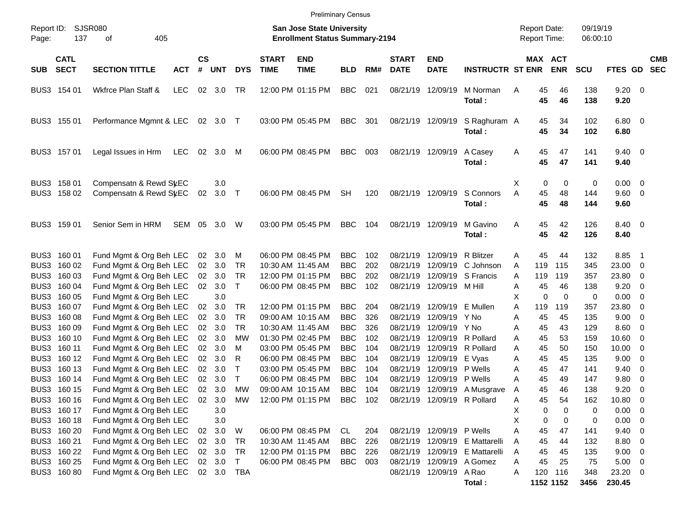|                            |                            |                                                  |            |                |                |              |                             | <b>Preliminary Census</b>                                                 |            |     |                             |                             |                                |                                            |               |                       |                      |                               |                          |                          |
|----------------------------|----------------------------|--------------------------------------------------|------------|----------------|----------------|--------------|-----------------------------|---------------------------------------------------------------------------|------------|-----|-----------------------------|-----------------------------|--------------------------------|--------------------------------------------|---------------|-----------------------|----------------------|-------------------------------|--------------------------|--------------------------|
| Report ID:<br>Page:        | 137                        | SJSR080<br>405<br>оf                             |            |                |                |              |                             | <b>San Jose State University</b><br><b>Enrollment Status Summary-2194</b> |            |     |                             |                             |                                | <b>Report Date:</b><br><b>Report Time:</b> |               |                       | 09/19/19<br>06:00:10 |                               |                          |                          |
| <b>SUB</b>                 | <b>CATL</b><br><b>SECT</b> | <b>SECTION TITTLE</b>                            | <b>ACT</b> | <b>CS</b><br># | <b>UNT</b>     | <b>DYS</b>   | <b>START</b><br><b>TIME</b> | <b>END</b><br><b>TIME</b>                                                 | <b>BLD</b> | RM# | <b>START</b><br><b>DATE</b> | <b>END</b><br><b>DATE</b>   | <b>INSTRUCTR ST ENR</b>        |                                            |               | MAX ACT<br><b>ENR</b> | <b>SCU</b>           | FTES GD                       |                          | <b>CMB</b><br><b>SEC</b> |
| BUS3 154 01                |                            | Wkfrce Plan Staff &                              | <b>LEC</b> |                | 02 3.0         | TR           |                             | 12:00 PM 01:15 PM                                                         | <b>BBC</b> | 021 |                             | 08/21/19 12/09/19           | M Norman<br>Total:             | Α                                          | 45<br>45      | 46<br>46              | 138<br>138           | $9.20 \ 0$<br>9.20            |                          |                          |
| BUS3 155 01                |                            | Performance Mgmnt & LEC                          |            |                | 02 3.0 T       |              |                             | 03:00 PM 05:45 PM                                                         | <b>BBC</b> | 301 |                             | 08/21/19 12/09/19           | S Raghuram A<br>Total:         |                                            | 45<br>45      | 34<br>34              | 102<br>102           | $6.80$ 0<br>6.80              |                          |                          |
| BUS3 157 01                |                            | Legal Issues in Hrm                              | LEC        |                | 02 3.0         | M            |                             | 06:00 PM 08:45 PM                                                         | <b>BBC</b> | 003 |                             | 08/21/19 12/09/19           | A Casey<br>Total:              | Α                                          | 45<br>45      | 47<br>47              | 141<br>141           | $9.40 \quad 0$<br>9.40        |                          |                          |
| BUS3 158 01<br>BUS3 158 02 |                            | Compensatn & Rewd SyEC<br>Compensatn & Rewd StEC |            | 02             | 3.0<br>$3.0$ T |              |                             | 06:00 PM 08:45 PM                                                         | <b>SH</b>  | 120 |                             | 08/21/19 12/09/19           | S Connors<br>Total:            | Χ<br>A                                     | 0<br>45<br>45 | 0<br>48<br>48         | 0<br>144<br>144      | $0.00 \t 0$<br>9.60 0<br>9.60 |                          |                          |
| BUS3 159 01                |                            | Senior Sem in HRM                                | SEM        | 05             | 3.0            | W            |                             | 03:00 PM 05:45 PM                                                         | <b>BBC</b> | 104 |                             | 08/21/19 12/09/19           | M Gavino<br>Total:             | Α                                          | 45<br>45      | 42<br>42              | 126<br>126           | 8.40 0<br>8.40                |                          |                          |
| BUS3 160 01                |                            | Fund Mgmt & Org Beh LEC                          |            |                | 02 3.0         | М            |                             | 06:00 PM 08:45 PM                                                         | <b>BBC</b> | 102 | 08/21/19                    | 12/09/19                    | R Blitzer                      | A                                          | 45            | 44                    | 132                  | 8.85                          | - 1                      |                          |
| BUS3 160 02                |                            | Fund Mgmt & Org Beh LEC                          |            |                | 02 3.0         | <b>TR</b>    |                             | 10:30 AM 11:45 AM                                                         | <b>BBC</b> | 202 | 08/21/19                    |                             | 12/09/19 C Johnson             | A                                          | 119           | 115                   | 345                  | 23.00 0                       |                          |                          |
| BUS3 160 03                |                            | Fund Mgmt & Org Beh LEC                          |            |                | 02 3.0         | TR           |                             | 12:00 PM 01:15 PM                                                         | <b>BBC</b> | 202 | 08/21/19                    |                             | 12/09/19 S Francis             | Α                                          | 119           | 119                   | 357                  | 23.80                         | $\overline{\mathbf{0}}$  |                          |
| BUS3 160 04                |                            | Fund Mgmt & Org Beh LEC                          |            |                | 02 3.0         | $\mathsf{T}$ |                             | 06:00 PM 08:45 PM                                                         | <b>BBC</b> | 102 |                             | 08/21/19 12/09/19 M Hill    |                                | Α                                          | 45            | 46                    | 138                  | 9.20                          | $\overline{\phantom{0}}$ |                          |
| BUS3 160 05                |                            | Fund Mgmt & Org Beh LEC                          |            |                | 3.0            |              |                             |                                                                           |            |     |                             |                             |                                | X                                          | 0             | 0                     | 0                    | $0.00 \t 0$                   |                          |                          |
| BUS3 160 07                |                            | Fund Mgmt & Org Beh LEC                          |            | 02             | 3.0            | <b>TR</b>    |                             | 12:00 PM 01:15 PM                                                         | <b>BBC</b> | 204 |                             | 08/21/19 12/09/19 E Mullen  |                                | A                                          | 119           | 119                   | 357                  | 23.80                         | - 0                      |                          |
| BUS3 160 08                |                            | Fund Mgmt & Org Beh LEC                          |            | 02             | 3.0            | <b>TR</b>    |                             | 09:00 AM 10:15 AM                                                         | <b>BBC</b> | 326 | 08/21/19                    | 12/09/19 Y No               |                                | Α                                          | 45            | 45                    | 135                  | $9.00 \t 0$                   |                          |                          |
| BUS3 160 09                |                            | Fund Mgmt & Org Beh LEC                          |            | 02             | 3.0            | <b>TR</b>    |                             | 10:30 AM 11:45 AM                                                         | <b>BBC</b> | 326 | 08/21/19                    | 12/09/19 Y No               |                                | A                                          | 45            | 43                    | 129                  | $8.60 \quad 0$                |                          |                          |
| BUS3 160 10                |                            | Fund Mgmt & Org Beh LEC                          |            | 02             | 3.0            | <b>MW</b>    |                             | 01:30 PM 02:45 PM                                                         | <b>BBC</b> | 102 | 08/21/19                    |                             | 12/09/19 R Pollard             | A                                          | 45            | 53                    | 159                  | $10.60 \t 0$                  |                          |                          |
| BUS3 160 11                |                            | Fund Mgmt & Org Beh LEC                          |            | 02             | 3.0            | м            |                             | 03:00 PM 05:45 PM                                                         | <b>BBC</b> | 104 | 08/21/19                    |                             | 12/09/19 R Pollard             | A                                          | 45            | 50                    | 150                  | $10.00 \t 0$                  |                          |                          |
| BUS3 160 12                |                            | Fund Mgmt & Org Beh LEC                          |            | 02             | 3.0            | R            |                             | 06:00 PM 08:45 PM                                                         | <b>BBC</b> | 104 | 08/21/19                    | 12/09/19 E Vyas             |                                | Α                                          | 45            | 45                    | 135                  | 9.00                          | $\overline{\mathbf{0}}$  |                          |
| BUS3 160 13                |                            | Fund Mgmt & Org Beh LEC                          |            | 02             | 3.0            | $\top$       |                             | 03:00 PM 05:45 PM                                                         | <b>BBC</b> | 104 | 08/21/19                    | 12/09/19 P Wells            |                                | Α                                          | 45            | 47                    | 141                  | 9.40                          | $\overline{\phantom{0}}$ |                          |
| BUS3 160 14                |                            | Fund Mgmt & Org Beh LEC                          |            | 02             | 3.0            | $\mathsf{T}$ |                             | 06:00 PM 08:45 PM                                                         | <b>BBC</b> | 104 | 08/21/19                    | 12/09/19 P Wells            |                                | A                                          | 45            | 49                    | 147                  | 9.80                          | $\overline{\phantom{0}}$ |                          |
| BUS3 160 15                |                            | Fund Mgmt & Org Beh LEC                          |            | 02             | 3.0            | MW           |                             | 09:00 AM 10:15 AM                                                         | <b>BBC</b> | 104 |                             |                             | 08/21/19 12/09/19 A Musgrave   | Α                                          | 45            | 46                    | 138                  | 9.20                          | $\overline{\mathbf{0}}$  |                          |
| BUS3 160 16                |                            | Fund Mgmt & Org Beh LEC                          |            | 02             | 3.0            | МW           |                             | 12:00 PM 01:15 PM BBC 102                                                 |            |     |                             | 08/21/19 12/09/19 R Pollard |                                | Α                                          | 45            | 54                    | 162                  | 10.80 0                       |                          |                          |
| BUS3 160 17                |                            | Fund Mgmt & Org Beh LEC                          |            |                | 3.0            |              |                             |                                                                           |            |     |                             |                             |                                | Х                                          | 0             | $\Omega$              | 0                    | $0.00 \t 0$                   |                          |                          |
| BUS3 160 18                |                            | Fund Mgmt & Org Beh LEC                          |            |                | 3.0            |              |                             |                                                                           |            |     |                             |                             |                                | Χ                                          | 0             | 0                     | 0                    | $0.00 \t 0$                   |                          |                          |
| BUS3 160 20                |                            | Fund Mgmt & Org Beh LEC                          |            | 02             | 3.0            | W            |                             | 06:00 PM 08:45 PM                                                         | CL         | 204 |                             | 08/21/19 12/09/19 P Wells   |                                | A                                          | 45            | 47                    | 141                  | $9.40 \quad 0$                |                          |                          |
| BUS3 160 21                |                            | Fund Mgmt & Org Beh LEC                          |            |                | 02 3.0         | TR           |                             | 10:30 AM 11:45 AM                                                         | <b>BBC</b> | 226 |                             |                             | 08/21/19 12/09/19 E Mattarelli | A                                          | 45            | 44                    | 132                  | 8.80 0                        |                          |                          |
| BUS3 160 22                |                            | Fund Mgmt & Org Beh LEC                          |            |                | 02 3.0         | TR           |                             | 12:00 PM 01:15 PM                                                         | <b>BBC</b> | 226 |                             |                             | 08/21/19 12/09/19 E Mattarelli | A                                          | 45            | 45                    | 135                  | $9.00 \t 0$                   |                          |                          |
| BUS3 160 25                |                            | Fund Mgmt & Org Beh LEC                          |            |                | 02 3.0 T       |              |                             | 06:00 PM 08:45 PM                                                         | <b>BBC</b> | 003 |                             | 08/21/19 12/09/19 A Gomez   |                                | Α                                          | 45            | 25                    | 75                   | $5.00 \t 0$                   |                          |                          |
| BUS3 160 80                |                            | Fund Mgmt & Org Beh LEC                          |            |                | 02 3.0 TBA     |              |                             |                                                                           |            |     |                             | 08/21/19 12/09/19 A Rao     |                                | Α                                          |               | 120 116               | 348                  | 23.20 0                       |                          |                          |
|                            |                            |                                                  |            |                |                |              |                             |                                                                           |            |     |                             |                             | Total:                         |                                            |               | 1152 1152             | 3456                 | 230.45                        |                          |                          |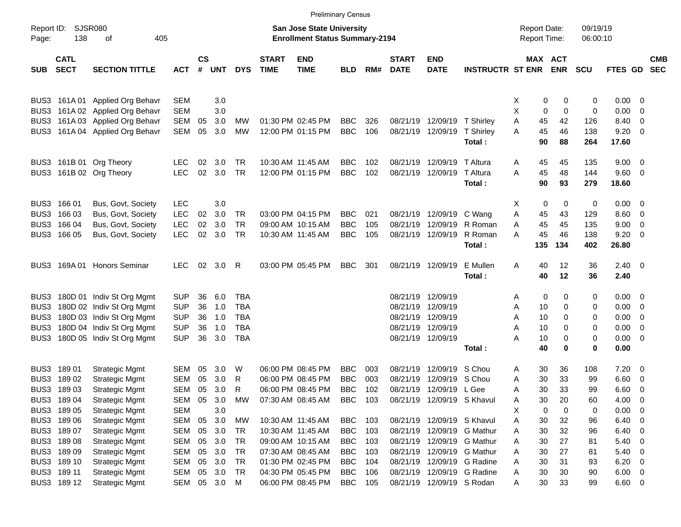|                     |                            |                                 |            |                    |            |            |                             |                                                                           | <b>Preliminary Census</b> |     |                             |                             |                         |                                     |                       |                      |                |                          |                          |
|---------------------|----------------------------|---------------------------------|------------|--------------------|------------|------------|-----------------------------|---------------------------------------------------------------------------|---------------------------|-----|-----------------------------|-----------------------------|-------------------------|-------------------------------------|-----------------------|----------------------|----------------|--------------------------|--------------------------|
| Report ID:<br>Page: | <b>SJSR080</b><br>138      | 405<br>οf                       |            |                    |            |            |                             | <b>San Jose State University</b><br><b>Enrollment Status Summary-2194</b> |                           |     |                             |                             |                         | <b>Report Date:</b><br>Report Time: |                       | 09/19/19<br>06:00:10 |                |                          |                          |
| <b>SUB</b>          | <b>CATL</b><br><b>SECT</b> | <b>SECTION TITTLE</b>           | <b>ACT</b> | $\mathsf{cs}$<br># | <b>UNT</b> | <b>DYS</b> | <b>START</b><br><b>TIME</b> | <b>END</b><br><b>TIME</b>                                                 | <b>BLD</b>                | RM# | <b>START</b><br><b>DATE</b> | <b>END</b><br><b>DATE</b>   | <b>INSTRUCTR ST ENR</b> |                                     | MAX ACT<br><b>ENR</b> | <b>SCU</b>           | <b>FTES GD</b> |                          | <b>CMB</b><br><b>SEC</b> |
|                     | BUS3 161A01                | <b>Applied Org Behavr</b>       | <b>SEM</b> |                    | 3.0        |            |                             |                                                                           |                           |     |                             |                             |                         | 0<br>X                              | 0                     | 0                    | $0.00 \t 0$    |                          |                          |
| BUS3                |                            | 161A 02 Applied Org Behavr      | <b>SEM</b> |                    | 3.0        |            |                             |                                                                           |                           |     |                             |                             |                         | Χ<br>0                              | $\mathbf 0$           | 0                    | 0.00           | $\overline{\mathbf{0}}$  |                          |
|                     |                            | BUS3 161A 03 Applied Org Behavr | SEM        | 05                 | 3.0        | MW         |                             | 01:30 PM 02:45 PM                                                         | <b>BBC</b>                | 326 |                             | 08/21/19 12/09/19 T Shirley |                         | Α<br>45                             | 42                    | 126                  | 8.40           | $\overline{\phantom{0}}$ |                          |
|                     |                            | BUS3 161A 04 Applied Org Behavr | <b>SEM</b> | 05                 | 3.0        | <b>MW</b>  |                             | 12:00 PM 01:15 PM                                                         | <b>BBC</b>                | 106 |                             | 08/21/19 12/09/19           | T Shirley               | 45<br>A                             | 46                    | 138                  | $9.20 \ 0$     |                          |                          |
|                     |                            |                                 |            |                    |            |            |                             |                                                                           |                           |     |                             |                             | Total:                  | 90                                  | 88                    | 264                  | 17.60          |                          |                          |
|                     |                            | BUS3 161B 01 Org Theory         | <b>LEC</b> | 02                 | 3.0        | <b>TR</b>  |                             | 10:30 AM 11:45 AM                                                         | <b>BBC</b>                | 102 | 08/21/19                    | 12/09/19                    | T Altura                | 45<br>Α                             | 45                    | 135                  | $9.00 \t 0$    |                          |                          |
|                     |                            | BUS3 161B 02 Org Theory         | <b>LEC</b> | 02                 | 3.0        | TR         |                             | 12:00 PM 01:15 PM                                                         | <b>BBC</b>                | 102 |                             | 08/21/19 12/09/19           | T Altura                | 45<br>A                             | 48                    | 144                  | 9.60 0         |                          |                          |
|                     |                            |                                 |            |                    |            |            |                             |                                                                           |                           |     |                             |                             | Total:                  | 90                                  | 93                    | 279                  | 18.60          |                          |                          |
|                     | BUS3 166 01                | Bus, Govt, Society              | <b>LEC</b> |                    | 3.0        |            |                             |                                                                           |                           |     |                             |                             |                         | х<br>0                              | 0                     | 0                    | $0.00 \t 0$    |                          |                          |
|                     | BUS3 166 03                | Bus, Govt, Society              | <b>LEC</b> | 02                 | 3.0        | TR         |                             | 03:00 PM 04:15 PM                                                         | <b>BBC</b>                | 021 |                             | 08/21/19 12/09/19           | C Wang                  | Α<br>45                             | 43                    | 129                  | $8.60$ 0       |                          |                          |
|                     | BUS3 166 04                | Bus, Govt, Society              | <b>LEC</b> | 02                 | 3.0        | TR         |                             | 09:00 AM 10:15 AM                                                         | <b>BBC</b>                | 105 |                             | 08/21/19 12/09/19           | R Roman                 | 45<br>Α                             | 45                    | 135                  | 9.00           | $\overline{\phantom{0}}$ |                          |
|                     | BUS3 166 05                | Bus, Govt, Society              | <b>LEC</b> | 02                 | 3.0        | <b>TR</b>  |                             | 10:30 AM 11:45 AM                                                         | <b>BBC</b>                | 105 |                             | 08/21/19 12/09/19           | R Roman                 | 45<br>А                             | 46                    | 138                  | 9.20           | $\overline{\phantom{0}}$ |                          |
|                     |                            |                                 |            |                    |            |            |                             |                                                                           |                           |     |                             |                             | Total:                  | 135                                 | 134                   | 402                  | 26.80          |                          |                          |
| BUS3                | 169A 01                    | Honors Seminar                  | <b>LEC</b> | 02                 | 3.0        | R          |                             | 03:00 PM 05:45 PM                                                         | <b>BBC</b>                | 301 |                             | 08/21/19 12/09/19           | E Mullen                | Α<br>40                             | 12                    | 36                   | $2.40 \ 0$     |                          |                          |
|                     |                            |                                 |            |                    |            |            |                             |                                                                           |                           |     |                             |                             | Total:                  | 40                                  | 12                    | 36                   | 2.40           |                          |                          |
|                     |                            | BUS3 180D 01 Indiv St Org Mgmt  | <b>SUP</b> | 36                 | 6.0        | TBA        |                             |                                                                           |                           |     | 08/21/19 12/09/19           |                             |                         | 0<br>Α                              | 0                     | 0                    | $0.00 \t 0$    |                          |                          |
| BUS3                |                            | 180D 02 Indiv St Org Mgmt       | <b>SUP</b> | 36                 | 1.0        | <b>TBA</b> |                             |                                                                           |                           |     | 08/21/19                    | 12/09/19                    |                         | 10<br>Α                             | 0                     | 0                    | 0.00           | $\overline{\phantom{0}}$ |                          |
| BUS3                |                            | 180D 03 Indiv St Org Mgmt       | <b>SUP</b> | 36                 | 1.0        | <b>TBA</b> |                             |                                                                           |                           |     |                             | 08/21/19 12/09/19           |                         | 10<br>Α                             | 0                     | 0                    | 0.00           | $\overline{\phantom{0}}$ |                          |
| BUS3                |                            | 180D 04 Indiv St Org Mgmt       | <b>SUP</b> | 36                 | 1.0        | <b>TBA</b> |                             |                                                                           |                           |     |                             | 08/21/19 12/09/19           |                         | A<br>10                             | 0                     | 0                    | 0.00           | $\overline{\phantom{0}}$ |                          |
| BUS3                |                            | 180D 05 Indiv St Org Mgmt       | <b>SUP</b> | 36                 | 3.0        | <b>TBA</b> |                             |                                                                           |                           |     |                             | 08/21/19 12/09/19           |                         | 10<br>Α                             | 0                     | 0                    | $0.00 \t 0$    |                          |                          |
|                     |                            |                                 |            |                    |            |            |                             |                                                                           |                           |     |                             |                             | Total:                  | 40                                  | 0                     | 0                    | 0.00           |                          |                          |
|                     | BUS3 189 01                | <b>Strategic Mgmt</b>           | SEM        | 05                 | 3.0        | W          |                             | 06:00 PM 08:45 PM                                                         | <b>BBC</b>                | 003 | 08/21/19                    | 12/09/19                    | S Chou                  | 30<br>Α                             | 36                    | 108                  | $7.20 \t 0$    |                          |                          |
| BUS3                | 18902                      | <b>Strategic Mgmt</b>           | <b>SEM</b> | 05                 | 3.0        | R          |                             | 06:00 PM 08:45 PM                                                         | <b>BBC</b>                | 003 | 08/21/19                    | 12/09/19 S Chou             |                         | 30<br>A                             | 33                    | 99                   | 6.60           | $\overline{\phantom{0}}$ |                          |
|                     | BUS3 189 03                | <b>Strategic Mgmt</b>           | <b>SEM</b> | 05                 | 3.0        | R          |                             | 06:00 PM 08:45 PM                                                         | <b>BBC</b>                | 102 |                             | 08/21/19 12/09/19 L Gee     |                         | 30<br>Α                             | 33                    | 99                   | 6.60           | $\overline{\phantom{0}}$ |                          |
|                     | BUS3 189 04                | <b>Strategic Mgmt</b>           | SEM        | 05                 | 3.0        | МW         |                             | 07:30 AM 08:45 AM                                                         | BBC 103                   |     |                             | 08/21/19 12/09/19 S Khavul  |                         | 30<br>Α                             | 20                    | 60                   | 4.00           | $\overline{\mathbf{0}}$  |                          |
|                     | BUS3 189 05                | <b>Strategic Mgmt</b>           | <b>SEM</b> |                    | 3.0        |            |                             |                                                                           |                           |     |                             |                             |                         | Χ<br>0                              | 0                     | 0                    | $0.00 \t 0$    |                          |                          |
|                     | BUS3 189 06                | <b>Strategic Mgmt</b>           | <b>SEM</b> | 05                 | 3.0        | MW         |                             | 10:30 AM 11:45 AM                                                         | BBC 103                   |     |                             | 08/21/19 12/09/19 S Khavul  |                         | 30<br>Α                             | 32                    | 96                   | 6.40           | $\overline{\phantom{0}}$ |                          |
|                     | BUS3 189 07                | <b>Strategic Mgmt</b>           | SEM        | 05                 | 3.0        | TR         |                             | 10:30 AM 11:45 AM                                                         | <b>BBC</b>                | 103 |                             | 08/21/19 12/09/19 G Mathur  |                         | 30<br>Α                             | 32                    | 96                   | 6.40           | $\overline{\phantom{0}}$ |                          |
|                     | BUS3 189 08                | <b>Strategic Mgmt</b>           | <b>SEM</b> | 05                 | 3.0        | <b>TR</b>  |                             | 09:00 AM 10:15 AM                                                         | <b>BBC</b>                | 103 |                             | 08/21/19 12/09/19 G Mathur  |                         | 30<br>Α                             | 27                    | 81                   | $5.40 \ 0$     |                          |                          |
|                     | BUS3 189 09                | <b>Strategic Mgmt</b>           | SEM        | 05                 | 3.0        | <b>TR</b>  |                             | 07:30 AM 08:45 AM                                                         | <b>BBC</b>                | 103 |                             | 08/21/19 12/09/19 G Mathur  |                         | 30<br>Α                             | 27                    | 81                   | $5.40 \ 0$     |                          |                          |
|                     | BUS3 189 10                | <b>Strategic Mgmt</b>           | SEM        | 05                 | 3.0        | <b>TR</b>  |                             | 01:30 PM 02:45 PM                                                         | <b>BBC</b>                | 104 |                             | 08/21/19 12/09/19 G Radine  |                         | 30<br>Α                             | 31                    | 93                   | $6.20 \ 0$     |                          |                          |
|                     | BUS3 189 11                | <b>Strategic Mgmt</b>           | SEM        | 05                 | 3.0        | <b>TR</b>  |                             | 04:30 PM 05:45 PM                                                         | <b>BBC</b>                | 106 |                             | 08/21/19 12/09/19 G Radine  |                         | 30<br>Α                             | 30                    | 90                   | $6.00 \t 0$    |                          |                          |
|                     | BUS3 189 12                | <b>Strategic Mgmt</b>           | SEM        |                    | 05 3.0     | M          |                             | 06:00 PM 08:45 PM                                                         | <b>BBC</b>                | 105 |                             | 08/21/19 12/09/19 S Rodan   |                         | 30<br>Α                             | 33                    | 99                   | $6.60 \quad 0$ |                          |                          |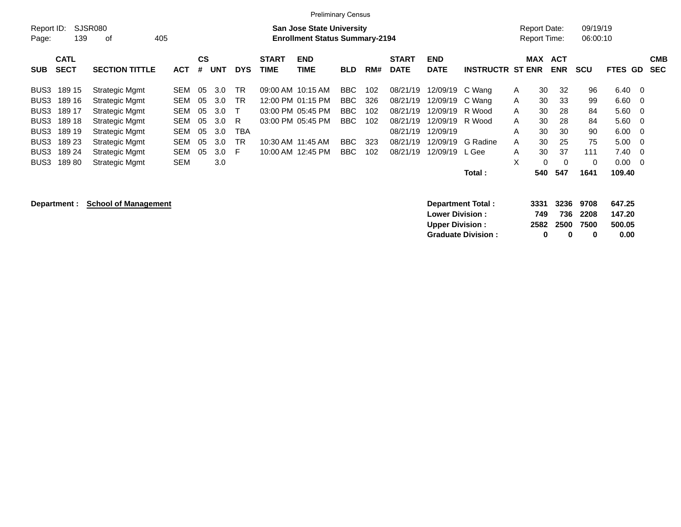|                     | <b>Preliminary Census</b>  |                       |            |                |            |            |                             |                                                                           |            |     |                             |                           |                         |                                     |                       |                      |                |                          |
|---------------------|----------------------------|-----------------------|------------|----------------|------------|------------|-----------------------------|---------------------------------------------------------------------------|------------|-----|-----------------------------|---------------------------|-------------------------|-------------------------------------|-----------------------|----------------------|----------------|--------------------------|
| Report ID:<br>Page: | 139                        | SJSR080<br>οf         | 405        |                |            |            |                             | <b>San Jose State University</b><br><b>Enrollment Status Summary-2194</b> |            |     |                             |                           |                         | Report Date:<br><b>Report Time:</b> |                       | 09/19/19<br>06:00:10 |                |                          |
| <b>SUB</b>          | <b>CATL</b><br><b>SECT</b> | <b>SECTION TITTLE</b> | <b>ACT</b> | <b>CS</b><br># | <b>UNT</b> | <b>DYS</b> | <b>START</b><br><b>TIME</b> | <b>END</b><br><b>TIME</b>                                                 | <b>BLD</b> | RM# | <b>START</b><br><b>DATE</b> | <b>END</b><br><b>DATE</b> | <b>INSTRUCTR ST ENR</b> |                                     | MAX ACT<br><b>ENR</b> | <b>SCU</b>           | <b>FTES GD</b> | <b>CMB</b><br><b>SEC</b> |
| BUS3                | 189 15                     | <b>Strategic Mgmt</b> | SEM        | 05             | 3.0        | <b>TR</b>  |                             | 09:00 AM 10:15 AM                                                         | BBC        | 102 | 08/21/19                    | 12/09/19 C Wang           |                         | 30<br>A                             | 32                    | 96                   | $6.40 \quad 0$ |                          |
| BUS3                | 189 16                     | Strategic Mgmt        | <b>SEM</b> | 05             | 3.0        | <b>TR</b>  |                             | 12:00 PM 01:15 PM                                                         | BBC        | 326 | 08/21/19                    | 12/09/19                  | C Wang                  | 30<br>A                             | 33                    | 99                   | $6.60 \t 0$    |                          |
| BUS3                | 189 17                     | <b>Strategic Mgmt</b> | <b>SEM</b> | 05             | 3.0        |            |                             | 03:00 PM 05:45 PM                                                         | BBC        | 102 | 08/21/19                    | 12/09/19                  | R Wood                  | 30<br>A                             | 28                    | 84                   | $5.60 \quad 0$ |                          |
| BUS3                | 189 18                     | Strategic Mgmt        | SEM        | 05             | 3.0        | R          |                             | 03:00 PM 05:45 PM                                                         | BBC.       | 102 | 08/21/19                    | 12/09/19                  | R Wood                  | 30<br>A                             | 28                    | 84                   | $5.60 \quad 0$ |                          |
| BUS3                | 189 19                     | Strategic Mgmt        | <b>SEM</b> | 05             | 3.0        | <b>TBA</b> |                             |                                                                           |            |     | 08/21/19                    | 12/09/19                  |                         | 30<br>Α                             | 30                    | 90                   | $6.00 \quad 0$ |                          |
| BUS3                | 189 23                     | <b>Strategic Mgmt</b> | SEM        | 05             | 3.0        | <b>TR</b>  |                             | 10:30 AM 11:45 AM                                                         | <b>BBC</b> | 323 | 08/21/19                    | 12/09/19                  | G Radine                | 30<br>A                             | 25                    | 75                   | $5.00 \t 0$    |                          |
| BUS3                | 189 24                     | Strategic Mgmt        | <b>SEM</b> | 05             | 3.0        | F.         |                             | 10:00 AM 12:45 PM                                                         | BBC        | 102 | 08/21/19                    | 12/09/19                  | L Gee                   | 30<br>A                             | 37                    | 111                  | $7.40 \quad 0$ |                          |
| BUS3                | 18980                      | <b>Strategic Mgmt</b> | <b>SEM</b> |                | 3.0        |            |                             |                                                                           |            |     |                             |                           |                         | X                                   | 0<br>$\Omega$         | $\mathbf 0$          | $0.00 \t 0$    |                          |
|                     |                            |                       |            |                |            |            |                             |                                                                           |            |     |                             |                           | Total:                  | 540                                 | 547                   | 1641                 | 109.40         |                          |

**Department : School of Management Department Total : 3331 3236 9708 647.25 Lower Division : 749 736 2208 147.20 Upper Division : 2582 2500 7500 500.05 Graduate Division : 0 0 0 0.00**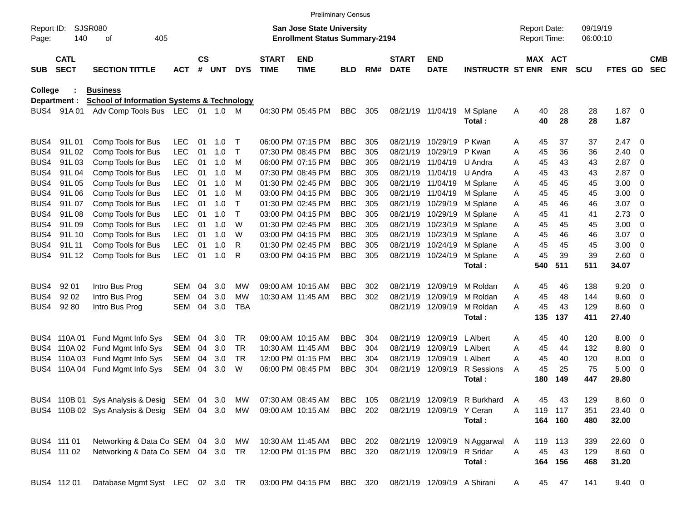|                     |                            |                                                       |            |                    |            |              |                             | <b>Preliminary Census</b>                                                 |            |     |                             |                           |                             |                                            |          |                       |                      |                |                |                          |
|---------------------|----------------------------|-------------------------------------------------------|------------|--------------------|------------|--------------|-----------------------------|---------------------------------------------------------------------------|------------|-----|-----------------------------|---------------------------|-----------------------------|--------------------------------------------|----------|-----------------------|----------------------|----------------|----------------|--------------------------|
| Report ID:<br>Page: | 140                        | SJSR080<br>405<br>οf                                  |            |                    |            |              |                             | <b>San Jose State University</b><br><b>Enrollment Status Summary-2194</b> |            |     |                             |                           |                             | <b>Report Date:</b><br><b>Report Time:</b> |          |                       | 09/19/19<br>06:00:10 |                |                |                          |
| <b>SUB</b>          | <b>CATL</b><br><b>SECT</b> | <b>SECTION TITTLE</b>                                 | <b>ACT</b> | $\mathsf{cs}$<br># | <b>UNT</b> | <b>DYS</b>   | <b>START</b><br><b>TIME</b> | <b>END</b><br><b>TIME</b>                                                 | <b>BLD</b> | RM# | <b>START</b><br><b>DATE</b> | <b>END</b><br><b>DATE</b> | <b>INSTRUCTR ST ENR</b>     |                                            |          | MAX ACT<br><b>ENR</b> | <b>SCU</b>           | FTES GD        |                | <b>CMB</b><br><b>SEC</b> |
| College             |                            | <b>Business</b>                                       |            |                    |            |              |                             |                                                                           |            |     |                             |                           |                             |                                            |          |                       |                      |                |                |                          |
|                     | Department :               | <b>School of Information Systems &amp; Technology</b> |            |                    |            |              |                             |                                                                           |            |     |                             |                           |                             |                                            |          |                       |                      |                |                |                          |
| BUS4                | 91A01                      | Adv Comp Tools Bus LEC 01 1.0 M                       |            |                    |            |              |                             | 04:30 PM 05:45 PM                                                         | <b>BBC</b> | 305 | 08/21/19 11/04/19           |                           | M Splane<br>Total:          | Α                                          | 40<br>40 | 28<br>28              | 28<br>28             | 1.87<br>1.87   | - 0            |                          |
| BUS4                | 91L01                      | Comp Tools for Bus                                    | <b>LEC</b> | 01                 | 1.0        | Т            |                             | 06:00 PM 07:15 PM                                                         | <b>BBC</b> | 305 | 08/21/19                    | 10/29/19                  | P Kwan                      | Α                                          | 45       | 37                    | 37                   | 2.47           | - 0            |                          |
| BUS4                | 91L02                      | Comp Tools for Bus                                    | <b>LEC</b> | 01                 | 1.0        | $\mathsf{T}$ |                             | 07:30 PM 08:45 PM                                                         | <b>BBC</b> | 305 | 08/21/19                    | 10/29/19                  | P Kwan                      | Α                                          | 45       | 36                    | 36                   | 2.40           | 0              |                          |
| BUS4                | 91L03                      | Comp Tools for Bus                                    | <b>LEC</b> | 01                 | 1.0        | M            |                             | 06:00 PM 07:15 PM                                                         | <b>BBC</b> | 305 | 08/21/19                    | 11/04/19                  | U Andra                     | Α                                          | 45       | 43                    | 43                   | 2.87           | - 0            |                          |
| BUS4                | 91L04                      | Comp Tools for Bus                                    | <b>LEC</b> | 01                 | 1.0        | M            |                             | 07:30 PM 08:45 PM                                                         | <b>BBC</b> | 305 | 08/21/19                    | 11/04/19                  | U Andra                     | Α                                          | 45       | 43                    | 43                   | 2.87           | $\overline{0}$ |                          |
| BUS4                | 91L05                      | Comp Tools for Bus                                    | <b>LEC</b> | 01                 | 1.0        | M            |                             | 01:30 PM 02:45 PM                                                         | <b>BBC</b> | 305 | 08/21/19                    | 11/04/19                  | M Splane                    | Α                                          | 45       | 45                    | 45                   | 3.00           | 0              |                          |
| BUS4                | 91L06                      | Comp Tools for Bus                                    | <b>LEC</b> | 01                 | 1.0        | M            |                             | 03:00 PM 04:15 PM                                                         | <b>BBC</b> | 305 | 08/21/19                    | 11/04/19                  | M Splane                    | Α                                          | 45       | 45                    | 45                   | 3.00           | - 0            |                          |
| BUS4                | 91L07                      | Comp Tools for Bus                                    | <b>LEC</b> | 01                 | 1.0        | Т            |                             | 01:30 PM 02:45 PM                                                         | <b>BBC</b> | 305 | 08/21/19                    | 10/29/19                  | M Splane                    | Α                                          | 45       | 46                    | 46                   | 3.07           | - 0            |                          |
| BUS4                | 91L08                      | Comp Tools for Bus                                    | <b>LEC</b> | 01                 | 1.0        | $\mathsf{T}$ |                             | 03:00 PM 04:15 PM                                                         | <b>BBC</b> | 305 | 08/21/19                    | 10/29/19                  | M Splane                    | Α                                          | 45       | 41                    | 41                   | 2.73           | 0              |                          |
| BUS4                | 91L09                      | Comp Tools for Bus                                    | <b>LEC</b> | 01                 | 1.0        | W            |                             | 01:30 PM 02:45 PM                                                         | <b>BBC</b> | 305 | 08/21/19                    | 10/23/19                  | M Splane                    | Α                                          | 45       | 45                    | 45                   | 3.00           | 0              |                          |
| BUS4                | 91L 10                     | Comp Tools for Bus                                    | <b>LEC</b> | 01                 | 1.0        | W            |                             | 03:00 PM 04:15 PM                                                         | <b>BBC</b> | 305 | 08/21/19                    | 10/23/19                  | M Splane                    | Α                                          | 45       | 46                    | 46                   | 3.07           | - 0            |                          |
| BUS4                | 91L 11                     | Comp Tools for Bus                                    | <b>LEC</b> | 01                 | 1.0        | R            |                             | 01:30 PM 02:45 PM                                                         | <b>BBC</b> | 305 | 08/21/19                    | 10/24/19                  | M Splane                    | Α                                          | 45       | 45                    | 45                   | 3.00           | $\overline{0}$ |                          |
| BUS4                | 91L 12                     | Comp Tools for Bus                                    | <b>LEC</b> | 01                 | 1.0        | R            |                             | 03:00 PM 04:15 PM                                                         | <b>BBC</b> | 305 | 08/21/19 10/24/19           |                           | M Splane                    | Α                                          | 45       | 39                    | 39                   | 2.60           | - 0            |                          |
|                     |                            |                                                       |            |                    |            |              |                             |                                                                           |            |     |                             |                           | Total:                      |                                            | 540      | 511                   | 511                  | 34.07          |                |                          |
| BUS4                | 92 01                      | Intro Bus Prog                                        | <b>SEM</b> | 04                 | 3.0        | МW           |                             | 09:00 AM 10:15 AM                                                         | <b>BBC</b> | 302 | 08/21/19                    | 12/09/19                  | M Roldan                    | A                                          | 45       | 46                    | 138                  | 9.20           | - 0            |                          |
| BUS4                | 92 02                      | Intro Bus Prog                                        | <b>SEM</b> | 04                 | 3.0        | МW           |                             | 10:30 AM 11:45 AM                                                         | <b>BBC</b> | 302 | 08/21/19                    | 12/09/19                  | M Roldan                    | Α                                          | 45       | 48                    | 144                  | 9.60           | 0              |                          |
| BUS4                | 92 80                      | Intro Bus Prog                                        | <b>SEM</b> | 04                 | 3.0        | <b>TBA</b>   |                             |                                                                           |            |     | 08/21/19 12/09/19           |                           | M Roldan                    | А                                          | 45       | 43                    | 129                  | 8.60           | - 0            |                          |
|                     |                            |                                                       |            |                    |            |              |                             |                                                                           |            |     |                             |                           | Total:                      |                                            | 135      | 137                   | 411                  | 27.40          |                |                          |
| BUS4                |                            | 110A 01 Fund Mgmt Info Sys                            | <b>SEM</b> | 04                 | 3.0        | <b>TR</b>    |                             | 09:00 AM 10:15 AM                                                         | <b>BBC</b> | 304 | 08/21/19                    | 12/09/19                  | <b>L</b> Albert             | Α                                          | 45       | 40                    | 120                  | 8.00           | - 0            |                          |
| BUS4                | 110A 02                    | Fund Mgmt Info Sys                                    | <b>SEM</b> | 04                 | 3.0        | <b>TR</b>    |                             | 10:30 AM 11:45 AM                                                         | <b>BBC</b> | 304 | 08/21/19                    | 12/09/19                  | L Albert                    | Α                                          | 45       | 44                    | 132                  | 8.80           | - 0            |                          |
| BUS4                |                            | 110A 03 Fund Mgmt Info Sys                            | <b>SEM</b> | 04                 | 3.0        | <b>TR</b>    |                             | 12:00 PM 01:15 PM                                                         | <b>BBC</b> | 304 | 08/21/19                    | 12/09/19                  | L Albert                    | Α                                          | 45       | 40                    | 120                  | 8.00           | $\mathbf 0$    |                          |
| BUS4                | 110A 04                    | Fund Mgmt Info Sys                                    | <b>SEM</b> | 04                 | 3.0        | W            |                             | 06:00 PM 08:45 PM                                                         | <b>BBC</b> | 304 | 08/21/19                    | 12/09/19                  | R Sessions                  | A                                          | 45       | 25                    | 75                   | 5.00           | - 0            |                          |
|                     |                            |                                                       |            |                    |            |              |                             |                                                                           |            |     |                             |                           | Total:                      |                                            | 180      | 149                   | 447                  | 29.80          |                |                          |
|                     |                            | BUS4 110B 01 Sys Analysis & Desig SEM 04 3.0 MW       |            |                    |            |              |                             | 07:30 AM 08:45 AM                                                         | BBC        | 105 |                             | 08/21/19 12/09/19         | R Burkhard                  | Α                                          | 45       | 43                    | 129                  | $8.60\ 0$      |                |                          |
|                     |                            | BUS4 110B 02 Sys Analysis & Desig SEM 04 3.0 MW       |            |                    |            |              |                             | 09:00 AM 10:15 AM                                                         | BBC 202    |     |                             | 08/21/19 12/09/19 Y Ceran |                             | Α                                          | 119      | 117                   | 351                  | 23.40 0        |                |                          |
|                     |                            |                                                       |            |                    |            |              |                             |                                                                           |            |     |                             |                           | Total:                      |                                            |          | 164 160               | 480                  | 32.00          |                |                          |
|                     | BUS4 111 01                | Networking & Data Co SEM 04 3.0                       |            |                    |            | МW           |                             | 10:30 AM 11:45 AM                                                         | BBC 202    |     | 08/21/19 12/09/19           |                           | N Aggarwal                  | A                                          |          | 119 113               | 339                  | 22.60 0        |                |                          |
|                     | BUS4 111 02                | Networking & Data Co SEM 04 3.0 TR                    |            |                    |            |              |                             | 12:00 PM 01:15 PM                                                         | BBC 320    |     | 08/21/19 12/09/19           |                           | R Sridar                    | A                                          | 45       | 43                    | 129                  | $8.60$ 0       |                |                          |
|                     |                            |                                                       |            |                    |            |              |                             |                                                                           |            |     |                             |                           | Total:                      |                                            |          | 164 156               | 468                  | 31.20          |                |                          |
|                     | BUS4 112 01                | Database Mgmt Syst LEC 02 3.0 TR                      |            |                    |            |              |                             | 03:00 PM 04:15 PM BBC 320                                                 |            |     |                             |                           | 08/21/19 12/09/19 A Shirani | A                                          | 45       | 47                    | 141                  | $9.40 \quad 0$ |                |                          |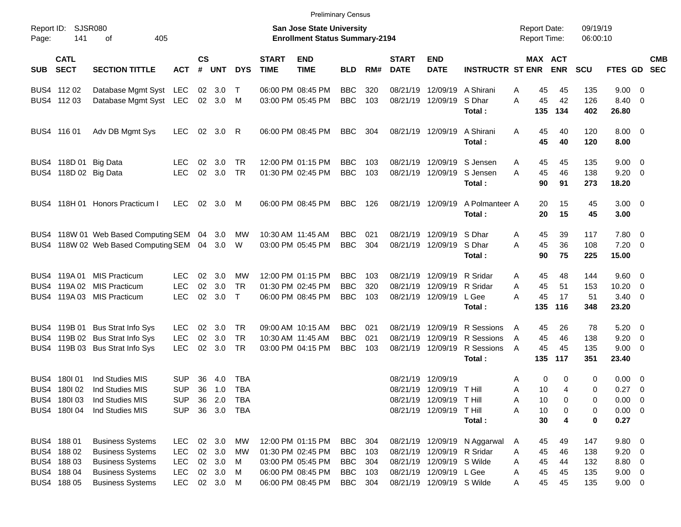|                     |                            |                                             |            |                    |            |            |                             |                                                                           | <b>Preliminary Census</b> |     |                             |                             |                              |                                            |                       |                      |                     |                          |            |
|---------------------|----------------------------|---------------------------------------------|------------|--------------------|------------|------------|-----------------------------|---------------------------------------------------------------------------|---------------------------|-----|-----------------------------|-----------------------------|------------------------------|--------------------------------------------|-----------------------|----------------------|---------------------|--------------------------|------------|
| Report ID:<br>Page: | <b>SJSR080</b><br>141      | 405<br>οf                                   |            |                    |            |            |                             | <b>San Jose State University</b><br><b>Enrollment Status Summary-2194</b> |                           |     |                             |                             |                              | <b>Report Date:</b><br><b>Report Time:</b> |                       | 09/19/19<br>06:00:10 |                     |                          |            |
| <b>SUB</b>          | <b>CATL</b><br><b>SECT</b> | <b>SECTION TITTLE</b>                       | <b>ACT</b> | $\mathsf{cs}$<br># | <b>UNT</b> | <b>DYS</b> | <b>START</b><br><b>TIME</b> | <b>END</b><br><b>TIME</b>                                                 | <b>BLD</b>                | RM# | <b>START</b><br><b>DATE</b> | <b>END</b><br><b>DATE</b>   | <b>INSTRUCTR ST ENR</b>      |                                            | MAX ACT<br><b>ENR</b> | <b>SCU</b>           | FTES GD SEC         |                          | <b>CMB</b> |
|                     | BUS4 112 02                | Database Mgmt Syst LEC                      |            |                    | 02 3.0     | $\top$     |                             | 06:00 PM 08:45 PM                                                         | <b>BBC</b>                | 320 |                             | 08/21/19 12/09/19 A Shirani |                              | 45<br>Α                                    | 45                    | 135                  | $9.00 \t 0$         |                          |            |
|                     | BUS4 112 03                | Database Mgmt Syst LEC                      |            |                    | 02 3.0     | M          |                             | 03:00 PM 05:45 PM                                                         | <b>BBC</b>                | 103 |                             | 08/21/19 12/09/19           | S Dhar<br>Total:             | 45<br>A<br>135                             | 42<br>134             | 126<br>402           | 8.40<br>26.80       | $\overline{\phantom{0}}$ |            |
|                     | BUS4 116 01                | Adv DB Mgmt Sys                             | <b>LEC</b> | 02 <sub>o</sub>    | 3.0        | -R         |                             | 06:00 PM 08:45 PM                                                         | <b>BBC</b>                | 304 |                             | 08/21/19 12/09/19           | A Shirani<br>Total:          | A<br>45<br>45                              | 40<br>40              | 120<br>120           | $8.00 \t 0$<br>8.00 |                          |            |
|                     | BUS4 118D 01 Big Data      |                                             | <b>LEC</b> | 02                 | 3.0        | TR.        |                             | 12:00 PM 01:15 PM                                                         | <b>BBC</b>                | 103 |                             | 08/21/19 12/09/19           | S Jensen                     | 45<br>A                                    | 45                    | 135                  | $9.00 \t 0$         |                          |            |
|                     | BUS4 118D 02 Big Data      |                                             | <b>LEC</b> | 02 <sub>o</sub>    | 3.0        | TR         |                             | 01:30 PM 02:45 PM                                                         | <b>BBC</b>                | 103 |                             | 08/21/19 12/09/19           | S Jensen<br>Total:           | 45<br>A<br>90                              | 46<br>91              | 138<br>273           | $9.20 \ 0$<br>18.20 |                          |            |
|                     |                            | BUS4 118H 01 Honors Practicum I             | LEC        | 02                 | 3.0        | M          |                             | 06:00 PM 08:45 PM                                                         | BBC                       | 126 |                             | 08/21/19 12/09/19           | A Polmanteer A<br>Total:     | 20<br>20                                   | 15<br>15              | 45<br>45             | $3.00 \ 0$<br>3.00  |                          |            |
|                     |                            | BUS4 118W 01 Web Based Computing SEM 04 3.0 |            |                    |            | <b>MW</b>  |                             | 10:30 AM 11:45 AM                                                         | <b>BBC</b>                | 021 |                             | 08/21/19 12/09/19 S Dhar    |                              | 45<br>A                                    | 39                    | 117                  | 7.80 0              |                          |            |
|                     |                            | BUS4 118W 02 Web Based Computing SEM 04 3.0 |            |                    |            | W          |                             | 03:00 PM 05:45 PM                                                         | <b>BBC</b>                | 304 |                             | 08/21/19 12/09/19 S Dhar    |                              | 45<br>A                                    | 36                    | 108                  | $7.20 \t 0$         |                          |            |
|                     |                            |                                             |            |                    |            |            |                             |                                                                           |                           |     |                             |                             | Total:                       | 90                                         | 75                    | 225                  | 15.00               |                          |            |
|                     |                            | BUS4 119A 01 MIS Practicum                  | <b>LEC</b> | 02                 | 3.0        | МW         |                             | 12:00 PM 01:15 PM                                                         | <b>BBC</b>                | 103 |                             | 08/21/19 12/09/19 R Sridar  |                              | 45<br>A                                    | 48                    | 144                  | 9.60 0              |                          |            |
|                     |                            | BUS4 119A 02 MIS Practicum                  | <b>LEC</b> | 02                 | 3.0        | <b>TR</b>  |                             | 01:30 PM 02:45 PM                                                         | <b>BBC</b>                | 320 | 08/21/19                    | 12/09/19 R Sridar           |                              | 45<br>A                                    | 51                    | 153                  | 10.20               | $\overline{\phantom{0}}$ |            |
|                     |                            | BUS4 119A 03 MIS Practicum                  | <b>LEC</b> | 02 <sub>o</sub>    | 3.0        | $\top$     |                             | 06:00 PM 08:45 PM                                                         | <b>BBC</b>                | 103 |                             | 08/21/19 12/09/19           | L Gee                        | A<br>45                                    | 17                    | 51                   | $3.40 \ 0$          |                          |            |
|                     |                            |                                             |            |                    |            |            |                             |                                                                           |                           |     |                             |                             | Total:                       | 135                                        | 116                   | 348                  | 23.20               |                          |            |
|                     |                            | BUS4 119B 01 Bus Strat Info Sys             | <b>LEC</b> | 02                 | 3.0        | <b>TR</b>  |                             | 09:00 AM 10:15 AM                                                         | BBC.                      | 021 |                             | 08/21/19 12/09/19           | R Sessions                   | 45<br>A                                    | 26                    | 78                   | $5.20 \ 0$          |                          |            |
|                     |                            | BUS4 119B 02 Bus Strat Info Sys             | <b>LEC</b> | 02                 | 3.0        | <b>TR</b>  |                             | 10:30 AM 11:45 AM                                                         | <b>BBC</b>                | 021 | 08/21/19                    | 12/09/19                    | R Sessions                   | 45<br>A                                    | 46                    | 138                  | 9.20                | $\overline{\phantom{0}}$ |            |
|                     |                            | BUS4 119B 03 Bus Strat Info Sys             | <b>LEC</b> | 02 <sub>o</sub>    | 3.0        | TR         |                             | 03:00 PM 04:15 PM                                                         | <b>BBC</b>                | 103 |                             | 08/21/19 12/09/19           | R Sessions                   | 45<br>A                                    | 45                    | 135                  | $9.00 \t 0$         |                          |            |
|                     |                            |                                             |            |                    |            |            |                             |                                                                           |                           |     |                             |                             | Total:                       | 135                                        | 117                   | 351                  | 23.40               |                          |            |
|                     | BUS4 180 01                | Ind Studies MIS                             | <b>SUP</b> | 36                 | 4.0        | <b>TBA</b> |                             |                                                                           |                           |     |                             | 08/21/19 12/09/19           |                              | 0<br>Α                                     | 0                     | 0                    | $0.00 \t 0$         |                          |            |
|                     | BUS4 180102                | Ind Studies MIS                             | <b>SUP</b> | 36                 | 1.0        | <b>TBA</b> |                             |                                                                           |                           |     |                             | 08/21/19 12/09/19 T Hill    |                              | 10<br>A                                    | 4                     | 0                    | 0.27                | $\overline{\phantom{0}}$ |            |
|                     | BUS4 180103                | Ind Studies MIS                             | <b>SUP</b> | 36                 | 2.0        | TBA        |                             |                                                                           |                           |     |                             | 08/21/19 12/09/19 T Hill    |                              | Α<br>10                                    | 0                     | 0                    | $0.00 \t 0$         |                          |            |
|                     | BUS4 180I 04               | Ind Studies MIS                             | <b>SUP</b> |                    | 36 3.0     | TBA        |                             |                                                                           |                           |     |                             | 08/21/19 12/09/19 T Hill    |                              | Α<br>10                                    | 0                     | 0                    | $0.00 \t 0$         |                          |            |
|                     |                            |                                             |            |                    |            |            |                             |                                                                           |                           |     |                             |                             | Total:                       | 30                                         | 4                     | 0                    | 0.27                |                          |            |
|                     | BUS4 188 01                | <b>Business Systems</b>                     | <b>LEC</b> |                    | 02 3.0     | MW         |                             | 12:00 PM 01:15 PM                                                         | BBC                       | 304 |                             |                             | 08/21/19 12/09/19 N Aggarwal | 45<br>A                                    | 49                    | 147                  | 9.80 0              |                          |            |
|                     | BUS4 188 02                | <b>Business Systems</b>                     | <b>LEC</b> |                    | 02 3.0     | МW         |                             | 01:30 PM 02:45 PM                                                         | <b>BBC</b>                | 103 |                             | 08/21/19 12/09/19 R Sridar  |                              | 45<br>Α                                    | 46                    | 138                  | $9.20 \ 0$          |                          |            |
|                     | BUS4 188 03                | <b>Business Systems</b>                     | <b>LEC</b> |                    | 02 3.0     | M          |                             | 03:00 PM 05:45 PM                                                         | <b>BBC</b>                | 304 |                             | 08/21/19 12/09/19 S Wilde   |                              | Α<br>45                                    | 44                    | 132                  | 8.80 0              |                          |            |
|                     | BUS4 188 04                | <b>Business Systems</b>                     | <b>LEC</b> |                    | 02 3.0     | M          |                             | 06:00 PM 08:45 PM                                                         | <b>BBC</b>                | 103 |                             | 08/21/19 12/09/19 L Gee     |                              | 45<br>Α                                    | 45                    | 135                  | $9.00 \t 0$         |                          |            |
|                     | BUS4 188 05                | <b>Business Systems</b>                     | <b>LEC</b> |                    | 02 3.0 M   |            |                             | 06:00 PM 08:45 PM                                                         | <b>BBC</b>                | 304 |                             | 08/21/19 12/09/19 S Wilde   |                              | 45<br>Α                                    | 45                    | 135                  | $9.00 \t 0$         |                          |            |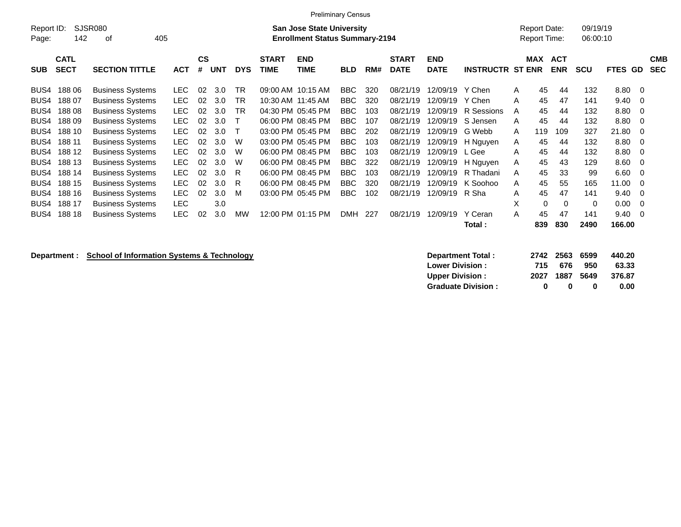| <b>Preliminary Census</b><br><b>SJSR080</b><br>09/19/19<br>Report ID:<br><b>Report Date:</b><br><b>San Jose State University</b> |                            |                         |            |                |            |            |                             |                                       |            |     |                             |                           |                         |                     |                          |            |                |                          |
|----------------------------------------------------------------------------------------------------------------------------------|----------------------------|-------------------------|------------|----------------|------------|------------|-----------------------------|---------------------------------------|------------|-----|-----------------------------|---------------------------|-------------------------|---------------------|--------------------------|------------|----------------|--------------------------|
| Page:                                                                                                                            | 142                        | 405<br>οf               |            |                |            |            |                             | <b>Enrollment Status Summary-2194</b> |            |     |                             |                           |                         | <b>Report Time:</b> |                          | 06:00:10   |                |                          |
| <b>SUB</b>                                                                                                                       | <b>CATL</b><br><b>SECT</b> | <b>SECTION TITTLE</b>   | <b>ACT</b> | <b>CS</b><br># | <b>UNT</b> | <b>DYS</b> | <b>START</b><br><b>TIME</b> | <b>END</b><br>TIME                    | <b>BLD</b> | RM# | <b>START</b><br><b>DATE</b> | <b>END</b><br><b>DATE</b> | <b>INSTRUCTR ST ENR</b> | <b>MAX</b>          | <b>ACT</b><br><b>ENR</b> | <b>SCU</b> | <b>FTES GD</b> | <b>CMB</b><br><b>SEC</b> |
| BUS4                                                                                                                             | 18806                      | <b>Business Systems</b> | LEC.       | 02             | 3.0        | TR         |                             | 09:00 AM 10:15 AM                     | BBC        | 320 | 08/21/19                    | 12/09/19                  | Y Chen                  | 45<br>A             | 44                       | 132        | 8.80 0         |                          |
| BUS4                                                                                                                             | 188 07                     | <b>Business Systems</b> | <b>LEC</b> | 02             | 3.0        | <b>TR</b>  |                             | 10:30 AM 11:45 AM                     | <b>BBC</b> | 320 | 08/21/19                    | 12/09/19                  | Y Chen                  | 45<br>A             | 47                       | 141        | $9.40 \quad 0$ |                          |
| BUS4                                                                                                                             | 18808                      | <b>Business Systems</b> | <b>LEC</b> | 02             | 3.0        | <b>TR</b>  |                             | 04:30 PM 05:45 PM                     | BBC        | 103 | 08/21/19                    | 12/09/19                  | R Sessions              | 45<br>A             | 44                       | 132        | 8.80 0         |                          |
| BUS4                                                                                                                             | 18809                      | <b>Business Systems</b> | <b>LEC</b> | 02             | 3.0        | $\top$     |                             | 06:00 PM 08:45 PM                     | <b>BBC</b> | 107 | 08/21/19                    |                           | 12/09/19 S Jensen       | 45<br>A             | 44                       | 132        | 8.80 0         |                          |
| BUS4                                                                                                                             | 188 10                     | <b>Business Systems</b> | <b>LEC</b> | 02             | 3.0        |            |                             | 03:00 PM 05:45 PM                     | BBC.       | 202 | 08/21/19                    | 12/09/19 G Webb           |                         | 119<br>A            | 109                      | 327        | 21.80 0        |                          |
| BUS4                                                                                                                             | 188 11                     | <b>Business Systems</b> | <b>LEC</b> | 02             | 3.0        | W          |                             | 03:00 PM 05:45 PM                     | <b>BBC</b> | 103 | 08/21/19                    |                           | 12/09/19 H Nguyen       | 45<br>A             | 44                       | 132        | 8.80 0         |                          |
| BUS4                                                                                                                             | 188 12                     | <b>Business Systems</b> | <b>LEC</b> | 02             | 3.0        | W          |                             | 06:00 PM 08:45 PM                     | BBC        | 103 | 08/21/19                    | 12/09/19                  | L Gee                   | 45<br>A             | 44                       | 132        | 8.80 0         |                          |
| BUS4                                                                                                                             | 188 13                     | <b>Business Systems</b> | LEC.       | 02             | 3.0        | W          |                             | 06:00 PM 08:45 PM                     | BBC.       | 322 | 08/21/19                    |                           | 12/09/19 H Nguyen       | 45<br>A             | 43                       | 129        | $8.60 \quad 0$ |                          |
| BUS4                                                                                                                             | 188 14                     | <b>Business Systems</b> | <b>LEC</b> | 02             | 3.0        | - R        |                             | 06:00 PM 08:45 PM                     | BBC.       | 103 | 08/21/19                    |                           | 12/09/19 R Thadani      | 45<br>Α             | 33                       | 99         | $6.60 \quad 0$ |                          |
| BUS4                                                                                                                             | 188 15                     | <b>Business Systems</b> | <b>LEC</b> | 02             | 3.0        | - R        |                             | 06:00 PM 08:45 PM                     | BBC.       | 320 | 08/21/19                    |                           | 12/09/19 K Soohoo       | 45<br>A             | 55                       | 165        | $11.00 \t 0$   |                          |
| BUS4                                                                                                                             | 188 16                     | <b>Business Systems</b> | <b>LEC</b> | 02             | 3.0        | M          |                             | 03:00 PM 05:45 PM                     | <b>BBC</b> | 102 | 08/21/19                    | 12/09/19 R Sha            |                         | 45<br>A             | 47                       | 141        | $9.40 \quad 0$ |                          |
| BUS4                                                                                                                             | 188 17                     | <b>Business Systems</b> | <b>LEC</b> |                | 3.0        |            |                             |                                       |            |     |                             |                           |                         | X                   | $\Omega$<br>$\Omega$     | 0          | $0.00 \quad 0$ |                          |
| BUS4                                                                                                                             | 188 18                     | <b>Business Systems</b> | LEC.       | 02             | 3.0        | MW         |                             | 12:00 PM 01:15 PM                     | <b>DMH</b> | 227 | 08/21/19                    | 12/09/19                  | Y Ceran                 | 45<br>A             | 47                       | 141        | $9.40 \quad 0$ |                          |
|                                                                                                                                  |                            |                         |            |                |            |            |                             |                                       |            |     |                             |                           | Total :                 | 839                 | 830                      | 2490       | 166.00         |                          |

**Department : School of Information Systems & Technology** 

| <b>Department Total:</b>  |      | 2742 2563 6599 |      | 440.20 |
|---------------------------|------|----------------|------|--------|
| <b>Lower Division:</b>    | 715  | 676            | 950  | 63.33  |
| <b>Upper Division:</b>    | 2027 | 1887           | 5649 | 376.87 |
| <b>Graduate Division:</b> | n    | $\mathbf{u}$   | 0    | 0.00   |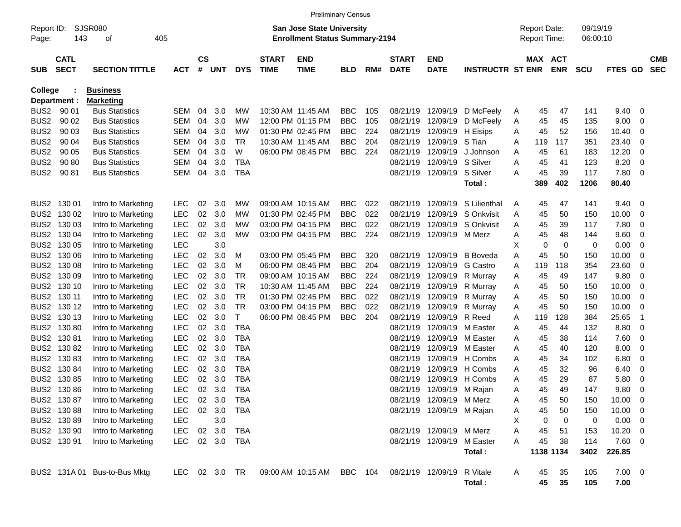|                     |                            |                              |            |                |           |            |                             |                                                                    | <b>Preliminary Census</b> |     |                             |                           |                         |   |                                            |             |                      |             |                          |                          |
|---------------------|----------------------------|------------------------------|------------|----------------|-----------|------------|-----------------------------|--------------------------------------------------------------------|---------------------------|-----|-----------------------------|---------------------------|-------------------------|---|--------------------------------------------|-------------|----------------------|-------------|--------------------------|--------------------------|
| Report ID:<br>Page: | 143                        | SJSR080<br>οf                | 405        |                |           |            |                             | San Jose State University<br><b>Enrollment Status Summary-2194</b> |                           |     |                             |                           |                         |   | <b>Report Date:</b><br><b>Report Time:</b> |             | 09/19/19<br>06:00:10 |             |                          |                          |
| <b>SUB</b>          | <b>CATL</b><br><b>SECT</b> | <b>SECTION TITTLE</b>        | <b>ACT</b> | <b>CS</b><br># | UNT       | <b>DYS</b> | <b>START</b><br><b>TIME</b> | <b>END</b><br><b>TIME</b>                                          | <b>BLD</b>                | RM# | <b>START</b><br><b>DATE</b> | <b>END</b><br><b>DATE</b> | <b>INSTRUCTR ST ENR</b> |   | MAX ACT                                    | <b>ENR</b>  | <b>SCU</b>           | <b>FTES</b> | GD.                      | <b>CMB</b><br><b>SEC</b> |
| College             |                            | <b>Business</b>              |            |                |           |            |                             |                                                                    |                           |     |                             |                           |                         |   |                                            |             |                      |             |                          |                          |
|                     | Department :               | <b>Marketing</b>             |            |                |           |            |                             |                                                                    |                           |     |                             |                           |                         |   |                                            |             |                      |             |                          |                          |
| BUS2                | 90 01                      | <b>Bus Statistics</b>        | SEM        | 04             | 3.0       | MW         | 10:30 AM 11:45 AM           |                                                                    | <b>BBC</b>                | 105 | 08/21/19                    | 12/09/19                  | D McFeely               | A | 45                                         | 47          | 141                  | 9.40        | 0                        |                          |
| BUS <sub>2</sub>    | 90 02                      | <b>Bus Statistics</b>        | SEM        | 04             | 3.0       | MW         |                             | 12:00 PM 01:15 PM                                                  | <b>BBC</b>                | 105 | 08/21/19                    | 12/09/19                  | D McFeely               | A | 45                                         | 45          | 135                  | 9.00        | 0                        |                          |
| BUS <sub>2</sub>    | 90 03                      | <b>Bus Statistics</b>        | SEM        | 04             | 3.0       | МW         |                             | 01:30 PM 02:45 PM                                                  | <b>BBC</b>                | 224 | 08/21/19                    | 12/09/19                  | H Eisips                | Α | 45                                         | 52          | 156                  | 10.40       | 0                        |                          |
| BUS <sub>2</sub>    | 90 04                      | <b>Bus Statistics</b>        | SEM        | 04             | 3.0       | TR         | 10:30 AM 11:45 AM           |                                                                    | <b>BBC</b>                | 204 | 08/21/19                    | 12/09/19                  | S Tian                  | Α | 119                                        | 117         | 351                  | 23.40       | 0                        |                          |
| BUS <sub>2</sub>    | 90 05                      | <b>Bus Statistics</b>        | SEM        | 04             | 3.0       | W          |                             | 06:00 PM 08:45 PM                                                  | <b>BBC</b>                | 224 | 08/21/19                    | 12/09/19                  | J Johnson               | Α | 45                                         | 61          | 183                  | 12.20       | 0                        |                          |
| BUS <sub>2</sub>    | 90 80                      | <b>Bus Statistics</b>        | SEM        | 04             | 3.0       | TBA        |                             |                                                                    |                           |     | 08/21/19                    | 12/09/19                  | S Silver                | Α | 45                                         | 41          | 123                  | 8.20        | 0                        |                          |
| BUS2                | 90 81                      | <b>Bus Statistics</b>        | SEM        | 04             | 3.0       | TBA        |                             |                                                                    |                           |     | 08/21/19                    | 12/09/19                  | S Silver                | Α | 45                                         | 39          | 117                  | 7.80        | 0                        |                          |
|                     |                            |                              |            |                |           |            |                             |                                                                    |                           |     |                             |                           | Total:                  |   | 389                                        | 402         | 1206                 | 80.40       |                          |                          |
| BUS2                | 130 01                     | Intro to Marketing           | <b>LEC</b> | 02             | 3.0       | MW         |                             | 09:00 AM 10:15 AM                                                  | BBC                       | 022 | 08/21/19                    | 12/09/19                  | S Lilienthal            | Α | 45                                         | 47          | 141                  | 9.40        | 0                        |                          |
| BUS2                | 130 02                     | Intro to Marketing           | <b>LEC</b> | 02             | 3.0       | MW         |                             | 01:30 PM 02:45 PM                                                  | <b>BBC</b>                | 022 | 08/21/19                    | 12/09/19                  | S Onkvisit              | Α | 45                                         | 50          | 150                  | 10.00       | 0                        |                          |
| BUS2                | 130 03                     | Intro to Marketing           | <b>LEC</b> | 02             | 3.0       | МW         |                             | 03:00 PM 04:15 PM                                                  | <b>BBC</b>                | 022 | 08/21/19                    | 12/09/19                  | S Onkvisit              | Α | 45                                         | 39          | 117                  | 7.80        | 0                        |                          |
| BUS2                | 130 04                     | Intro to Marketing           | <b>LEC</b> | 02             | 3.0       | MW         |                             | 03:00 PM 04:15 PM                                                  | <b>BBC</b>                | 224 | 08/21/19                    | 12/09/19                  | M Merz                  | Α | 45                                         | 48          | 144                  | 9.60        | 0                        |                          |
| BUS2                | 130 05                     | Intro to Marketing           | <b>LEC</b> |                | 3.0       |            |                             |                                                                    |                           |     |                             |                           |                         | Х | 0                                          | $\mathbf 0$ | 0                    | 0.00        | 0                        |                          |
|                     | BUS2 130 06                | Intro to Marketing           | <b>LEC</b> | 02             | 3.0       | м          |                             | 03:00 PM 05:45 PM                                                  | <b>BBC</b>                | 320 | 08/21/19                    | 12/09/19                  | <b>B</b> Boveda         | Α | 45                                         | 50          | 150                  | 10.00       | 0                        |                          |
|                     | BUS2 130 08                | Intro to Marketing           | <b>LEC</b> | 02             | 3.0       | м          |                             | 06:00 PM 08:45 PM                                                  | <b>BBC</b>                | 204 | 08/21/19                    | 12/09/19                  | <b>G</b> Castro         | Α | 119                                        | 118         | 354                  | 23.60       | 0                        |                          |
| BUS2                | 130 09                     | Intro to Marketing           | <b>LEC</b> | 02             | 3.0       | <b>TR</b>  |                             | 09:00 AM 10:15 AM                                                  | <b>BBC</b>                | 224 | 08/21/19                    | 12/09/19                  | R Murray                | A | 45                                         | 49          | 147                  | 9.80        | 0                        |                          |
|                     | BUS2 130 10                | Intro to Marketing           | <b>LEC</b> | 02             | 3.0       | <b>TR</b>  | 10:30 AM 11:45 AM           |                                                                    | <b>BBC</b>                | 224 | 08/21/19                    | 12/09/19                  | R Murray                | Α | 45                                         | 50          | 150                  | 10.00       | 0                        |                          |
|                     | BUS2 130 11                | Intro to Marketing           | <b>LEC</b> | 02             | 3.0       | TR         |                             | 01:30 PM 02:45 PM                                                  | <b>BBC</b>                | 022 | 08/21/19                    | 12/09/19                  | R Murray                | A | 45                                         | 50          | 150                  | 10.00       | 0                        |                          |
|                     | BUS2 130 12                | Intro to Marketing           | <b>LEC</b> | 02             | 3.0       | <b>TR</b>  |                             | 03:00 PM 04:15 PM                                                  | <b>BBC</b>                | 022 | 08/21/19                    | 12/09/19                  | R Murray                | A | 45                                         | 50          | 150                  | 10.00       | 0                        |                          |
|                     | BUS2 130 13                | Intro to Marketing           | <b>LEC</b> | 02             | 3.0       | T          |                             | 06:00 PM 08:45 PM                                                  | <b>BBC</b>                | 204 | 08/21/19                    | 12/09/19                  | R Reed                  | Α | 119                                        | 128         | 384                  | 25.65       | -1                       |                          |
|                     | BUS2 130 80                | Intro to Marketing           | <b>LEC</b> | 02             | 3.0       | TBA        |                             |                                                                    |                           |     | 08/21/19                    | 12/09/19                  | M Easter                | Α | 45                                         | 44          | 132                  | 8.80        | 0                        |                          |
| BUS2                | 13081                      | Intro to Marketing           | <b>LEC</b> | 02             | 3.0       | <b>TBA</b> |                             |                                                                    |                           |     | 08/21/19                    | 12/09/19                  | M Easter                | Α | 45                                         | 38          | 114                  | 7.60        | 0                        |                          |
| BUS2                | 13082                      | Intro to Marketing           | <b>LEC</b> | 02             | 3.0       | <b>TBA</b> |                             |                                                                    |                           |     | 08/21/19                    | 12/09/19                  | M Easter                | Α | 45                                         | 40          | 120                  | 8.00        | 0                        |                          |
| BUS2                | 13083                      | Intro to Marketing           | <b>LEC</b> | 02             | 3.0       | <b>TBA</b> |                             |                                                                    |                           |     | 08/21/19                    | 12/09/19                  | H Combs                 | Α | 45                                         | 34          | 102                  | 6.80        | 0                        |                          |
| BUS2                | 130 84                     | Intro to Marketing           | <b>LEC</b> | 02             | 3.0       | <b>TBA</b> |                             |                                                                    |                           |     | 08/21/19                    | 12/09/19                  | H Combs                 | Α | 45                                         | 32          | 96                   | 6.40        | 0                        |                          |
| BUS2                | 13085                      | Intro to Marketing           | LEC        | 02             | 3.0       | <b>TBA</b> |                             |                                                                    |                           |     | 08/21/19                    | 12/09/19                  | H Combs                 | Α | 45                                         | 29          | 87                   | 5.80        | 0                        |                          |
|                     | BUS2 130 86                | Intro to Marketing           | <b>LEC</b> |                | 02 3.0    | TBA        |                             |                                                                    |                           |     |                             | 08/21/19 12/09/19         | M Rajan                 | Α | 45                                         | 49          | 147                  | 9.80        | 0                        |                          |
|                     | BUS2 130 87                | Intro to Marketing           | <b>LEC</b> |                | 02 3.0    | TBA        |                             |                                                                    |                           |     |                             | 08/21/19 12/09/19 M Merz  |                         | A | 45                                         | 50          | 150                  | 10.00       | $\mathbf 0$              |                          |
|                     | BUS2 130 88                | Intro to Marketing           | <b>LEC</b> |                | 02 3.0    | TBA        |                             |                                                                    |                           |     |                             | 08/21/19 12/09/19 M Rajan |                         | A | 45                                         | 50          | 150                  | 10.00       | - 0                      |                          |
|                     | BUS2 130 89                | Intro to Marketing           | <b>LEC</b> |                | 3.0       |            |                             |                                                                    |                           |     |                             |                           |                         | х | 0                                          | 0           | 0                    | 0.00        | $\overline{\phantom{0}}$ |                          |
|                     | BUS2 130 90                | Intro to Marketing           | <b>LEC</b> |                | 02 3.0    | TBA        |                             |                                                                    |                           |     |                             | 08/21/19 12/09/19 M Merz  |                         | Α | 45                                         | 51          | 153                  | 10.20       | - 0                      |                          |
|                     | BUS2 130 91                | Intro to Marketing           | <b>LEC</b> |                | 02 3.0    | TBA        |                             |                                                                    |                           |     |                             | 08/21/19 12/09/19         | M Easter                | Α | 45                                         | 38          | 114                  | 7.60 0      |                          |                          |
|                     |                            |                              |            |                |           |            |                             |                                                                    |                           |     |                             |                           | Total:                  |   | 1138 1134                                  |             | 3402                 | 226.85      |                          |                          |
|                     |                            | BUS2 131A 01 Bus-to-Bus Mktg | LEC        |                | 02 3.0 TR |            |                             | 09:00 AM 10:15 AM BBC 104                                          |                           |     |                             | 08/21/19 12/09/19         | R Vitale                | A | 45                                         | 35          | 105                  | $7.00 \t 0$ |                          |                          |
|                     |                            |                              |            |                |           |            |                             |                                                                    |                           |     |                             |                           | Total:                  |   | 45                                         | 35          | 105                  | 7.00        |                          |                          |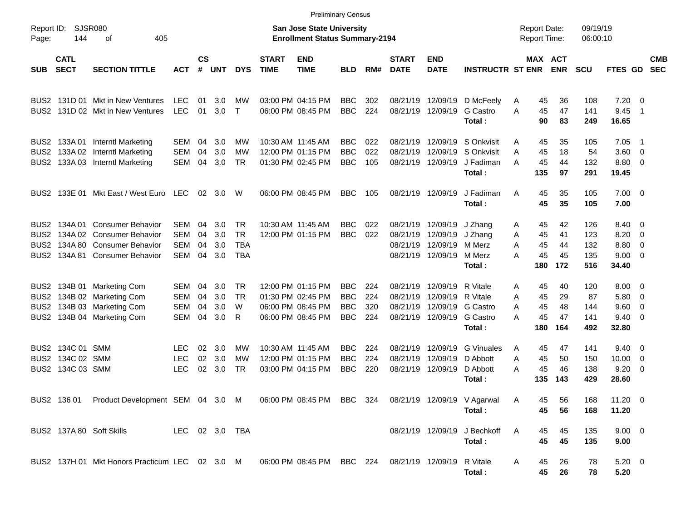|                                                                              |                                           |                                                                                                                       |                                                      |                      |                          |                                                    |                             | <b>Preliminary Census</b>                                                        |                                                      |                          |                                              |                                              |                                                               |                                                 |                             |                                 |                                       |                                                                  |                          |
|------------------------------------------------------------------------------|-------------------------------------------|-----------------------------------------------------------------------------------------------------------------------|------------------------------------------------------|----------------------|--------------------------|----------------------------------------------------|-----------------------------|----------------------------------------------------------------------------------|------------------------------------------------------|--------------------------|----------------------------------------------|----------------------------------------------|---------------------------------------------------------------|-------------------------------------------------|-----------------------------|---------------------------------|---------------------------------------|------------------------------------------------------------------|--------------------------|
| Report ID:<br>Page:                                                          | 144                                       | SJSR080<br>405<br>οf                                                                                                  |                                                      |                      |                          |                                                    |                             | <b>San Jose State University</b><br><b>Enrollment Status Summary-2194</b>        |                                                      |                          |                                              |                                              |                                                               | <b>Report Date:</b><br><b>Report Time:</b>      |                             | 09/19/19<br>06:00:10            |                                       |                                                                  |                          |
| <b>SUB</b>                                                                   | <b>CATL</b><br><b>SECT</b>                | <b>SECTION TITTLE</b>                                                                                                 | АСТ                                                  | <b>CS</b><br>#       | <b>UNT</b>               | <b>DYS</b>                                         | <b>START</b><br><b>TIME</b> | <b>END</b><br><b>TIME</b>                                                        | <b>BLD</b>                                           | RM#                      | <b>START</b><br><b>DATE</b>                  | <b>END</b><br><b>DATE</b>                    | <b>INSTRUCTR ST ENR</b>                                       |                                                 | MAX ACT<br><b>ENR</b>       | <b>SCU</b>                      | FTES GD                               |                                                                  | <b>CMB</b><br><b>SEC</b> |
| BUS <sub>2</sub><br>BUS <sub>2</sub>                                         |                                           | 131D 01 Mkt in New Ventures<br>131D 02 Mkt in New Ventures                                                            | <b>LEC</b><br><b>LEC</b>                             | 01<br>01             | 3.0 <sub>2</sub><br>3.0  | МW<br>$\top$                                       |                             | 03:00 PM 04:15 PM<br>06:00 PM 08:45 PM                                           | <b>BBC</b><br><b>BBC</b>                             | 302<br>224               | 08/21/19<br>08/21/19                         | 12/09/19                                     | 12/09/19 D McFeely<br>G Castro<br>Total:                      | 45<br>A<br>45<br>A<br>90                        | 36<br>47<br>83              | 108<br>141<br>249               | 7.20<br>9.45<br>16.65                 | $\overline{\phantom{0}}$<br>$\overline{1}$                       |                          |
| BUS <sub>2</sub><br>BUS <sub>2</sub><br>BUS <sub>2</sub>                     |                                           | 133A 01 Interntl Marketing<br>133A 02 Interntl Marketing<br>133A 03 Interntl Marketing                                | SEM<br><b>SEM</b><br><b>SEM</b>                      | 04<br>04<br>04       | 3.0<br>3.0<br>3.0        | МW<br>МW<br><b>TR</b>                              |                             | 10:30 AM 11:45 AM<br>12:00 PM 01:15 PM<br>01:30 PM 02:45 PM                      | <b>BBC</b><br><b>BBC</b><br><b>BBC</b>               | 022<br>022<br>105        | 08/21/19<br>08/21/19<br>08/21/19             | 12/09/19<br>12/09/19<br>12/09/19             | S Onkvisit<br>S Onkvisit<br>J Fadiman<br>Total:               | 45<br>A<br>A<br>45<br>A<br>45<br>135            | 35<br>18<br>44<br>97        | 105<br>54<br>132<br>291         | 7.05<br>3.60<br>8.80<br>19.45         | $\overline{\phantom{1}}$<br>$\overline{\mathbf{0}}$<br>- 0       |                          |
|                                                                              |                                           | BUS2 133E 01 Mkt East / West Euro LEC                                                                                 |                                                      | 02                   | -3.0                     | W                                                  |                             | 06:00 PM 08:45 PM                                                                | <b>BBC</b>                                           | 105                      |                                              | 08/21/19 12/09/19                            | J Fadiman<br>Total:                                           | 45<br>A<br>45                                   | 35<br>35                    | 105<br>105                      | $7.00 \t 0$<br>7.00                   |                                                                  |                          |
| BUS <sub>2</sub><br>BUS <sub>2</sub><br>BUS <sub>2</sub>                     |                                           | BUS2 134A 01 Consumer Behavior<br>134A 02 Consumer Behavior<br>134A 80 Consumer Behavior<br>134A 81 Consumer Behavior | <b>SEM</b><br><b>SEM</b><br><b>SEM</b><br><b>SEM</b> | 04<br>04<br>04<br>04 | 3.0<br>3.0<br>3.0<br>3.0 | <b>TR</b><br><b>TR</b><br><b>TBA</b><br><b>TBA</b> |                             | 10:30 AM 11:45 AM<br>12:00 PM 01:15 PM                                           | <b>BBC</b><br><b>BBC</b>                             | 022<br>022               | 08/21/19<br>08/21/19<br>08/21/19<br>08/21/19 | 12/09/19<br>12/09/19<br>12/09/19<br>12/09/19 | J Zhang<br>J Zhang<br>M Merz<br>M Merz<br>Total:              | 45<br>Α<br>45<br>Α<br>A<br>45<br>45<br>A<br>180 | 42<br>41<br>44<br>45<br>172 | 126<br>123<br>132<br>135<br>516 | 8.40<br>8.20<br>8.80<br>9.00<br>34.40 | - 0<br>$\overline{\mathbf{0}}$<br>$\overline{\mathbf{0}}$<br>- 0 |                          |
| BUS <sub>2</sub><br>BUS <sub>2</sub><br>BUS <sub>2</sub><br>BUS <sub>2</sub> |                                           | 134B 01 Marketing Com<br>134B 02 Marketing Com<br>134B 03 Marketing Com<br>134B 04 Marketing Com                      | <b>SEM</b><br>SEM<br><b>SEM</b><br><b>SEM</b>        | 04<br>04<br>04<br>04 | 3.0<br>3.0<br>3.0<br>3.0 | <b>TR</b><br><b>TR</b><br>W<br>R                   |                             | 12:00 PM 01:15 PM<br>01:30 PM 02:45 PM<br>06:00 PM 08:45 PM<br>06:00 PM 08:45 PM | <b>BBC</b><br><b>BBC</b><br><b>BBC</b><br><b>BBC</b> | 224<br>224<br>320<br>224 | 08/21/19<br>08/21/19<br>08/21/19<br>08/21/19 | 12/09/19<br>12/09/19<br>12/09/19<br>12/09/19 | R Vitale<br>R Vitale<br>G Castro<br><b>G</b> Castro<br>Total: | A<br>45<br>45<br>Α<br>45<br>Α<br>A<br>45<br>180 | 40<br>29<br>48<br>47<br>164 | 120<br>87<br>144<br>141<br>492  | 8.00<br>5.80<br>9.60<br>9.40<br>32.80 | - 0<br>$\overline{\mathbf{0}}$<br>$\overline{0}$<br>- 0          |                          |
| BUS <sub>2</sub><br>BUS <sub>2</sub><br>BUS <sub>2</sub>                     | 134C 01 SMM<br>134C 02 SMM<br>134C 03 SMM |                                                                                                                       | <b>LEC</b><br><b>LEC</b><br><b>LEC</b>               | 02<br>02<br>02       | 3.0<br>3.0<br>3.0        | МW<br>MW<br><b>TR</b>                              |                             | 10:30 AM 11:45 AM<br>12:00 PM 01:15 PM<br>03:00 PM 04:15 PM                      | <b>BBC</b><br><b>BBC</b><br><b>BBC</b>               | 224<br>224<br>220        | 08/21/19<br>08/21/19<br>08/21/19             | 12/09/19<br>12/09/19<br>12/09/19             | <b>G</b> Vinuales<br>D Abbott<br>D Abbott<br>Total:           | A<br>45<br>45<br>A<br>45<br>Α<br>135            | 47<br>50<br>46<br>143       | 141<br>150<br>138<br>429        | 9.40<br>10.00<br>9.20<br>28.60        | - 0<br>$\overline{\mathbf{0}}$<br>$\overline{\mathbf{0}}$        |                          |
|                                                                              |                                           | BUS2 136 01 Product Development SEM 04 3.0 M 06:00 PM 08:45 PM BBC 324 08/21/19 12/09/19 V Agarwal                    |                                                      |                      |                          |                                                    |                             |                                                                                  |                                                      |                          |                                              |                                              | Total:                                                        | 45<br>A<br>45                                   | 56<br>56                    | 168<br>168                      | $11.20 \t 0$<br>11.20                 |                                                                  |                          |
|                                                                              |                                           | BUS2 137A 80 Soft Skills                                                                                              | LEC 02 3.0 TBA                                       |                      |                          |                                                    |                             |                                                                                  |                                                      |                          |                                              |                                              | 08/21/19 12/09/19 J Bechkoff<br>Total:                        | A<br>45<br>45                                   | 45<br>45                    | 135<br>135                      | $9.00 \t 0$<br>9.00                   |                                                                  |                          |
|                                                                              |                                           | BUS2 137H 01 Mkt Honors Practicum LEC 02 3.0 M                                                                        |                                                      |                      |                          |                                                    |                             | 06:00 PM 08:45 PM BBC 224 08/21/19 12/09/19 R Vitale                             |                                                      |                          |                                              |                                              | Total:                                                        | Α<br>45<br>45                                   | 26<br>26                    | 78<br>78                        | $5.20 \ 0$<br>5.20                    |                                                                  |                          |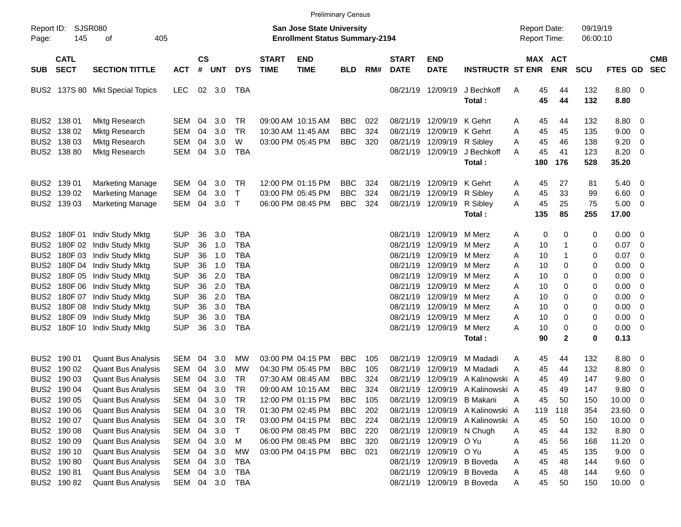|                     |                            |                                 |            |                    |            |            |                             |                                                                    | <b>Preliminary Census</b> |     |                             |                           |                                  |                                     |          |                       |                      |                |                          |                          |
|---------------------|----------------------------|---------------------------------|------------|--------------------|------------|------------|-----------------------------|--------------------------------------------------------------------|---------------------------|-----|-----------------------------|---------------------------|----------------------------------|-------------------------------------|----------|-----------------------|----------------------|----------------|--------------------------|--------------------------|
| Report ID:<br>Page: | <b>SJSR080</b><br>145      | 405<br>οf                       |            |                    |            |            |                             | San Jose State University<br><b>Enrollment Status Summary-2194</b> |                           |     |                             |                           |                                  | <b>Report Date:</b><br>Report Time: |          |                       | 09/19/19<br>06:00:10 |                |                          |                          |
| <b>SUB</b>          | <b>CATL</b><br><b>SECT</b> | <b>SECTION TITTLE</b>           | <b>ACT</b> | $\mathsf{cs}$<br># | <b>UNT</b> | <b>DYS</b> | <b>START</b><br><b>TIME</b> | <b>END</b><br><b>TIME</b>                                          | <b>BLD</b>                | RM# | <b>START</b><br><b>DATE</b> | <b>END</b><br><b>DATE</b> | <b>INSTRUCTR ST ENR</b>          |                                     |          | MAX ACT<br><b>ENR</b> | <b>SCU</b>           | FTES GD        |                          | <b>CMB</b><br><b>SEC</b> |
|                     |                            | BUS2 137S 80 Mkt Special Topics | <b>LEC</b> | 02                 | 3.0        | TBA        |                             |                                                                    |                           |     | 08/21/19                    | 12/09/19                  | J Bechkoff<br>Total:             | Α                                   | 45<br>45 | 44<br>44              | 132<br>132           | 8.80 0<br>8.80 |                          |                          |
|                     | BUS2 138 01                | <b>Mktg Research</b>            | SEM        | 04                 | 3.0        | TR         |                             | 09:00 AM 10:15 AM                                                  | <b>BBC</b>                | 022 | 08/21/19                    | 12/09/19                  | K Gehrt                          | A                                   | 45       | 44                    | 132                  | 8.80 0         |                          |                          |
|                     | BUS2 138 02                | <b>Mktg Research</b>            | <b>SEM</b> | 04                 | 3.0        | <b>TR</b>  | 10:30 AM 11:45 AM           |                                                                    | <b>BBC</b>                | 324 | 08/21/19                    | 12/09/19                  | K Gehrt                          | Α                                   | 45       | 45                    | 135                  | 9.00           | $\overline{\phantom{0}}$ |                          |
|                     | BUS2 138 03                | <b>Mktg Research</b>            | <b>SEM</b> | 04                 | 3.0        | W          |                             | 03:00 PM 05:45 PM                                                  | <b>BBC</b>                | 320 | 08/21/19                    | 12/09/19                  | R Sibley                         | Α                                   | 45       | 46                    | 138                  | 9.20           | 0                        |                          |
|                     | BUS2 138 80                | <b>Mktg Research</b>            | <b>SEM</b> | 04                 | 3.0        | <b>TBA</b> |                             |                                                                    |                           |     |                             | 08/21/19 12/09/19         | J Bechkoff                       | А                                   | 45       | 41                    | 123                  | 8.20           | $\overline{\phantom{0}}$ |                          |
|                     |                            |                                 |            |                    |            |            |                             |                                                                    |                           |     |                             |                           | Total:                           |                                     | 180      | 176                   | 528                  | 35.20          |                          |                          |
|                     | BUS2 139 01                | <b>Marketing Manage</b>         | <b>SEM</b> | 04                 | 3.0        | TR         |                             | 12:00 PM 01:15 PM                                                  | <b>BBC</b>                | 324 | 08/21/19                    | 12/09/19                  | K Gehrt                          | A                                   | 45       | 27                    | 81                   | $5.40\ 0$      |                          |                          |
|                     | BUS2 139 02                | Marketing Manage                | <b>SEM</b> | 04                 | 3.0        | $\top$     |                             | 03:00 PM 05:45 PM                                                  | <b>BBC</b>                | 324 | 08/21/19                    | 12/09/19                  | R Sibley                         | Α                                   | 45       | 33                    | 99                   | 6.60           | $\overline{\phantom{0}}$ |                          |
|                     | BUS2 139 03                | <b>Marketing Manage</b>         | <b>SEM</b> | 04                 | 3.0        | $\top$     |                             | 06:00 PM 08:45 PM                                                  | <b>BBC</b>                | 324 |                             | 08/21/19 12/09/19         | R Sibley                         | А                                   | 45       | 25                    | 75                   | $5.00 \t 0$    |                          |                          |
|                     |                            |                                 |            |                    |            |            |                             |                                                                    |                           |     |                             |                           | Total:                           |                                     | 135      | 85                    | 255                  | 17.00          |                          |                          |
|                     | BUS2 180F 01               | Indiv Study Mktg                | <b>SUP</b> | 36                 | 3.0        | <b>TBA</b> |                             |                                                                    |                           |     | 08/21/19                    | 12/09/19                  | M Merz                           | Α                                   | 0        | 0                     | 0                    | $0.00 \t 0$    |                          |                          |
|                     | BUS2 180F 02               | Indiv Study Mktg                | <b>SUP</b> | 36                 | 1.0        | <b>TBA</b> |                             |                                                                    |                           |     | 08/21/19                    | 12/09/19                  | M Merz                           | Α                                   | 10       | 1                     | 0                    | 0.07           | $\overline{\phantom{0}}$ |                          |
|                     | BUS2 180F 03               | Indiv Study Mktg                | <b>SUP</b> | 36                 | 1.0        | <b>TBA</b> |                             |                                                                    |                           |     | 08/21/19                    | 12/09/19                  | M Merz                           | Α                                   | 10       | 1                     | 0                    | 0.07           | - 0                      |                          |
|                     |                            | BUS2 180F 04 Indiv Study Mktg   | <b>SUP</b> | 36                 | 1.0        | <b>TBA</b> |                             |                                                                    |                           |     | 08/21/19                    | 12/09/19                  | M Merz                           | Α                                   | 10       | 0                     | 0                    | 0.00           | - 0                      |                          |
|                     | BUS2 180F 05               | Indiv Study Mktg                | <b>SUP</b> | 36                 | 2.0        | <b>TBA</b> |                             |                                                                    |                           |     | 08/21/19                    | 12/09/19                  | M Merz                           | Α                                   | 10       | 0                     | 0                    | 0.00           | $\overline{\mathbf{0}}$  |                          |
|                     | BUS2 180F 06               | Indiv Study Mktg                | <b>SUP</b> | 36                 | 2.0        | <b>TBA</b> |                             |                                                                    |                           |     | 08/21/19                    | 12/09/19                  | M Merz                           | Α                                   | 10       | 0                     | 0                    | 0.00           | - 0                      |                          |
|                     | BUS2 180F 07               | Indiv Study Mktg                | <b>SUP</b> | 36                 | 2.0        | <b>TBA</b> |                             |                                                                    |                           |     | 08/21/19                    | 12/09/19                  | M Merz                           | Α                                   | 10       | 0                     | 0                    | 0.00           | $\overline{\mathbf{0}}$  |                          |
|                     | BUS2 180F 08               | Indiv Study Mktg                | <b>SUP</b> | 36                 | 3.0        | <b>TBA</b> |                             |                                                                    |                           |     | 08/21/19                    | 12/09/19                  | M Merz                           | Α                                   | 10       | 0                     | 0                    | 0.00           | $\overline{\mathbf{0}}$  |                          |
|                     | BUS2 180F 09               | Indiv Study Mktg                | <b>SUP</b> | 36                 | 3.0        | <b>TBA</b> |                             |                                                                    |                           |     | 08/21/19                    | 12/09/19                  | M Merz                           | Α                                   | 10       | 0                     | 0                    | 0.00           | $\overline{\mathbf{0}}$  |                          |
|                     |                            | BUS2 180F 10 Indiv Study Mktg   | <b>SUP</b> | 36                 | 3.0        | <b>TBA</b> |                             |                                                                    |                           |     |                             | 08/21/19 12/09/19         | M Merz                           | А                                   | 10       | 0                     | 0                    | $0.00 \t 0$    |                          |                          |
|                     |                            |                                 |            |                    |            |            |                             |                                                                    |                           |     |                             |                           | Total:                           |                                     | 90       | $\mathbf{2}$          | 0                    | 0.13           |                          |                          |
|                     | BUS2 190 01                | Quant Bus Analysis              | <b>SEM</b> | 04                 | 3.0        | МW         |                             | 03:00 PM 04:15 PM                                                  | <b>BBC</b>                | 105 | 08/21/19                    | 12/09/19                  | M Madadi                         | Α                                   | 45       | 44                    | 132                  | 8.80           | $\overline{\phantom{0}}$ |                          |
|                     | BUS2 190 02                | <b>Quant Bus Analysis</b>       | <b>SEM</b> | 04                 | 3.0        | MW         |                             | 04:30 PM 05:45 PM                                                  | <b>BBC</b>                | 105 | 08/21/19                    | 12/09/19                  | M Madadi                         | Α                                   | 45       | 44                    | 132                  | 8.80           | $\overline{\mathbf{0}}$  |                          |
|                     | BUS2 190 03                | <b>Quant Bus Analysis</b>       | <b>SEM</b> | 04                 | 3.0        | TR         |                             | 07:30 AM 08:45 AM                                                  | <b>BBC</b>                | 324 | 08/21/19                    | 12/09/19                  | A Kalinowski A                   |                                     | 45       | 49                    | 147                  | 9.80           | 0                        |                          |
|                     | BUS2 190 04                | <b>Quant Bus Analysis</b>       | <b>SEM</b> | 04                 | 3.0        | <b>TR</b>  |                             | 09:00 AM 10:15 AM                                                  | <b>BBC</b>                | 324 |                             |                           | 08/21/19 12/09/19 A Kalinowski A |                                     | 45       | 49                    | 147                  | 9.80           | - 0                      |                          |
|                     | BUS2 190 05                | <b>Quant Bus Analysis</b>       | SEM        | 04                 | 3.0        | <b>TR</b>  |                             | 12:00 PM 01:15 PM                                                  | <b>BBC</b>                | 105 |                             | 08/21/19 12/09/19         | B Makani                         | Α                                   | 45       | 50                    | 150                  | 10.00          | $\overline{\phantom{0}}$ |                          |
|                     | BUS2 190 06                | <b>Quant Bus Analysis</b>       | SEM        | 04                 | 3.0        | TR         |                             | 01:30 PM 02:45 PM                                                  | <b>BBC</b>                | 202 |                             |                           | 08/21/19 12/09/19 A Kalinowski A |                                     | 119      | 118                   | 354                  | 23.60 0        |                          |                          |
|                     | BUS2 190 07                | <b>Quant Bus Analysis</b>       | SEM        | 04                 | 3.0        | TR         |                             | 03:00 PM 04:15 PM                                                  | <b>BBC</b>                | 224 |                             |                           | 08/21/19 12/09/19 A Kalinowski A |                                     | 45       | 50                    | 150                  | $10.00 \t 0$   |                          |                          |
|                     | BUS2 190 08                | Quant Bus Analysis              | SEM        | 04                 | 3.0        | $\top$     |                             | 06:00 PM 08:45 PM                                                  | <b>BBC</b>                | 220 |                             | 08/21/19 12/09/19 N Chugh |                                  | Α                                   | 45       | 44                    | 132                  | 8.80 0         |                          |                          |
|                     | BUS2 190 09                | <b>Quant Bus Analysis</b>       | <b>SEM</b> | 04                 | 3.0        | M          |                             | 06:00 PM 08:45 PM                                                  | <b>BBC</b>                | 320 |                             | 08/21/19 12/09/19 O Yu    |                                  | Α                                   | 45       | 56                    | 168                  | 11.20 0        |                          |                          |
|                     | BUS2 190 10                | <b>Quant Bus Analysis</b>       | <b>SEM</b> | 04                 | 3.0        | MW         |                             | 03:00 PM 04:15 PM                                                  | <b>BBC</b>                | 021 |                             | 08/21/19 12/09/19 O Yu    |                                  | Α                                   | 45       | 45                    | 135                  | $9.00 \t 0$    |                          |                          |
|                     | BUS2 190 80                | <b>Quant Bus Analysis</b>       | SEM        |                    | 04 3.0     | <b>TBA</b> |                             |                                                                    |                           |     |                             |                           | 08/21/19 12/09/19 B Boveda       | Α                                   | 45       | 48                    | 144                  | 9.60 0         |                          |                          |
|                     | BUS2 190 81                | <b>Quant Bus Analysis</b>       | SEM        |                    | 04 3.0     | <b>TBA</b> |                             |                                                                    |                           |     |                             |                           | 08/21/19 12/09/19 B Boveda       | Α                                   | 45       | 48                    | 144                  | 9.60 0         |                          |                          |
|                     | BUS2 190 82                | <b>Quant Bus Analysis</b>       | SEM        |                    | 04 3.0     | TBA        |                             |                                                                    |                           |     |                             |                           | 08/21/19 12/09/19 B Boveda       | Α                                   | 45       | 50                    | 150                  | $10.00 \t 0$   |                          |                          |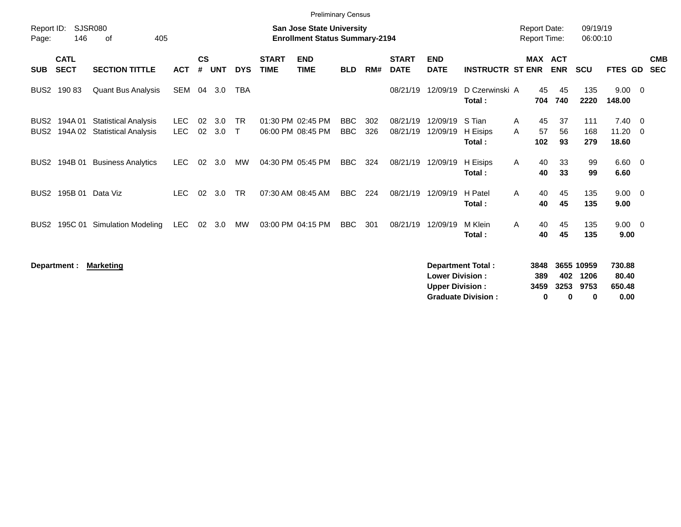| <b>Preliminary Census</b> |                                                                                                                        |                                                            |                    |                    |            |                           |                             |                                        |                          |            |                             |                           |                              |                           |                                            |                      |                          |                                            |                          |
|---------------------------|------------------------------------------------------------------------------------------------------------------------|------------------------------------------------------------|--------------------|--------------------|------------|---------------------------|-----------------------------|----------------------------------------|--------------------------|------------|-----------------------------|---------------------------|------------------------------|---------------------------|--------------------------------------------|----------------------|--------------------------|--------------------------------------------|--------------------------|
| Page:                     | Report ID:<br>SJSR080<br><b>San Jose State University</b><br>146<br>405<br><b>Enrollment Status Summary-2194</b><br>οf |                                                            |                    |                    |            |                           |                             |                                        |                          |            |                             |                           |                              |                           | <b>Report Date:</b><br><b>Report Time:</b> | 09/19/19<br>06:00:10 |                          |                                            |                          |
| <b>SUB</b>                | <b>CATL</b><br><b>SECT</b>                                                                                             | <b>SECTION TITTLE</b>                                      | <b>ACT</b>         | $\mathsf{cs}$<br># | <b>UNT</b> | <b>DYS</b>                | <b>START</b><br><b>TIME</b> | <b>END</b><br><b>TIME</b>              | <b>BLD</b>               | RM#        | <b>START</b><br><b>DATE</b> | <b>END</b><br><b>DATE</b> | <b>INSTRUCTR ST ENR</b>      |                           | MAX ACT<br><b>ENR</b>                      | <b>SCU</b>           | <b>FTES GD</b>           |                                            | <b>CMB</b><br><b>SEC</b> |
| BUS <sub>2</sub>          | 19083                                                                                                                  | <b>Quant Bus Analysis</b>                                  | SEM                | 04                 | 3.0        | <b>TBA</b>                |                             |                                        |                          |            | 08/21/19                    | 12/09/19                  | D Czerwinski A<br>Total:     | 45<br>704                 | 45<br>740                                  | 135<br>2220          | $9.00 \quad 0$<br>148.00 |                                            |                          |
| BUS <sub>2</sub><br>BUS2  | 194A 01<br>194A 02                                                                                                     | <b>Statistical Analysis</b><br><b>Statistical Analysis</b> | LEC.<br><b>LEC</b> | 02<br>02           | 3.0<br>3.0 | <b>TR</b><br>$\mathsf{T}$ |                             | 01:30 PM 02:45 PM<br>06:00 PM 08:45 PM | <b>BBC</b><br><b>BBC</b> | 302<br>326 | 08/21/19<br>08/21/19        | 12/09/19<br>12/09/19      | S Tian<br>H Eisips<br>Total: | 45<br>A<br>57<br>A<br>102 | 37<br>56<br>93                             | 111<br>168<br>279    | 7.40<br>11.20<br>18.60   | $\overline{\phantom{0}}$<br>$\overline{0}$ |                          |
| BUS <sub>2</sub>          | 194B 01                                                                                                                | <b>Business Analytics</b>                                  | LEC.               | 02                 | 3.0        | MW                        |                             | 04:30 PM 05:45 PM                      | BBC                      | 324        | 08/21/19                    | 12/09/19                  | H Eisips<br>Total:           | 40<br>A<br>40             | 33<br>33                                   | 99<br>99             | $6.60 \quad 0$<br>6.60   |                                            |                          |
| BUS <sub>2</sub>          | 195B 01 Data Viz                                                                                                       |                                                            | <b>LEC</b>         | 02                 | 3.0        | <b>TR</b>                 |                             | 07:30 AM 08:45 AM                      | <b>BBC</b>               | 224        | 08/21/19                    | 12/09/19                  | H Patel<br>Total :           | 40<br>$\mathsf{A}$<br>40  | 45<br>45                                   | 135<br>135           | $9.00 \t 0$<br>9.00      |                                            |                          |
| BUS <sub>2</sub>          | 195C 01                                                                                                                | Simulation Modeling                                        | <b>LEC</b>         | 02                 | 3.0        | MW                        |                             | 03:00 PM 04:15 PM                      | BBC                      | 301        | 08/21/19                    | 12/09/19                  | M Klein<br>Total :           | 40<br>A<br>40             | 45<br>45                                   | 135<br>135           | $9.00 \t 0$<br>9.00      |                                            |                          |

| Department : | Marketing | Department Total:         | 3848 |      | 3655 10959 | 730.88 |
|--------------|-----------|---------------------------|------|------|------------|--------|
|              |           | <b>Lower Division:</b>    | 389  | 402  | 1206       | 80.40  |
|              |           | <b>Upper Division:</b>    | 3459 | 3253 | 9753       | 650.48 |
|              |           | <b>Graduate Division:</b> |      |      |            | 0.00   |